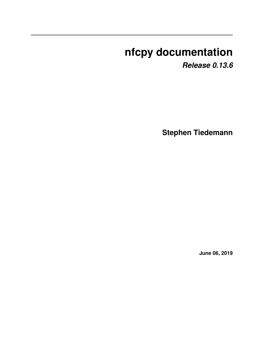# **nfcpy documentation**

*Release 0.13.6*

**Stephen Tiedemann**

**June 06, 2019**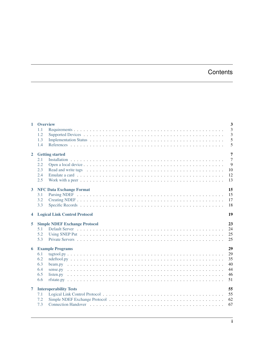# **Contents**

|                         | 1 Overview             |                                                                                                                                                                                                                                | 3              |
|-------------------------|------------------------|--------------------------------------------------------------------------------------------------------------------------------------------------------------------------------------------------------------------------------|----------------|
|                         | 1.1                    |                                                                                                                                                                                                                                | $\overline{3}$ |
|                         | 1.2                    |                                                                                                                                                                                                                                | 3              |
|                         | 1.3                    |                                                                                                                                                                                                                                | 5              |
|                         | 1.4                    |                                                                                                                                                                                                                                | 5              |
| $\overline{2}$          | <b>Getting started</b> |                                                                                                                                                                                                                                | 7              |
|                         | 2.1                    |                                                                                                                                                                                                                                | $\overline{7}$ |
|                         | 2.2                    |                                                                                                                                                                                                                                | 9              |
|                         | 2.3                    | Read and write tags enterpreteration of the contract of the contract of the contract of the contract of the contract of the contract of the contract of the contract of the contract of the contract of the contract of the co | 10             |
|                         | 2.4                    |                                                                                                                                                                                                                                | 12             |
|                         | 2.5                    |                                                                                                                                                                                                                                | 13             |
| $\overline{3}$          |                        | <b>NFC Data Exchange Format</b>                                                                                                                                                                                                | 15             |
|                         | 3.1                    |                                                                                                                                                                                                                                | 15             |
|                         | 3.2                    |                                                                                                                                                                                                                                | 17             |
|                         | 3.3                    |                                                                                                                                                                                                                                | 18             |
| $\overline{\mathbf{4}}$ |                        | <b>Logical Link Control Protocol</b>                                                                                                                                                                                           | 19             |
|                         |                        |                                                                                                                                                                                                                                |                |
| 5                       |                        | <b>Simple NDEF Exchange Protocol</b>                                                                                                                                                                                           | 23             |
|                         | 5.1                    |                                                                                                                                                                                                                                | 24             |
|                         | 5.2                    |                                                                                                                                                                                                                                | 25             |
|                         | 5.3                    |                                                                                                                                                                                                                                | 25             |
| 6                       |                        | <b>Example Programs</b>                                                                                                                                                                                                        | 29             |
|                         | 6.1                    |                                                                                                                                                                                                                                | 29             |
|                         | 6.2                    |                                                                                                                                                                                                                                | 35             |
|                         | 6.3                    |                                                                                                                                                                                                                                | 40             |
|                         | 6.4                    |                                                                                                                                                                                                                                | 44             |
|                         | 6.5                    |                                                                                                                                                                                                                                | 46             |
|                         | 6.6                    |                                                                                                                                                                                                                                | 51             |
| $\overline{7}$          |                        | <b>Interoperability Tests</b>                                                                                                                                                                                                  | 55             |
|                         | 7.1                    |                                                                                                                                                                                                                                | 55             |
|                         | 7.2                    |                                                                                                                                                                                                                                | 62             |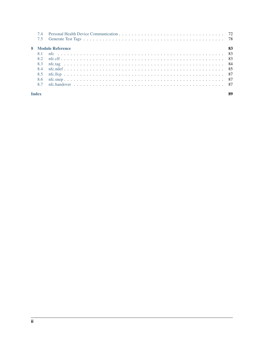|              | 74    |                          |  |  |  |  |  |  |
|--------------|-------|--------------------------|--|--|--|--|--|--|
|              | 7.5   |                          |  |  |  |  |  |  |
|              |       | 8 Module Reference<br>83 |  |  |  |  |  |  |
|              | . 8.1 |                          |  |  |  |  |  |  |
|              | 8.2   |                          |  |  |  |  |  |  |
|              | 8.3   |                          |  |  |  |  |  |  |
|              | 84    |                          |  |  |  |  |  |  |
|              | 8.5   |                          |  |  |  |  |  |  |
|              | 8.6   |                          |  |  |  |  |  |  |
|              | 8.7   |                          |  |  |  |  |  |  |
| <b>Index</b> |       |                          |  |  |  |  |  |  |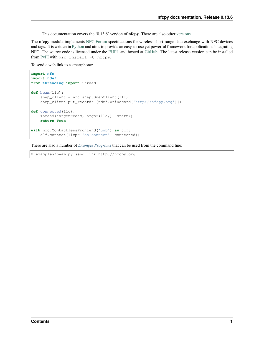This documentation covers the '0.13.6' version of **nfcpy**. There are also other [versions.](https://readthedocs.org/projects/nfcpy/versions)

The nfcpy module implements [NFC Forum](http://nfc-forum.org/) specifications for wireless short-range data exchange with NFC devices and tags. It is written in [Python](https://www.python.org) and aims to provide an easy-to-use yet powerful framework for applications integrating NFC. The source code is licensed under the [EUPL](http://ec.europa.eu/idabc/eupl) and hosted at [GitHub.](https://github.com/nfcpy/nfcpy) The latest release version can be installed from [PyPI](https://pypi.python.org/pypi/nfcpy) with pip install -U nfcpy.

To send a web link to a smartphone:

```
import nfc
import ndef
from threading import Thread
def beam(llc):
    snep_client = nfc.snep.SnepClient(llc)
    snep_client.put_records([ndef.UriRecord('http://nfcpy.org')])
def connected(llc):
    Thread(target=beam, args=(llc,)).start()
    return True
with nfc.ContactlessFrontend('usb') as clf:
    clf.connect(llcp={'on-connect': connected})
```
There are also a number of *[Example Programs](#page-32-0)* that can be used from the command line:

\$ examples/beam.py send link http://nfcpy.org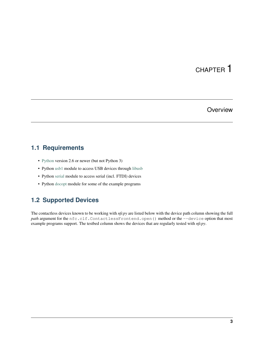# CHAPTER<sup>1</sup>

## **Overview**

# <span id="page-6-1"></span><span id="page-6-0"></span>**1.1 Requirements**

- [Python](https://www.python.org) version 2.6 or newer (but not Python 3)
- Python [usb1](https://github.com/vpelletier/python-libusb1) module to access USB devices through [libusb](http://libusb.info)
- Python [serial](http://pythonhosted.org/pyserial/) module to access serial (incl. FTDI) devices
- Python [docopt](https://github.com/docopt/docopt) module for some of the example programs

# <span id="page-6-2"></span>**1.2 Supported Devices**

The contactless devices known to be working with *nfcpy* are listed below with the device path column showing the full path argument for the nfc.clf.ContactlessFrontend.open() method or the --device option that most example programs support. The testbed column shows the devices that are regularly tested with *nfcpy*.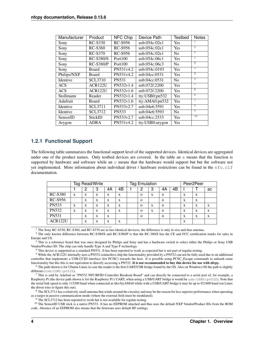| Manufacturer | Product        | <b>NFC Chip</b> | Device Path     | <b>Testbed</b> | <b>Notes</b>    |
|--------------|----------------|-----------------|-----------------|----------------|-----------------|
| Sony         | RC-S330        | RC-S956         | usb:054c:02e1   | <b>Yes</b>     |                 |
| Sony         | RC-S360        | <b>RC-S956</b>  | usb:054c:02e1   | <b>Yes</b>     | л.              |
| Sony         | RC-S370        | RC-S956         | usb:054c:02e1   | N <sub>0</sub> | 1               |
| Sony         | RC-S380/S      | Port100         | usb:054c:06c1   | <b>Yes</b>     | $\overline{2}$  |
| Sony         | $RC-S380/P$    | Port100         | usb:054c:06c3   | N <sub>o</sub> | $\overline{2}$  |
| Sony         | Board          | PN531v4.2       | usb:054c:0193   | <b>Yes</b>     | 3               |
| Philips/NXP  | Board          | PN531v4.2       | usb:04cc:0531   | <b>Yes</b>     | 3               |
| Identive     | <b>SCL3710</b> | <b>PN531</b>    | usb:04cc:0531   | N <sub>0</sub> | 4               |
| <b>ACS</b>   | ACR122U        | PN532v1.4       | usb:072f:2200   | <b>Yes</b>     | 5               |
| <b>ACS</b>   | <b>ACR122U</b> | PN532v1.6       | usb:072f:2200   | <b>Yes</b>     | 5               |
| Stollmann    | Reader         | PN532v1.4       | tty:USB0:pn532  | <b>Yes</b>     | 6               |
| Adafruit     | Board          | PN532v1.6       | tty:AMA0:pn532  | Yes            | $\overline{7}$  |
| Identive     | <b>SCL3711</b> | PN533v2.7       | usb:04e6:5591   | <b>Yes</b>     | 8               |
| Identive     | <b>SCL3712</b> | <b>PN533</b>    | usb:04e6:5593   | N <sub>0</sub> | 9               |
| SensorID     | StickID        | PN533v2.7       | usb:04cc:2533   | Yes            | $\overline{10}$ |
| Arygon       | <b>ADRA</b>    | PN531v4.2       | tty:USB0:arygon | Yes            |                 |

## **1.2.1 Functional Support**

The following table summarizes the functional support level of the supported devices. Identical devices are aggregated under one of the product names. Only testbed devices are covered. In the table an  $x$  means that the function is supported by hardware and software while an o means that the hardware would support but but the software not yet implemented. More information about individual driver / hardware restrictions can be found in the nfc.clf documentation.

|                | Tag Read/Write |   |   |    |    | Tag Emulation |          |   |          | Peer <sub>2Peer</sub> |   |   |    |
|----------------|----------------|---|---|----|----|---------------|----------|---|----------|-----------------------|---|---|----|
|                |                | 2 | 3 | 4A | 4Β |               | 2        | 3 | 4A       | 4B                    |   |   | ac |
| <b>RC-S380</b> | X              | X | X | X  | X  |               | $\Omega$ | X | $\Omega$ |                       | X | X |    |
| <b>RC-S956</b> |                | X | X | X  | X  |               | $\Omega$ |   | $\Omega$ |                       | X | X |    |
| <b>PN533</b>   | X              | X | X | X  | X  |               | $\Omega$ | X | $\Omega$ |                       | X | X | X  |
| <b>PN532</b>   | X              | X | X | X  | X  |               | $\Omega$ | X | $\Omega$ |                       | X | X | X  |
| <b>PN531</b>   |                | X | X | X  |    |               | $\Omega$ |   | $\Omega$ |                       | X | X | X  |
| ACR122U        |                | X | X | X  | X  |               |          |   |          |                       | X |   |    |

 $<sup>1</sup>$  The Sony RC-S330, RC-S360, and RC-S370 are in fact identical devicess, the difference is only in size and thus antenna.</sup>

<span id="page-7-1"></span><span id="page-7-0"></span><sup>2</sup> The only known difference between RC-S380/S and RC-S380/P is that the RC-380/S has the CE and FCC certification marks for sales in Europe and US.

<span id="page-7-2"></span> $3$  This is a reference board that was once designed by Philips and Sony and has a hardware switch to select either the Philips or Sony USB Vendor/Product ID. The chip can only handle Type A and Type F technology.

<sup>4</sup> This device is supported as a standard PN531. It has been reported to work as expected but is not part of regular testing.

<span id="page-7-4"></span><span id="page-7-3"></span><sup>5</sup> While the ACR122U internally uses a PN532 contactless chip the functionality provided by a PN532 can not be fully used due to an additional controller that implements a USB-CCID interface (for PC/SC) towards the host. It is possible using PCSC\_Escape commands to unleash some functionality but this this is not equivalent to directly accessing a PN532. It is not recommended to buy this device for use with nfcpy.

<span id="page-7-5"></span><sup>6</sup> The path shown is for Ubuntu Linux in case the reader is the first UART/USB bridge found by the OS. Also on Windows OS the path is slightly different (com:COM1:pn532).

<span id="page-7-6"></span><sup>7</sup> This is sold by Adafruit as "PN532 NFC/RFID Controller Breakout Board" and can directly be connected to a serial port of, for example, a Raspberry Pi (the device path shown is for the Raspberry Pi's UART, when using a USB/UART bridge it would be usb:USB0:pn532). Note that the serial link speed is only 115200 baud when connected at /dev/ttyAMA0 while with a USB/UART bridge it may be up to 921600 baud (on Linux the driver tries to figure this out).

<span id="page-7-7"></span><sup>8</sup> The SCL3711 has a relatively small antenna that winds around the circuitry and may be the reason for less superior performance when operating as a target in passive communication mode (where the external field must be modulated).

<span id="page-7-8"></span> $9$  The SCL3712 has been reported to work but is not available for regular testing.

<span id="page-7-9"></span><sup>10</sup> The SensorID USB stick is a native PN533. It has no EEPROM attached and thus uses the default NXP Vendor/Product IDs from the ROM code. Absence of an EEPROM also means that the firmware uses default RF settings.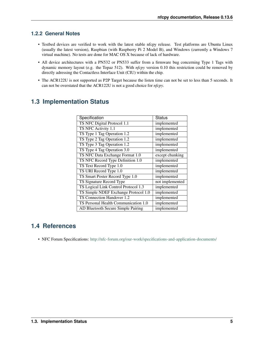## **1.2.2 General Notes**

- Testbed devices are verified to work with the latest stable nfcpy release. Test platforms are Ubuntu Linux (usually the latest version), Raspbian (with Raspberry Pi 2 Model B), and Windows (currently a Windows 7 virtual machine). No tests are done for MAC OS X because of lack of hardware.
- All device architectures with a PN532 or PN533 suffer from a firmware bug concerning Type 1 Tags with dynamic memory layout (e.g. the Topaz 512). With *nfcpy* version 0.10 this restriction could be removed by directly adressing the Contactless Interface Unit (CIU) within the chip.
- The ACR122U is not supported as P2P Target because the listen time can not be set to less than 5 seconds. It can not be overstated that the ACR122U is not a good choice for *nfcpy*.

| Specification                        | Status          |
|--------------------------------------|-----------------|
| TS NFC Digital Protocol 1.1          | implemented     |
| TS NFC Activity 1.1                  | implemented     |
| TS Type 1 Tag Operation 1.2          | implemented     |
| TS Type 2 Tag Operation 1.2          | implemented     |
| TS Type 3 Tag Operation 1.2          | implemented     |
| TS Type 4 Tag Operation 3.0          | implemented     |
| TS NFC Data Exchange Format 1.0      | except chunking |
| TS NFC Record Type Definition 1.0    | implemented     |
| TS Text Record Type 1.0              | implemented     |
| TS URI Record Type 1.0               | implemented     |
| TS Smart Poster Record Type 1.0      | implemented     |
| TS Signature Record Type             | not implemented |
| TS Logical Link Control Protocol 1.3 | implemented     |
| TS Simple NDEF Exchange Protocol 1.0 | implemented     |
| TS Connection Handover 1.2           | implemented     |
| TS Personal Health Communication 1.0 | implemented     |
| AD Bluetooth Secure Simple Pairing   | implemented     |
|                                      |                 |

# <span id="page-8-0"></span>**1.3 Implementation Status**

## <span id="page-8-1"></span>**1.4 References**

• NFC Forum Specifications: <http://nfc-forum.org/our-work/specifications-and-application-documents/>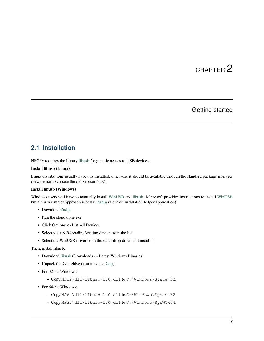# CHAPTER 2

## Getting started

## <span id="page-10-1"></span><span id="page-10-0"></span>**2.1 Installation**

NFCPy requires the library [libusb](http://libusb.info/) for generic access to USB devices.

## Install libusb (Linux)

Linux distributions usually have this installed, otherwise it should be available through the standard package manager (beware not to choose the old version  $0 \cdot x$ ).

## Install libusb (Windows)

Windows users will have to manually install [WinUSB](https://msdn.microsoft.com/en-us/library/ff540196.aspx) and [libusb.](http://libusb.info/) Microsoft provides instructions to install [WinUSB](https://msdn.microsoft.com/en-us/library/ff540196.aspx) but a much simpler approach is to use [Zadig](http://zadig.akeo.ie/) (a driver installation helper application).

- Download [Zadig](http://zadig.akeo.ie/)
- Run the standalone exe
- Click Options -> List All Devices
- Select your NFC reading/writing device from the list
- Select the WinUSB driver from the other drop down and install it

## Then, install libusb:

- Download [libusb](http://libusb.info/) (Downloads -> Latest Windows Binaries).
- Unpack the 7z archive (you may use [7zip\)](https://www.7-zip.org/download.html).
- For 32-bit Windows:
	- Copy MS32\dll\libusb-1.0.dll to C:\Windows\System32.
- For 64-bit Windows:
	- Copy MS64\dll\libusb-1.0.dll to C:\Windows\System32.
	- Copy MS32\dll\libusb-1.0.dll to C:\Windows\SysWOW64.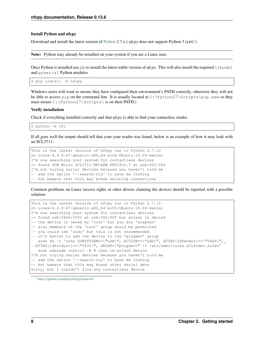#### Install Python and nfcpy

Download and install the latest version of [Python](https://www.python.org/downloads/) 2.7.x (*nfcpy* does not support Python 3 (yet)<sup>[1](#page-11-0)</sup>).

Note: Python may already be installed on your system if you are a Linux user.

Once Python is installed use [pip](https://pip.pypa.io/en/stable/) to install the latest stable version of *nfcpy*. This will also install the required libusb1 and pyserial Python modules.

\$ pip install -U nfcpy

Windows users will want to ensure they have configured their environment's PATH correctly, otherwise they will not be able to access pip on the command line. It is usually located at C:\Python27\Scripts\pip.exe so they must ensure C:\Python27\Scripts\ is on their PATH.)

#### Verify installation

Check if everything installed correctly and that *nfcpy* is able to find your contactless reader.

\$ python -m nfc

If all goes well the output should tell that your your reader was found, below is an example of how it may look with an SCL3711:

This is the latest version of nfcpy run in Python 2.7.12 on Linux-4.4.0-47-generic-x86\_64-with-Ubuntu-16.04-xenial I'm now searching your system for contactless devices \*\* found SCM Micro SCL3711-NFC&RW PN533v2.7 at usb:002:024 I'm not trying serial devices because you haven't told me -- add the option '--search-tty' to have me looking -- but beware that this may break existing connections

Common problems on Linux (access rights or other drivers claiming the device) should be reported with a possible solution:

```
This is the latest version of nfcpy run in Python 2.7.12
on Linux-4.4.0-47-generic-x86_64-with-Ubuntu-16.04-xenial
I'm now searching your system for contactless devices
** found usb:04e6:5591 at usb:002:025 but access is denied
-- the device is owned by 'root' but you are 'stephen'
-- also members of the 'root' group would be permitted
-- you could use 'sudo' but this is not recommended
-- it's better to add the device to the 'plugdev' group
  sudo sh -c 'echo SUBSYSTEM==\"usb\", ACTION==\"add\", ATTRS{idVendor}==\"04e6\", _
˓→ATTRS{idProduct}==\"5591\", GROUP=\"plugdev\" >> /etc/udev/rules.d/nfcdev.rules'
  sudo udevadm control -R # then re-attach device
I'm not trying serial devices because you haven't told me
-- add the option '--search-tty' to have me looking
-- but beware that this may break other serial devs
Sorry, but I couldn't find any contactless device
```
<span id="page-11-0"></span><sup>1</sup> <https://github.com/nfcpy/nfcpy/issues/47>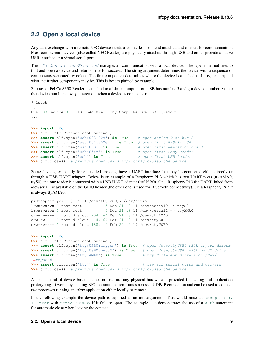# <span id="page-12-0"></span>**2.2 Open a local device**

Any data exchange with a remote NFC device needs a contactless frontend attached and opened for communication. Most commercial devices (also called NFC Reader) are physically attached through USB and either provide a native USB interface or a virtual serial port.

The nfc. ContactlessFrontend manages all communication with a local device. The open method tries to find and open a device and returns True for success. The string argument determines the device with a sequence of components separated by colon. The first component determines where the device is attached (usb, tty, or udp) and what the further components may be. This is best explained by example.

Suppose a FeliCa S330 Reader is attached to a Linux computer on USB bus number 3 and got device number 9 (note that device numbers always increment when a device is connected):

```
$ lsusb
...
Bus 003 Device 009: ID 054c:02e1 Sony Corp. FeliCa S330 [PaSoRi]
...
```

```
>>> import nfc
```

```
>>> clf = nfc.ContactlessFrontend()
>>> assert clf.open('usb:003:009') is True # open device 9 on bus 3
>>> assert clf.open('usb:054c:02e1') is True # open first PaSoRi 330
>>> assert clf.open('usb:003') is True # open first Reader on bus 3
>>> assert clf.open('usb:054c') is True # open first Sony Reader
>>> assert clf.open('usb') is True # open first USB Reader
>>> clf.close() # previous open calls implicitly closed the device
```
Some devices, especially for embedded projects, have a UART interface that may be connected either directly or through a USB UART adapter. Below is an example of a Raspberry Pi 3 which has two UART ports (ttyAMA0, ttyS0) and one reader is connected with a USB UART adapter (ttyUSB0). On a Raspberry Pi 3 the UART linked from /dev/serial1 is available on the GPIO header (the other one is used for Bluetooth connectivity). On a Raspberry Pi 2 it is always ttyAMA0.

```
pi@raspberrypi ~ $ ls -l /dev/tty[ASU]* /dev/serial?
lrwxrwxrwx 1 root root 5 Dez 21 18:11 /dev/serial0 -> ttyS0
lrwxrwxrwx 1 root root 7 Dez 21 18:11 /dev/serial1 -> ttyAMA0
crw-rw---- 1 root dialout 204, 64 Dez 21 18:11 /dev/ttyAMA0
crw-rw---- 1 root dialout 4, 64 Dez 21 18:11 /dev/ttyS0
crw-rw---- 1 root dialout 188, 0 Feb 24 12:17 /dev/ttyUSB0
```

```
>>> import nfc
>>> clf = nfc.ContactlessFrontend()
>>> assert clf.open('tty:USB0:arygon') is True # open /dev/ttyUSB0 with arygon driver
>>> assert clf.open('tty:USB0:pn532') is True # open /dev/ttyUSB0 with pn532 driver
>>> assert clf.open('tty:AMA0') is True # try different drivers on /dev/
˓→ttyAMA0
>>> assert clf.open('tty') is True # try all serial ports and drivers
>>> clf.close() # previous open calls implicitly closed the device
```
A special kind of device bus that does not require any physical hardware is provided for testing and application prototyping. It works by sending NFC communication frames across a UDP/IP connection and can be used to connect two processes running an *nfcpy* application either locally or remote.

In the following example the device path is supplied as an init argument. This would raise an [exceptions.](https://docs.python.org/2.7/library/exceptions.html#exceptions.IOError) [IOError](https://docs.python.org/2.7/library/exceptions.html#exceptions.IOError) with [errno.ENODEV](https://docs.python.org/2.7/library/errno.html#errno.ENODEV) if it fails to open. The example also demonstrates the use of a [with](https://docs.python.org/2.7/reference/compound_stmts.html#with) statement for automatic close when leaving the context.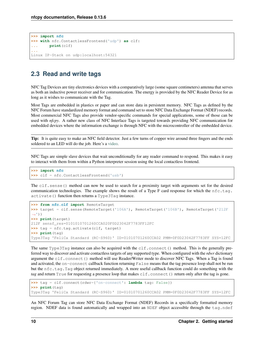```
>>> import nfc
>>> with nfc.ContactlessFrontend('udp') as clf:
... print(clf)
...
Linux IP-Stack on udp:localhost:54321
```
# <span id="page-13-0"></span>**2.3 Read and write tags**

NFC Tag Devices are tiny electronics devices with a comparatively large (some square centimeters) antenna that serves as both an inductive power receiver and for communication. The energy is provided by the NFC Reader Device for as long as it wishes to communicate with the Tag.

Most Tags are embedded in plastics or paper and can store data in persistent memory. NFC Tags as defined by the NFC Forum have standardized memory format and command set to store NFC Data Exchange Format (NDEF) records. Most commercial NFC Tags also provide vendor-specific commands for special applications, some of those can be used with *nfcpy*. A rather new class of NFC Interface Tags is targeted towards providing NFC communication for embedded devices where the information exchange is through NFC with the microcontroller of the embedded device.

Tip: It is quite easy to make an NFC field detector. Just a few turns of copper wire around three fingers and the ends soldered to an LED will do the job. Here's a [video.](https://www.youtube.com/watch?v=dTv4U5fotM0)

NFC Tags are simple slave devices that wait unconditionally for any reader command to respond. This makes it easy to interact with them from within a Python interpreter session using the local contactless frontend.

```
>>> import nfc
>>> clf = nfc.ContactlessFrontend('usb')
```
The clf.sense() method can now be used to search for a proximity target with arguments set for the desired communication technologies. The example shows the result of a Type F card response for which the  $n \in \mathbb{C}$ .tag. activate() function then returns a Type3Tag instance.

```
>>> from nfc.clf import RemoteTarget
>>> target = clf.sense(RemoteTarget('106A'), RemoteTarget('106B'), RemoteTarget('212F
˓→'))
>>> print(target)
212F sensf_res=0101010701260CCA020F0D23042F7783FF12FC
>>> tag = nfc.tag.activate(clf, target)
>>> print(tag)
Type3Tag 'FeliCa Standard (RC-S960)' ID=01010701260CCA02 PMM=0F0D23042F7783FF SYS=12FC
```
The same Type3Tag instance can also be acquired with the clf.connect() method. This is the generally preferred way to discover and activate contactless targets of any supported type. When configured with the *rdwr* dictionary argument the clf.connect() method will use Reader/Writer mode to discover NFC Tags. When a Tag is found and activated, the on-connect callback function returning False means that the tag presence loop shall not be run but the nfc.tag.Tag object returned immediately. A more useful callback function could do something with the *tag* and return True for requesting a presence loop that makes clf.connect() return only after the tag is gone.

```
>>> tag = clf.connect(rdwr={'on-connect': lambda tag: False})
>>> print(tag)
Type3Tag 'FeliCa Standard (RC-S960)' ID=01010701260CCA02 PMM=0F0D23042F7783FF SYS=12FC
```
An NFC Forum Tag can store NFC Data Exchange Format (NDEF) Records in a specifically formatted memory region. NDEF data is found automatically and wrapped into an NDEF object accessible through the tag.ndef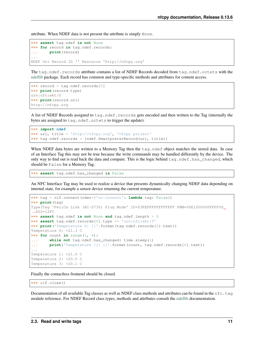attribute. When NDEF data is not present the attribute is simply None.

```
>>> assert tag.ndef is not None
>>> for record in tag.ndef.records:
... print(record)
...
NDEF Uri Record ID '' Resource 'http://nfcpy.org'
```
The tag.ndef.records attribute contains a list of NDEF Records decoded from tag.ndef.octets with the [ndeflib](http://ndeflib.readthedocs.io/en/stable/) package. Each record has common and type-specific methods and attributes for content access.

```
>>> record = tag.ndef.records[0]
>>> print(record.type)
urn:nfc:wkt:U
>>> print(record.uri)
http://nfcpy.org
```
A list of NDEF Records assigned to  $tag$ .ndef.records gets encoded and then written to the Tag (internally the bytes are assigned to tag.ndef.octets to trigger the update).

```
>>> import ndef
>>> uri, title = 'http://nfcpy.org', 'nfcpy project'
>>> tag.ndef.records = [ndef.SmartposterRecord(uri, title)]
```
When NDEF data bytes are written to a Memory Tag then the tag.ndef object matches the stored data. In case of an Interface Tag this may not be true because the write commands may be handled differently by the device. The only way to find out is read back the data and compare. This is the logic behind tag.ndef.has\_changed, which should be False for a Memory Tag.

```
>>> assert tag.ndef.has_changed is False
```
An NFC Interface Tag may be used to realize a device that presents dynamically changing NDEF data depending on internal state, for example a sensor device returning the current temperature.

```
>>> tag = clf.connect(rdwr={'on-connect': lambda tag: False})
>>> print(tag)
Type3Tag 'FeliCa Link (RC-S730) Plug Mode' ID=03FEFFFFFFFFFFFF PMM=00E1000000FFFF00
\rightarrowSYS=12FC
>>> assert tag.ndef is not None and tag.ndef.length > 0
>>> assert tag.ndef.records[0].type == 'urn:nfc:wkt:T'
>>> print('Temperature 0: {}'.format(tag.ndef.records[0].text))
Temperature 0: +21.3 C
\Rightarrow for count in range(1, 4):
... while not tag.ndef.has_changed: time.sleep(1)
... print ('Temperature {}: {}'.format (count, tag.ndef.records[0].text))
...
Temperature 1: +21.0 C
Temperature 2: +20.5 C
Temperature 3: +20.1 C
```
Finally the contactless frontend should be closed.

**>>>** clf.close()

Documentation of all available Tag classes as well as NDEF class methods and attributes can be found in the  $nfc$ .tag module reference. For NDEF Record class types, methods and attributes consult the [ndeflib](http://ndeflib.readthedocs.io/en/stable/) documentation.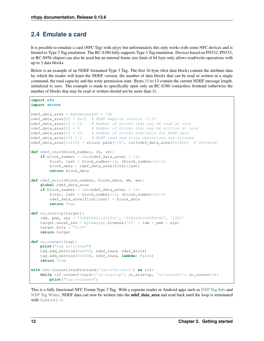# <span id="page-15-0"></span>**2.4 Emulate a card**

It is possible to emulate a card (NFC Tag) with *nfcpy* but unfortunately this only works with some NFC devices and is limited to Type 3 Tag emulation. The RC-S380 fully supports Type 3 Tag emulation. Devices based on PN532, PN533, or RC-S956 chipset can also be used but an internal frame size limit of 64 byte only allows read/write operations with up to 3 data blocks.

Below is an example of an NDEF formatted Type 3 Tag. The first 16 byte (first data block) contain the attribute data by which the reader will learn the NDEF version, the number of data blocks that can be read or written in a single command, the total capacity and the write permission state. Bytes 11 to 13 contain the current NDEF message length, initialized to zero. The example is made to specifically open only an RC-S380 contactless frontend (otherwise the number of blocks that may be read or written should not be more than 3).

```
import nfc
import struct
ndef_data_area = bytearray(64 \times 16)
ndef_data_area[0] = 0x10 # NDEF mapping version '1.0'
ndef_data_area[1] = 12 # Number of blocks that may be read at once
n\text{det}_\text{data\_area}[2] = 8 # Number of blocks that may be written at once
ndef_data_area[4] = 63 # Number of blocks available for NDEF data
ndef_data_area[10] = 1 # NDEF read and write operations are allowed
ndef_data_area[14:16] = struct.pack('>H', sum(ndef_data_area[0:14])) # Checksum
def ndef_read(block_number, rb, re):
    if block_number < len(ndef_data_area) / 16:
        first, last = block_number*16, (block_number+1) *16
       block_data = ndef_data_area[first:last]
       return block_data
def ndef_write(block_number, block_data, wb, we):
   global ndef_data_area
    if block_number < len(ndef_data_area) / 16:
        first, last = block_number*16, (block_number+1) *16
        ndef_data_area[first:last] = block_data
        return True
def on_startup(target):
    idm, pmm, sys = '03FEFFE011223344', '01E0000000FFFF00', '12FC'
    target.sensf_res = bytearray.fromhex('01' + idm + pmm + sys)
   target.brty = "212F"return target
def on_connect(tag):
   print("tag activated")
   tag.add_service(0x0009, ndef_read, ndef_write)
   tag.add_service(0x000B, ndef_read, lambda: False)
   return True
with nfc.ContactlessFrontend('usb:054c:06c1') as clf:
    while clf.connect(card={'on-startup': on_startup, 'on-connect': on_connect}):
       print("tag released")
```
This is a fully functional NFC Forum Type 3 Tag. With a separate reader or Android apps such as [NXP Tag Info](https://play.google.com/store/apps/details?id=com.nxp.taginfolite) and [NXP Tag Writer,](https://play.google.com/store/apps/details?id=com.nxp.nfc.tagwriter) NDEF data can now be written into the **ndef\_data\_area** and read back until the loop is terminated with Control-C.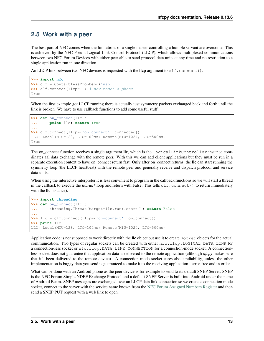## <span id="page-16-0"></span>**2.5 Work with a peer**

The best part of NFC comes when the limitations of a single master controlling a humble servant are overcome. This is achieved by the NFC Forum Logical Link Control Protocol (LLCP), which allows multiplexed communications between two NFC Forum Devices with either peer able to send protocol data units at any time and no restriction to a single application run in one direction.

An LLCP link between two NFC devices is requested with the llcp argument to  $c1f$ .connect().

```
>>> import nfc
>>> clf = ContactlessFrontend('usb')
>>> clf.connect(llcp={}) # now touch a phone
True
```
When the first example got LLCP running there is actually just symmetry packets exchanged back and forth until the link is broken. We have to use callback functions to add some useful stuff.

```
>>> def on_connect(llc):
... print llc; return True
...
>>> clf.connect(llcp={'on-connect': connected})
LLC: Local(MIU=128, LTO=100ms) Remote(MIU=1024, LTO=500ms)
True
```
The on-connect function receives a single argument llc, which is the LogicalLinkController instance coordinates aal data exchange with the remote peer. With this we can add client applications but they must be run in a separate execution context to have on connect return fast. Only after on connect returns, the llc can start running the symmetry loop (the LLCP heartbeat) with the remote peer and generally receive and dispatch protocol and service data units.

When using the interactive interpreter it is less convinient to program in the callback functions so we will start a thread in the callback to execute the *llc.run*\* loop and return with False. This tells clf.connect() to return immediately with the **llc** instance).

```
>>> import threading
>>> def on_connect(llc):
... threading.Thread(target=llc.run).start(); return False
...
>>> llc = clf.connect(llcp={'on-connect': on_connect})
>>> print llc
LLC: Local(MIU=128, LTO=100ms) Remote(MIU=1024, LTO=500ms)
```
Application code is not supposed to work directly with the lic object but use it to create Socket objects for the actual communication. Two types of regular sockets can be created with either nfc.llcp.LOGICAL\_DATA\_LINK for a connection-less socket or nfc.llcp.DATA\_LINK\_CONNECTION for a connection-mode socket. A connectionless socket does not guarantee that application data is delivered to the remote application (although *nfcpy* makes sure that it's been delivered to the remote device). A connection-mode socket cares about reliability, unless the other implementation is buggy data you send is guaranteed to make it to the receiving application - error-free and in order.

What can be done with an Android phone as the peer device is for example to send to its default SNEP Server. SNEP is the NFC Forum Simple NDEF Exchange Protocol and a default SNEP Server is built into Android under the name of Android Beam. SNEP messages are exchanged over an LLCP data link connection so we create a connection mode socket, connect to the server with the service name known from the [NFC Forum Assigned Numbers Register](http://members.nfc-forum.org/specs/nfc_forum_assigned_numbers_register) and then send a SNEP PUT request with a web link to open.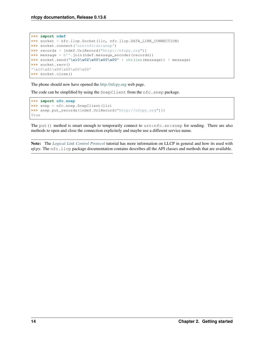```
>>> import ndef
>>> socket = nfc.llcp.Socket(llc, nfc.llcp.DATA_LINK_CONNECTION)
>>> socket.connect('urn:nfc:sn:snep')
>>> records = [ndef.UriRecord("http://nfcpy.org")]
>>> message = b''.join(ndef.message_encoder(records))
>>> socket.send("\x10\x02\x00\x00\x00" + chr(len(message)) + message)
>>> socket.recv()
'\x10\x81\x00\x00\x00\x00'
>>> socket.close()
```
The phone should now have opened the <http://nfcpy.org> web page.

The code can be simplified by using the SnepClient from the nfc.snep package.

```
>>> import nfc.snep
>>> snep = nfc.snep.SnepClient(llc)
>>> snep.put_records([ndef.UriRecord("http://nfcpy.org")])
True
```
The put() method is smart enough to temporarily connect to urn:nfc.sn:snep for sending. There are also methods to open and close the connection explicitely and maybe use a different service name.

Note: The *[Logical Link Control Protocol](#page-22-0)* tutorial has more information on LLCP in general and how its used with *nfcpy*. The nfc.llcp package documentation contains describes all the API classes and methods that are available.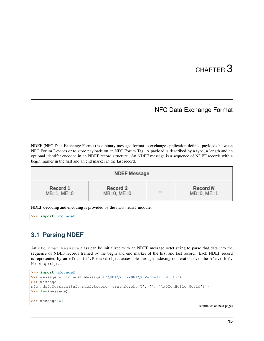# CHAPTER 3

# NFC Data Exchange Format

<span id="page-18-0"></span>NDEF (NFC Data Exchange Format) is a binary message format to exchange application-defined payloads between NFC Forum Devices or to store payloads on an NFC Forum Tag. A payload is described by a type, a length and an optional identifer encoded in an NDEF record structure. An NDEF message is a sequence of NDEF records with a begin marker in the first and an end marker in the last record.

| <b>NDEF Message</b> |                 |  |                 |  |  |  |
|---------------------|-----------------|--|-----------------|--|--|--|
| Record 1            | Record 2        |  | Record N        |  |  |  |
| $MB=1$ , $ME=0$     | $MB=0$ , $ME=0$ |  | $MB=0$ , $ME=1$ |  |  |  |

NDEF decoding and encoding is provided by the nfc.ndef module.

```
>>> import nfc.ndef
```
# <span id="page-18-1"></span>**3.1 Parsing NDEF**

An nfc.ndef.Message class can be initialized with an NDEF message octet string to parse that data into the sequence of NDEF records framed by the begin and end marker of the first and last record. Each NDEF record is represented by an nfc.ndef.Record object accessible through indexing or iteration over the nfc.ndef. Message object.

```
>>> import nfc.ndef
>>> message = nfc.ndef.Message(b'\xD1\x01\x0ET\x02enHello World')
>>> message
nfc.ndef.Message([nfc.ndef.Record('urn:nfc:wkt:T', '', '\x02enHello World')])
>>> len(message)
1
>>> message[0]
```
(continues on next page)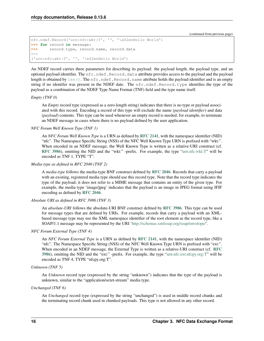(continued from previous page)

```
nfc.ndef.Record('urn:nfc:wkt:T', '', '\x02enHello World')
>>> for record in message:
>>> record.type, record.name, record.data
>>>
('urn:nfc:wkt:T', '', '\x02enHello World')
```
An NDEF record carries three parameters for describing its payload: the payload length, the payload type, and an optional payload identifier. The nfc.ndef.Record.data attribute provides access to the payload and the payload length is obtained by  $len()$ . The nfc.ndef.Record.name attribute holds the payload identifier and is an empty string if no identifer was present in the NDEF date. The nfc.ndef.Record.type identifies the type of the payload as a combination of the NDEF Type Name Format (TNF) field and the type name itself.

## *Empty (TNF 0)*

An *Empty* record type (expressed as a zero-length string) indicates that there is no type or payload associated with this record. Encoding a record of this type will exclude the name (*payload identifier*) and data (*payload*) contents. This type can be used whenever an empty record is needed; for example, to terminate an NDEF message in cases where there is no payload defined by the user application.

## *NFC Forum Well Known Type (TNF 1)*

An *NFC Forum Well Known Type* is a URN as defined by [RFC 2141](https://tools.ietf.org/html/rfc2141.html), with the namespace identifier (NID) "nfc". The Namespace Specific String (NSS) of the NFC Well Known Type URN is prefixed with "wkt:". When encoded in an NDEF message, the Well Known Type is written as a relative-URI construct (cf. [RFC 3986](https://tools.ietf.org/html/rfc3986.html)), omitting the NID and the "wkt:" -prefix. For example, the type ["urn:nfc:wkt:T"](urn:nfc:wkt:T) will be encoded as TNF 1, TYPE "T".

## *Media-type as defined in RFC 2046 (TNF 2)*

A *media-type* follows the media-type BNF construct defined by [RFC 2046](https://tools.ietf.org/html/rfc2046.html). Records that carry a payload with an existing, registered media type should use this record type. Note that the record type indicates the type of the payload; it does not refer to a MIME message that contains an entity of the given type. For example, the media type 'image/jpeg' indicates that the payload is an image in JPEG format using JFIF encoding as defined by [RFC 2046](https://tools.ietf.org/html/rfc2046.html).

## *Absolute URI as defined in RFC 3986 (TNF 3)*

An *absolute-URI* follows the absolute-URI BNF construct defined by [RFC 3986](https://tools.ietf.org/html/rfc3986.html). This type can be used for message types that are defined by URIs. For example, records that carry a payload with an XMLbased message type may use the XML namespace identifier of the root element as the record type, like a SOAP/1.1 message may be represented by the URI ['http://schemas.xmlsoap.org/soap/envelope/'](http://schemas.xmlsoap.org/soap/envelope/).

## *NFC Forum External Type (TNF 4)*

An *NFC Forum External Type* is a URN as defined by [RFC 2141](https://tools.ietf.org/html/rfc2141.html), with the namespace identifier (NID) "nfc". The Namespace Specific String (NSS) of the NFC Well Known Type URN is prefixed with "ext:". When encoded in an NDEF message, the External Type is written as a relative-URI construct (cf. [RFC](https://tools.ietf.org/html/rfc3986.html) [3986](https://tools.ietf.org/html/rfc3986.html)), omitting the NID and the "ext:" -prefix. For example, the type ["urn:nfc:ext:nfcpy.org:T"](urn:nfc:ext:nfcpy.org:T) will be encoded as TNF 4, TYPE "nfcpy.org:T".

## *Unknown (TNF 5)*

An *Unknown* record type (expressed by the string "unknown") indicates that the type of the payload is unknown, similar to the "application/octet-stream" media type.

## *Unchanged (TNF 6)*

An *Unchanged* record type (expressed by the string "unchanged") is used in middle record chunks and the terminating record chunk used in chunked payloads. This type is not allowed in any other record.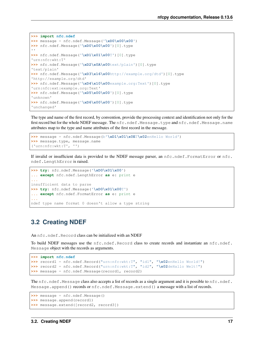```
>>> import nfc.ndef
\rightarrow\ message = nfc.ndef.Message('\xD0\x00\x00')
>>> nfc.ndef.Message('\xD0\x00\x00')[0].type
''
>>> nfc.ndef.Message('\xD1\x01\x00T')[0].type
'urn:nfc:wkt:T'
>>> nfc.ndef.Message('\xD2\x0A\x00text/plain')[0].type
'text/plain'
>>> nfc.ndef.Message('\xD3\x16\x00http://example.org/dtd')[0].type
'http://example.org/dtd'
>>> nfc.ndef.Message('\xD4\x10\x00example.org:Text')[0].type
'urn:nfc:ext:example.org:Text'
>>> nfc.ndef.Message('\xD5\x00\x00')[0].type
'unknown'
>>> nfc.ndef.Message('\xD6\x00\x00')[0].type
'unchanged'
```
The type and name of the first record, by convention, provide the processing context and identification not only for the first record but for the whole NDEF message. The nfc.ndef.Message.type and nfc.ndef.Message.name attributes map to the type and name attributes of the first record in the message.

```
>>> message = nfc.ndef.Message(b'\xD1\x01\x0ET\x02enHello World')
>>> message.type, message.name
('urn:nfc:wkt:T', '')
```
If invalid or insufficient data is provided to the NDEF message parser, an nfc.ndef.FormatError or nfc. ndef.LengthError is raised.

```
>>> try: nfc.ndef.Message('\xD0\x01\x00')
... except nfc.ndef.LengthError as e: print e
...
insufficient data to parse
>>> try: nfc.ndef.Message('\xD0\x01\x00T')
... except nfc.ndef.FormatError as e: print e
...
ndef type name format 0 doesn't allow a type string
```
## <span id="page-20-0"></span>**3.2 Creating NDEF**

An nfc.ndef.Record class can be initialized with an NDEF

To build NDEF messages use the nfc.ndef.Record class to create records and instantiate an nfc.ndef. Message object with the records as arguments.

```
>>> import nfc.ndef
>>> record1 = nfc.ndef.Record("urn:nfc:wkt:T", "id1", "\x02enHello World!")
>>> record2 = nfc.ndef.Record("urn:nfc:wkt:T", "id2", "\x02deHallo Welt!")
>>> message = nfc.ndef.Message(record1, record2)
```
The nfc.ndef.Message class also accepts a list of records as a single argument and it is possible to nfc.ndef. Message.append() records or nfc.ndef.Message.extend() a message with a list of records.

```
>>> message = nfc.ndef.Message()
>>> message.append(record1)
>>> message.extend([record2, record3])
```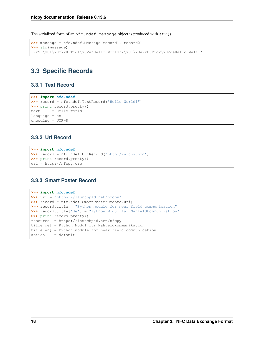The serialized form of an nfc.ndef.Message object is produced with str().

```
>>> message = nfc.ndef.Message(record1, record2)
>>> str(message)
'\x99\x01\x0f\x03Tid1\x02enHello World!Y\x01\x0e\x03Tid2\x02deHallo Welt!'
```
# <span id="page-21-0"></span>**3.3 Specific Records**

## **3.3.1 Text Record**

```
>>> import nfc.ndef
>>> record = nfc.ndef.TextRecord("Hello World!")
>>> print record.pretty()
text = Hello World!
language = en
encoding = UTF-8
```
## **3.3.2 Uri Record**

```
>>> import nfc.ndef
>>> record = nfc.ndef.UriRecord("http://nfcpy.org")
>>> print record.pretty()
uri = http://nfcpy.org
```
## **3.3.3 Smart Poster Record**

```
>>> import nfc.ndef
>>> uri = "https://launchpad.net/nfcpy"
>>> record = nfc.ndef.SmartPosterRecord(uri)
>>> record.title = "Python module for near field communication"
>>> record.title['de'] = "Python Modul für Nahfeldkommunikation"
>>> print record.pretty()
resource = https://launchpad.net/nfcpy
title[de] = Python Modul für Nahfeldkommunikation
title[en] = Python module for near field communication
action = default
```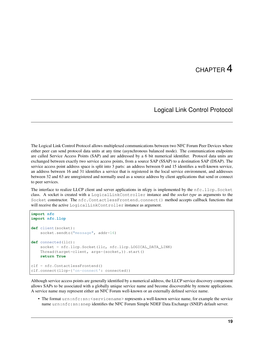# CHAPTER 4

## Logical Link Control Protocol

<span id="page-22-0"></span>The Logical Link Control Protocol allows multiplexed communications between two NFC Forum Peer Devices where either peer can send protocol data units at any time (asynchronous balanced mode). The communication endpoints are called Service Access Points (SAP) and are addressed by a 6 bit numerical identifier. Protocol data units are exchanged between exactly two service access points, from a source SAP (SSAP) to a destination SAP (DSAP). The service access point address space is split into 3 parts: an address between 0 and 15 identifies a well-known service, an address between 16 and 31 identifies a service that is registered in the local service environment, and addresses between 32 and 63 are unregistered and normally used as a source address by client applications that send or connect to peer services.

The interface to realize LLCP client and server applications in nfcpy is implemented by the nfc.llcp.Socket class. A socket is created with a LogicalLinkController instance and the *socket type* as arguments to the Socket constructor. The nfc.ContactlessFrontend.connect() method accepts callback functions that will receive the active LogicalLinkController instance as argument.

```
import nfc
import nfc.llcp
def client(socket):
   socket.sendto("message", addr=16)
def connected(llc):
    socket = nfc.llcp.Socket(llc, nfc.llcp.LOGICAL_DATA_LINK)
    Thread(target=client, args=(socket,)).start()
    return True
clf = nfc.ContactlessFrontend()
clf.connect(llcp={'on-connect': connected})
```
Although service access points are generally identified by a numerical address, the LLCP service discovery component allows SAPs to be associated with a globally unique service name and become discoverable by remote applications. A service name may represent either an NFC Forum well-known or an externally defined service name.

• The format urn:nfc:sn: <servicename> represents a well-known service name, for example the service name urn:nfc:sn:snep identifies the NFC Forum Simple NDEF Data Exchange (SNEP) default server.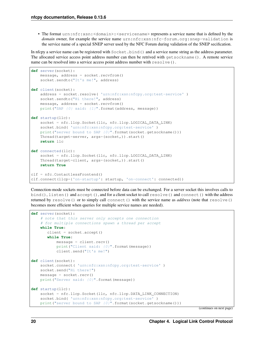• The format urn:nfc:xsn:<domain>:<servicename> represents a service name that is defined by the *domain* owner, for example the service name urn:nfc:xsn:nfc-forum.org:snep-validation is the service name of a special SNEP server used by the NFC Forum during validation of the SNEP secification.

In nfcpy a service name can be registered with  $Sockets$ . bind() and a service name string as the address parameter. The allocated service access point address number can then be retrived with getsockname(). A remote service name can be resolved into a service access point address number with resolve().

```
def server(socket):
   message, address = socket.recvfrom()
    socket.sendto("It's me!", address)
def client(socket):
   address = socket.resolve( 'urn:nfc:xsn:nfcpy.org:test-service' )
   socket.sendto("Hi there!", address)
   message, address = socket.recvfrom()
   print("SAP \{0\} said: \{1\}".format(address, message))
def startup(llc):
    socket = nfc.llcp.Socket(llc, nfc.llcp.LOGICAL_DATA_LINK)
    socket.bind( 'urn:nfc:xsn:nfcpy.org:test-service' )
    print("server bound to SAP \{0\}".format(socket.getsockname()))
    Thread(target=server, args=(socket,)).start()
    return llc
def connected(llc):
    socket = nfc.llcp.Socket(llc, nfc.llcp.LOGICAL_DATA_LINK)
   Thread(target=client, args=(socket,)).start()
   return True
clf = nfc.ContactlessFrontend()
clf.connect(llcp={'on-startup': startup, 'on-connect': connected})
```
Connection-mode sockets must be connected before data can be exchanged. For a server socket this involves calls to bind(), listen() and accept(), and for a client socket to call resolve() and connect() with the address returned by resolve() or to simply call connect() with the service name as *address* (note that resolve() becomes more efficient when queries for multiple service names are needed).

```
def server(socket):
    # note that this server only accepts one connection
    # for multiple connections spawn a thread per accept
   while True:
       client = socket.accept()
       while True:
           message = client.recv()
           print("Client said: {0}".format(message))
           client.send("It's me!")
def client(socket):
    socket.connect( 'urn:nfc:xsn:nfcpy.org:test-service' )
    socket.send("Hi there!")
   message = socket.recv()
   print ("Server said: \{0\}".format (message))
def startup(llc):
    socket = nfc.llcp.Socket(llc, nfc.llcp.DATA_LINK_CONNECTION)
    socket.bind( 'urn:nfc:xsn:nfcpy.org:test-service' )
    print("server bound to SAP \{0\}".format(socket.getsockname()))
```
(continues on next page)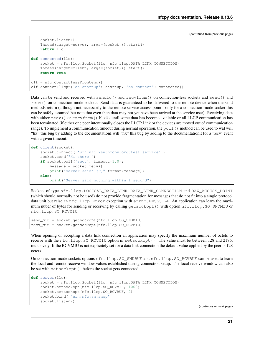(continued from previous page)

```
socket.listen()
    Thread(target=server, args=(socket,)).start()
    return llc
def connected(llc):
    socket = nfc.llcp.Socket(llc, nfc.llcp.DATA_LINK_CONNECTION)
    Thread(target=client, args=(socket,)).start()
    return True
clf = nfc.ContactlessFrontend()
clf.connect(llcp={'on-startup': startup, 'on-connect': connected})
```
Data can be send and received with sendto() and recvfrom() on connection-less sockets and send() and recv() on connection-mode sockets. Send data is guaranteed to be delivered to the remote device when the send methods return (although not necessarily to the remote service access point - only for a connection-mode socket this can be safely assumed but note that even then data may not yet have been arrived at the service user). Receiving data with either recv() or recvfrom() blocks until some data has become available or all LLCP communication has been terminated (if either one peer intentionally closes the LLCP Link or the devices are moved out of communication range). To implement a communication timeout during normal operation, the poll() method can be used to waI will "fix" this bug by adding to the documentationI will "fix" this bug by adding to the documentationit for a 'recv' event with a given timeout.

```
def client(socket):
    socket.connect( 'urn:nfc:xsn:nfcpy.org:test-service' )
    socket.send("Hi there!")
    if socket.poll('recv', timeout=1.0):
        message = socket \cdot recv()print ("Server said: \{0\}".format (message))
    else:
        print("Server said nothing within 1 second")
```
Sockets of type nfc.llcp.LOGICAL DATA LINK, DATA LINK CONNECTION and RAW ACCESS POINT (which should normally not be used) do not provide fragmentation for messages that do not fit into a single protocol data unit but raise an nfc.llcp.Error exception with errno.EMSGSIZE. An application can learn the maximum nuber of bytes for sending or receiving by calling getsockopt() with option nfc.llcp.SO\_SNDMIU or nfc.llcp.SO\_RCVMIU.

```
send_miu = socket.getsockopt(nfc.llcp.SO_SNDMIU)
recv_miu = socket.getsockopt(nfc.llcp.SO_RCVMIU)
```
When opening or accepting a data link connection an application may specify the maximum number of octets to receive with the nfc.llcp.SO\_RCVMIU option in setsockopt(). The value must be between 128 and 2176, inclusively. If the RCVMIU is not explicitely set for a data link connection the default value applied by the peer is 128 octets.

On connection-mode sockets options nfc.llcp.SO\_SNDBUF and nfc.llcp.SO\_RCVBUF can be used to learn the local and remote receive window values established during connection setup. The local receive window can also be set with setsockopt () before the socket gets connected.

```
def server(llc):
    socket = nfc.llcp.Socket(llc, nfc.llcp.DATA_LINK_CONNECTION)
    socket.setsockopt(nfc.llcp.SO_RCVMIU, 1000)
   socket.setsockopt(nfc.llcp.SO_RCVBUF, 2)
    socket.bind( "urn:nfc:sn:snep" )
    socket.listen()
```
(continues on next page)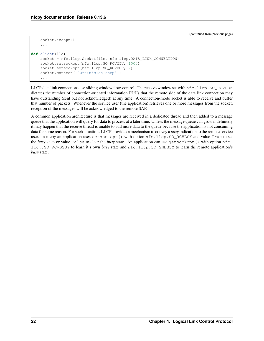(continued from previous page)

```
socket.accept()
    ...
def client(llc):
    socket = nfc.llcp.Socket(llc, nfc.llcp.DATA_LINK_CONNECTION)
    socket.setsockopt(nfc.llcp.SO_RCVMIU, 1000)
    socket.setsockopt(nfc.llcp.SO_RCVBUF, 2)
    socket.connect( "urn:nfc:sn:snep" )
    ...
```
LLCP data link connections use sliding window flow-control. The receive window set with  $nfc$ . Llcp.SO\_RCVBUF dictates the number of connection-oriented information PDUs that the remote side of the data link connection may have outstanding (sent but not acknowledged) at any time. A connection-mode socket is able to receive and buffer that number of packets. Whenever the service user (the application) retrieves one or more messages from the socket, reception of the messages will be acknowledged to the remote SAP.

A common application architecture is that messages are received in a dedicated thread and then added to a message queue that the application will query for data to process at a later time. Unless the message queue can grow indefinitely it may happen that the receive thread is unable to add more data to the queue because the application is not consuming data for some reason. For such situations LLCP provides a mechanism to convey a *busy* indication to the remote service user. In nfcpy an application uses setsockopt () with option  $nfc.llop.SO_RCVBSY$  and value True to set the *busy* state or value False to clear the *busy* state. An application can use getsockopt() with option nfc. llcp.SO\_RCVBSSY to learn it's own *busy* state and nfc.llcp.SO\_SNDBSY to learn the remote application's *busy* state.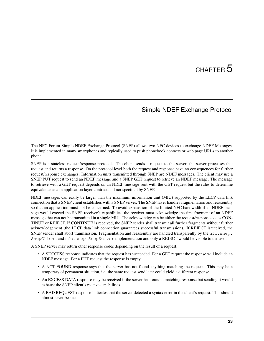# CHAPTER 5

## Simple NDEF Exchange Protocol

<span id="page-26-0"></span>The NFC Forum Simple NDEF Exchange Protocol (SNEP) allows two NFC devices to exchange NDEF Messages. It is implemented in many smartphones and typically used to push phonebook contacts or web page URLs to another phone.

SNEP is a stateless request/response protocol. The client sends a request to the server, the server processes that request and returns a response. On the protocol level both the request and response have no consequences for further request/response exchanges. Information units transmitted through SNEP are NDEF messages. The client may use a SNEP PUT request to send an NDEF message and a SNEP GET request to retrieve an NDEF message. The message to retrieve with a GET request depends on an NDEF message sent with the GET request but the rules to determine equivalence are an application layer contract and not specified by SNEP.

NDEF messages can easily be larger than the maximum information unit (MIU) supported by the LLCP data link connection that a SNEP client establishes with a SNEP server. The SNEP layer handles fragmentation and reassembly so that an application must not be concerned. To avoid exhaustion of the limited NFC bandwidth if an NDEF message would exceed the SNEP receiver's capabilities, the receiver must acknowledge the first fragment of an NDEF message that can not be transmitted in a single MIU. The acknowledge can be either the request/response codes CON-TINUE or REJECT. If CONTINUE is received, the SNEP sender shall transmit all further fragments without further acknowledgement (the LLCP data link connection guarantees successful transmission). If REJECT isreceived, the SNEP sender shall abort tranmsission. Fragmentation and reassembly are handled transparently by the nfc.snep. SnepClient and  $n \in \mathbb{S}$ . SnepServer implementation and only a REJECT would be visible to the user.

A SNEP server may return other response codes depending on the result of a request:

- A SUCCESS response indicates that the request has succeeded. For a GET request the response will include an NDEF message. For a PUT request the response is empty.
- A NOT FOUND response says that the server has not found anything matching the request. This may be a temporary of permanent situation, i.e. the same request send later could yield a different response.
- An EXCESS DATA response may be received if the server has found a matching response but sending it would exhaust the SNEP client's receive capabilities.
- A BAD REQUEST response indicates that the server detected a syntax error in the client's request. This should almost never be seen.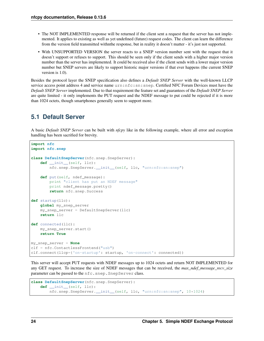- The NOT IMPLEMENTED response will be returned if the client sent a request that the server has not implemented. It applies to existing as well as yet undefined (future) request codes. The client can learn the difference from the version field transmitted withnthe response, but in reality it doesn't matter - it's just not supported.
- With UNSUPPORTED VERSION the server reacts to a SNEP version number sent with the request that it doesn't support or refuses to support. This should be seen only if the client sends with a higher major version number than the server has implemented. It could be received also if the client sends with a lower major version number but SNEP servers are likely to support historic major versions if that ever happens (the current SNEP version is 1.0).

Besides the protocol layer the SNEP specification also defines a *Default SNEP Server* with the well-known LLCP service access point address 4 and service name urn:nfc:sn:snep. Certified NFC Forum Devices must have the *Default SNEP Server* implemented. Due to that requirement the feature set and guarantees of the *Default SNEP Server* are quite limited - it only implements the PUT request and the NDEF message to put could be rejected if it is more than 1024 octets, though smartphones generally seem to support more.

# <span id="page-27-0"></span>**5.1 Default Server**

A basic *Default SNEP Server* can be built with *nfcpy* like in the following example, where all error and exception handling has been sacrified for brevity.

```
import nfc
import nfc.snep
class DefaultSnepServer(nfc.snep.SnepServer):
    def __init__(self, llc):
        nfc.snep.SnepServer.__init__(self, llc, "urn:nfc:sn:snep")
    def put(self, ndef_message):
        print "client has put an NDEF message"
        print ndef_message.pretty()
        return nfc.snep.Success
def startup(llc):
   global my_snep_server
    my_snep_server = DefaultSnepServer(llc)
    return llc
def connected(llc):
    my_snep_server.start()
    return True
my_snep_server = None
clf = nfc.ContactlessFrontend("usb")
clf.connect(llcp={'on-startup': startup, 'on-connect': connected})
```
This server will accept PUT requests with NDEF messages up to 1024 octets and return NOT IMPLEMENTED for any GET request. To increase the size of NDEF messages that can be received, the *max\_ndef\_message\_recv\_size* parameter can be passed to the nfc.snep.SnepServer class.

```
class DefaultSnepServer(nfc.snep.SnepServer):
   def __init__(self, llc):
       nfc.snep.SnepServer.__init__(self, llc, "urn:nfc:sn:snep", 10*1024)
```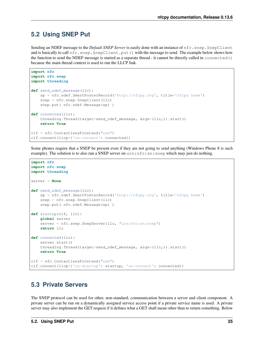# <span id="page-28-0"></span>**5.2 Using SNEP Put**

Sending an NDEF message to the *Default SNEP Server* is easily done with an instance of nfc.snep.SnepClient and is basically to call  $n \in c$ . snep. SnepClient.put() with the message to send. The example below shows how the function to send the NDEF message is started as a separate thread - it cannot be directly called in connected() because the main thread context is used to run the LLCP link.

```
import nfc
import nfc.snep
import threading
def send_ndef_message(llc):
    sp = nfc.ndef.SmartPosterRecord('http://nfcpy.org', title='nfcpy home')
    snep = nfc.snep.SnepClient(llc)
    snep.put( nfc.ndef.Message(sp) )
def connected(llc):
   threading.Thread(target=send_ndef_message, args=(llc,)).start()
    return True
clf = nfc.ContactlessFrontend("usb")
clf.connect(llcp={'on-connect': connected})
```
Some phones require that a SNEP be present even if they are not going to send anything (Windows Phone 8 is such example). The solution is to also run a SNEP server on  $urn:n \in \mathbb{C}:sn:sn \in \mathbb{R}$  which may just do nothing.

```
import nfc
import nfc.snep
import threading
server = None
def send_ndef_message(llc):
    sp = nfc.ndef.SmartPosterRecord('http://nfcpy.org', title='nfcpy home')
    snep = nfc.snep.SnepClient(llc)
    snep.put( nfc.ndef.Message(sp) )
def startup(clf, llc):
   global server
    server = nfc.snep.SnepServer(llc, "urn:nfc:sn:snep")
   return llc
def connected(llc):
   server.start()
    threading.Thread(target=send_ndef_message, args=(llc,)).start()
    return True
clf = nfc.ContactlessFrontend("usb")
clf.connect(llcp={'on-startup': startup, 'on-connect': connected})
```
# <span id="page-28-1"></span>**5.3 Private Servers**

The SNEP protocol can be used for other, non-standard, communication between a server and client component. A private server can be run on a dynamically assigned service access point if a private service name is used. A private server may also implement the GET request if it defines what a GET shall mean other than to return something. Below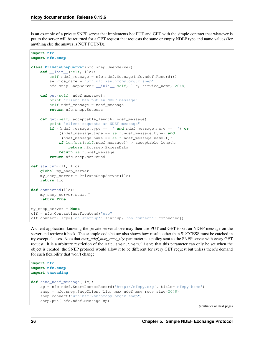is an example of a private SNEP server that implements bot PUT and GET with the simple contract that whatever is put to the server will be returned for a GET request that requests the same or empty NDEF type and name values (for anything else the answer is NOT FOUND).

```
import nfc
import nfc.snep
class PrivateSnepServer(nfc.snep.SnepServer):
   def __init__(self, llc):
       self.ndef_message = nfc.ndef.Message(nfc.ndef.Record())
        service_name = "urn:nfc:xsn:nfcpy.org:x-snep"
        nfc.snep.SnepServer.__init__(self, llc, service_name, 2048)
   def put(self, ndef_message):
        print "client has put an NDEF message"
        self.ndef_message = ndef_message
        return nfc.snep.Success
   def get(self, acceptable_length, ndef_message):
        print "client requests an NDEF message"
        if ((ndef_message.type == '' and ndef_message.name == '') or
            ((ndef_message.type == self.ndef_message.type) and
             (ndef_message.name == self.ndef_message.name))):
            if len(str(self.ndef_message)) > acceptable_length:
                return nfc.snep.ExcessData
            return self.ndef_message
        return nfc.snep.NotFound
def startup(clf, llc):
   global my_snep_server
   my_snep_server = PrivateSnepServer(llc)
   return llc
def connected(llc):
   my_snep_server.start()
   return True
my_snep_server = None
clf = nfc.ContactlessFrontend("usb")
clf.connect(llcp={'on-startup': startup, 'on-connect': connected})
```
A client application knowing the private server above may then use PUT and GET to set an NDEF message on the server and retrieve it back. The example code below also shows how results other than SUCCESS must be catched in try-except clauses. Note that *max\_ndef\_msg\_recv\_size* parameter is a policy sent to the SNEP server with every GET request. It is a arbitrary restriction of the nfc.snep.SnepClient that this parameter can only be set when the object is created; the SNEP protocol would allow it to be different for every GET request but unless there's demand for such flexibility that won't change.

```
import nfc
import nfc.snep
import threading
def send_ndef_message(llc):
    sp = nfc.ndef.SmartPosterRecord('http://nfcpy.org', title='nfcpy home')
    snep = nfc.snep.SnepClient(llc, max_ndef_msg_recv_size=2048)
    snep.connect("urn:nfc:xsn:nfcpy.org:x-snep")
    snep.put( nfc.ndef.Message(sp) )
```
(continues on next page)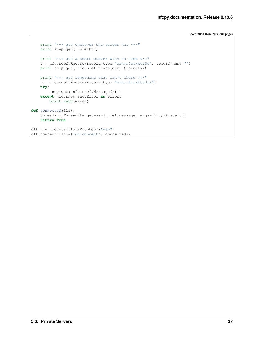(continued from previous page)

```
print "*** get whatever the server has ***"
   print snep.get().pretty()
   print "*** get a smart poster with no name ***"
   r = nfc.ndef.Record(record_type="urn:nfc:wkt:Sp", record_name="")
   print snep.get( nfc.ndef.Message(r) ).pretty()
   print "*** get something that isn't there ***"
   r = nfc.ndef.Record(record_type="urn:nfc:wkt:Uri")
   try:
        snep.get( nfc.ndef.Message(r) )
    except nfc.snep.SnepError as error:
       print repr(error)
def connected(llc):
    threading.Thread(target=send_ndef_message, args=(llc,)).start()
   return True
clf = nfc.ContactlessFrontend("usb")
clf.connect(llcp={'on-connect': connected})
```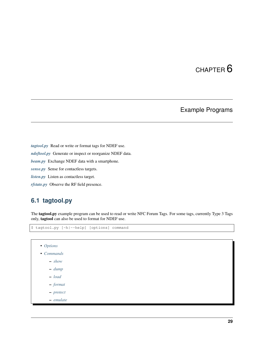# CHAPTER 6

# Example Programs

<span id="page-32-0"></span>*[tagtool.py](#page-32-1)* Read or write or format tags for NDEF use. *[ndeftool.py](#page-38-0)* Generate or inspect or reorganize NDEF data. *[beam.py](#page-43-0)* Exchange NDEF data with a smartphone. *[sense.py](#page-47-0)* Sense for contactless targets. *[listen.py](#page-49-0)* Listen as contactless target. *[rfstate.py](#page-54-0)* Observe the RF field presence.

# <span id="page-32-1"></span>**6.1 tagtool.py**

The tagtool.py example program can be used to read or write NFC Forum Tags. For some tags, currently Type 3 Tags only, tagtool can also be used to format for NDEF use.

```
$ tagtool.py [-h|--help] [options] command
```
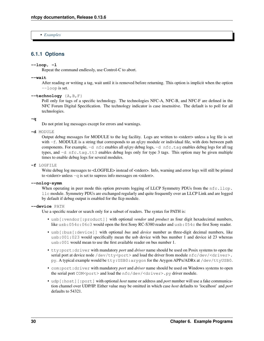• *[Examples](#page-37-1)*

## <span id="page-33-0"></span>**6.1.1 Options**

### **--loop**, **-l**

Repeat the command endlessly, use Control-C to abort.

#### **--wait**

After reading or writing a tag, wait until it is removed before returning. This option is implicit when the option --loop is set.

### **--technology** {A,B,F}

Poll only for tags of a specific technology. The technologies NFC-A, NFC-B, and NFC-F are defined in the NFC Forum Digital Specification. The technology indicator is case insensitive. The default is to poll for all technologies.

### **-q**

Do not print log messages except for errors and warnings.

## **-d** MODULE

Output debug messages for MODULE to the log facility. Logs are written to <stderr> unless a log file is set with -f. MODULE is a string that corresponds to an *nfcpy* module or individual file, with dots between path components. For example, -d nfc enables all *nfcpy* debug logs, -d nfc.tag enables debug logs for all tag types, and -d nfc.tag.tt3 enables debug logs only for type 3 tags. This option may be given multiple times to enable debug logs for several modules.

### **-f** LOGFILE

Write debug log messages to <LOGFILE> instead of <stderr>. Info, warning and error logs will still be printed to <stderr> unless -q is set to supress info messages on <stderr>.

### **--nolog-symm**

When operating in peer mode this option prevents logging of LLCP Symmetry PDUs from the nfc.llcp. llc module. Symmetry PDUs are exchanged regularly and quite frequently over an LLCP Link and are logged by default if debug output is enabled for the llcp module.

#### **--device** PATH

Use a specific reader or search only for a subset of readers. The syntax for PATH is:

- usb[:vendor[:product]] with optional *vendor* and *product* as four digit hexadecimal numbers, like usb:054c:06c3 would open the first Sony RC-S380 reader and usb:054c the first Sony reader.
- usb[:bus[:device]] with optional *bus* and *device* number as three-digit decimal numbers, like usb:001:023 would specifically mean the usb device with bus number 1 and device id 23 whereas usb:001 would mean to use the first available reader on bus number 1.
- tty:port:driver with mandatory *port* and *driver* name should be used on Posix systems to open the serial port at device node /dev/tty<port> and load the driver from module  $nfc/dev/clriver$ . py. A typical example would be tty:USB0:arygon for the Arygon APPx/ADRx at /dev/ttyUSB0.
- com:port:driver with mandatory *port* and *driver* name should be used on Windows systems to open the serial port COM<port> and load the nfc/dev/<driver>.py driver module.
- udp[:host][:port] with optional *host* name or address and *port* number will use a fake communication channel over UDP/IP. Either value may be omitted in which case *host* defaults to 'localhost' and *port* defaults to 54321.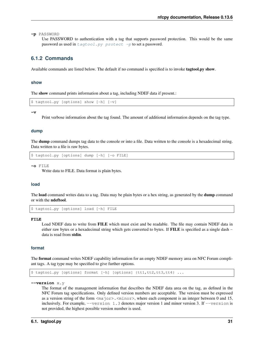**-p** PASSWORD

Use PASSWORD to authentication with a tag that supports password protection. This would be the same password as used in  $tagtool.py$  protect  $-p$  to set a password.

## <span id="page-34-0"></span>**6.1.2 Commands**

Available commands are listed below. The default if no command is specified is to invoke tagtool.py show.

## <span id="page-34-1"></span>**show**

The show command prints information about a tag, including NDEF data if present.:

```
$ tagtool.py [options] show [-h] [-v]
```
**-v**

Print verbose information about the tag found. The amount of additional information depends on the tag type.

## <span id="page-34-2"></span>**dump**

The **dump** command dumps tag data to the console or into a file. Data written to the console is a hexadecimal string. Data written to a file is raw bytes.

\$ tagtool.py [options] dump [-h] [-o FILE]

**-o** FILE

Write data to FILE. Data format is plain bytes.

### <span id="page-34-3"></span>**load**

The **load** command writes data to a tag. Data may be plain bytes or a hex string, as generated by the **dump** command or with the ndeftool.

\$ tagtool.py [options] load [-h] FILE

#### **FILE**

Load NDEF data to write from FILE which must exist and be readable. The file may contain NDEF data in either raw bytes or a hexadecimal string which gets converted to bytes. If FILE is specified as a single dash data is read from stdin.

## <span id="page-34-4"></span>**format**

The format command writes NDEF capability information for an empty NDEF memory area on NFC Forum compliant tags. A tag type may be specified to give further options.

\$ tagtool.py [options] format [-h] [options] {tt1,tt2,tt3,tt4} ...

**--version** x.y

The format of the management information that describes the NDEF data area on the tag, as defined in the NFC Forum tag specifications. Only defined version numbers are acceptable. The version must be expressed as a version string of the form  $\langle maj\circ r\rangle$ .  $\langle min\circ r\rangle$ , where each component is an integer between 0 and 15, inclusively. For example,  $-\text{version } 1.3$  denotes major version 1 and minor version 3. If  $-\text{version}$  is not provided, the highest possible version number is used.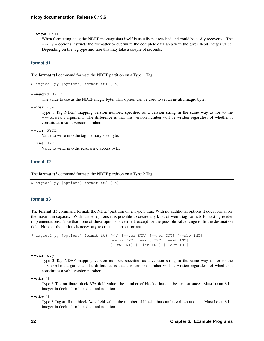**--wipe** BYTE

When formatting a tag the NDEF message data itself is usually not touched and could be easily recovered. The --wipe options instructs the formatter to overwrite the complete data area with the given 8-bit integer value. Depending on the tag type and size this may take a couple of seconds.

## **format tt1**

The format tt1 command formats the NDEF partition on a Type 1 Tag.

```
$ tagtool.py [options] format tt1 [-h]
```

```
--magic BYTE
```
The value to use as the NDEF magic byte. This option can be used to set an invalid magic byte.

**--ver** x.y

Type 1 Tag NDEF mapping version number, specified as a version string in the same way as for to the --version argument. The difference is that this version number will be written regardless of whether it constitutes a valid version number.

#### **--tms** BYTE

Value to write into the tag memory size byte.

```
--rwa BYTE
```
Value to write into the read/write access byte.

## **format tt2**

The format tt2 command formats the NDEF partition on a Type 2 Tag.

```
$ tagtool.py [options] format tt2 [-h]
```
## **format tt3**

The format tt3 command formats the NDEF partition on a Type 3 Tag. With no additional options it does format for the maximum capacity. With further options it is possible to create any kind of weird tag formats for testing reader implementations. Note that none of these options is verified, except for the possible value range to fit the destination field. None of the options is necessary to create a correct format.

```
$ tagtool.py [options] format tt3 [-h] [--ver STR] [--nbr INT] [--nbw INT]
                                    [--max INT] [--rfu INT] [--wf INT]
                                    [--rw \; INT] [--len \; INT] [--crc \; INT]
```
**--ver** x.y

Type 3 Tag NDEF mapping version number, specified as a version string in the same way as for to the --version argument. The difference is that this version number will be written regardless of whether it constitutes a valid version number.

**--nbr** N

Type 3 Tag attribute block *Nbr* field value, the number of blocks that can be read at once. Must be an 8-bit integer in decimal or hexadecimal notation.

**--nbw** N

Type 3 Tag attribute block *Nbw* field value, the number of blocks that can be written at once. Must be an 8-bit integer in decimal or hexadecimal notation.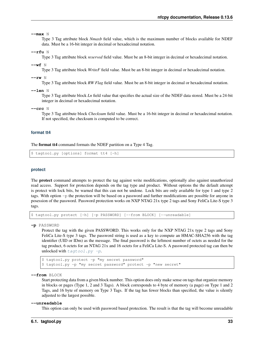**--max** N

Type 3 Tag attribute block *Nmaxb* field value, which is the maximum number of blocks available for NDEF data. Must be a 16-bit integer in decimal or hexadecimal notation.

**--rfu** N

Type 3 Tag attribute block *reserved* field value. Must be an 8-bit integer in decimal or hexadecimal notation.

**--wf** N

Type 3 Tag attribute block *WriteF* field value. Must be an 8-bit integer in decimal or hexadecimal notation.

**--rw** N

Type 3 Tag attribute block *RW Flag* field value. Must be an 8-bit integer in decimal or hexadecimal notation.

**--len** N

Type 3 Tag attribute block *Ln* field value that specifies the actual size of the NDEF data stored. Must be a 24-bit integer in decimal or hexadecimal notation.

**--crc** N

Type 3 Tag attribute block *Checksum* field value. Must be a 16-bit integer in decimal or hexadecimal notation. If not specified, the checksum is computed to be correct.

#### **format tt4**

The format tt4 command formats the NDEF partition on a Type 4 Tag.

\$ tagtool.py [options] format tt4 [-h]

#### **protect**

The protect command attempts to protect the tag against write modifications, optionally also against unauthorized read access. Support for protection depends on the tag type and product. Without options the the default attempt is protect with lock bits, be warned that this can not be undone. Lock bits are only available for type 1 and type 2 tags. With option  $-p$  the protection will be based on a password and further modifications are possible for anyone in posession of the password. Password protection works on NXP NTAG 21x type 2 tags and Sony FeliCa Lite-S type 3 tags.

\$ tagtool.py protect [-h] [-p PASSWORD] [--from BLOCK] [--unreadable]

**-p** PASSWORD

Protect the tag with the given PASSWORD. This works only for the NXP NTAG 21x type 2 tags and Sony FeliCa Lite-S type 3 tags. The password string is used as a key to compute an HMAC-SHA256 with the tag identifier (UID or IDm) as the message. The final password is the leftmost number of octets as needed for the tag product, 6 octets for an NTAG 21x and 16 octets for a FeliCa Lite-S. A password protected tag can then be unlocked with  $tagtool.py$  -p.

\$ tagtool.py protect -p "my secret password" \$ tagtool.py -p "my secret password" protect -p "new secret"

**--from** BLOCK

Start protecting data from a given block number. This option does only make sense on tags that organize memory in blocks or pages (Type 1, 2 and 3 Tags). A block corresponds to 4 byte of memory (a page) on Type 1 and 2 Tags, and 16 byte of memory on Type 3 Tags. If the tag has fewer blocks than specified, the value is silently adjusted to the largest possible.

#### **--unreadable**

This option can only be used with password based protection. The result is that the tag will become unreadable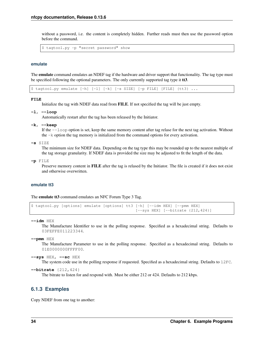without a password, i.e. the content is completely hidden. Further reads must then use the password option before the command.

\$ tagtool.py -p "secret password" show

#### **emulate**

The **emulate** command emulates an NDEF tag if the hardware and driver support that functionality. The tag type must be specified following the optional parameters. The only currently supported tag type it **tt3**.

\$ tagtool.py emulate [-h] [-l] [-k] [-s SIZE] [-p FILE] [FILE] {tt3} ...

#### **FILE**

Initialize the tag with NDEF data read from FILE. If not specified the tag will be just empty.

**-l**, **--loop**

Automatically restart after the tag has been released by the Initiator.

**-k**, **--keep**

If the --loop option is set, keep the same memory content after tag relase for the next tag activation. Without the -k option the tag memory is initialized from the command options for every activation.

**-s** SIZE

The minimum size for NDEF data. Depending on the tag type this may be rounded up to the nearest multiple of the tag storage granularity. If NDEF data is provided the size may be adjusted to fit the length of the data.

**-p** FILE

Preserve memory content in FILE after the tag is relased by the Initiator. The file is created if it does not exist and otherwise overwritten.

#### **emulate tt3**

The **emulate tt3** command emulates an NFC Forum Type 3 Tag.

```
$ tagtool.py [options] emulate [options] tt3 [-h] [--idm HEX] [--pmm HEX]
                                             [--sys HEX] [--bitrate {212,424}]
```
**--idm** HEX

The Manufacture Identifier to use in the polling response. Specified as a hexadecimal string. Defaults to 03FEFFE011223344.

#### **--pmm** HEX

The Manufacture Parameter to use in the polling response. Specified as a hexadecimal string. Defaults to 01E0000000FFFF00.

```
--sys HEX, --sc HEX
```
The system code use in the polling response if requested. Specified as a hexadecimal string. Defaults to 12FC.

```
--bitrate {212,424}
```
The bitrate to listen for and respond with. Must be either 212 or 424. Defaults to 212 kbps.

# **6.1.3 Examples**

Copy NDEF from one tag to another: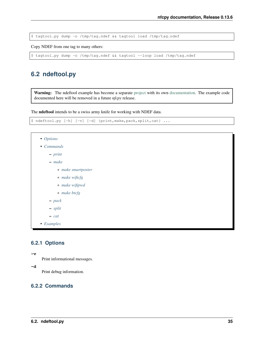\$ tagtool.py dump -o /tmp/tag.ndef && tagtool load /tmp/tag.ndef

Copy NDEF from one tag to many others:

\$ tagtool.py dump -o /tmp/tag.ndef && tagtool --loop load /tmp/tag.ndef

# **6.2 ndeftool.py**

Warning: The ndeftool example has become a separate [project](https://github.com/nfcpy/ndeftool) with its own [documentation.](https://ndeftool.readthedocs.io) The example code documented here will be removed in a future *nfcpy* release.

The ndeftool intends to be a swiss army knife for working with NDEF data.

```
$ ndeftool.py [-h] [-v] [-d] {print,make,pack,split,cat} ...
```

```
• Options
• Commands
    – print
    – make
        * make smartposter
        * make wificfg
        * make wifipwd
        * make btcfg
    – pack
    – split
    – cat
• Examples
```
# <span id="page-38-0"></span>**6.2.1 Options**

Print informational messages.

**-d**

**-v**

Print debug information.

# <span id="page-38-2"></span><span id="page-38-1"></span>**6.2.2 Commands**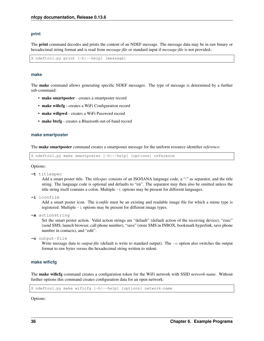#### **print**

The print command decodes and prints the content of an NDEF message. The message data may be in raw binary or hexadecimal string format and is read from *message-file* or standard input if *message-file* is not provided.:

\$ ndeftool.py print [-h|--help] [message]

#### <span id="page-39-0"></span>**make**

The make command allows generating specific NDEF messages. The type of message is determined by a further sub-command:

- make smartposter creates a smartposter record
- make wificfg creates a WiFi Configuration record
- make wifipwd creates a WiFi Password record
- make btcfg creates a Bluetooth out-of-band record

#### <span id="page-39-1"></span>**make smartposter**

The make smartposter command creates a smartposter message for the uniform resource identifier *reference*:

\$ ndeftool.py make smartposter [-h|--help] [options] reference

#### Options:

**-t** titlespec

Add a smart poster title. The *titlespec* consists of an ISO/IANA language code, a ":" as separator, and the title string. The language code is optional and defaults to "en". The separator may then also be omitted unless the title string itself contains a colon. Multiple -t options may be present for different languages.

**-i** iconfile

Add a smart poster icon. The *iconfile* must be an existing and readable image file for which a mime type is registered. Multiple -i options may be present for different image types.

**-a** actionstring

Set the smart poster action. Valid action strings are "default" (default action of the receiving device), "exec" (send SMS, launch browser, call phone number), "save" (store SMS in INBOX, bookmark hyperlink, save phone number in contacts), and "edit".

```
-o output-file
```
Write message data to *output-file* (default is write to standard output). The  $-\infty$  option also switches the output format to raw bytes versus the hexadecimal string written to stdout.

# <span id="page-39-2"></span>**make wificfg**

The make wificfg command creates a configuration token for the WiFi network with SSID *network-name*. Without further options this command creates configuration data for an open network:

\$ ndeftool.py make wificfg [-h|--help] [options] network-name

Options: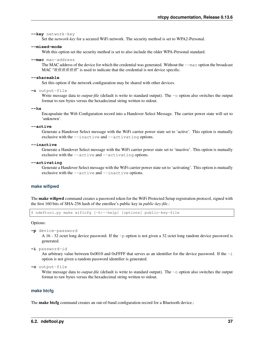```
--key network-key
```
Set the *network-key* for a secured WiFi network. The security method is set to WPA2-Personal.

#### **--mixed-mode**

With this option set the security method is set to also include the older WPA-Personal standard.

**--mac** mac-address

The MAC address of the device for which the credential was generated. Without the --mac option the broadcast MAC "ff:ff:ff:ff:ff:ff" is used to indicate that the credential is not device specific.

**--shareable**

Set this option if the network configuration may be shared with other devices.

```
-o output-file
```
Write message data to *output-file* (default is write to standard output). The  $-\infty$  option also switches the output format to raw bytes versus the hexadecimal string written to stdout.

**--hs**

Encapsulate the Wifi Configuration record into a Handover Select Message. The carrier power state will set to 'unknown'.

**--active**

Generate a Handover Select message with the WiFi carrier power state set to 'active'. This option is mutually exclusive with the --inactive and --activating options.

#### **--inactive**

Generate a Handover Select message with the WiFi carrier power state set to 'inactive'. This option is mutually exclusive with the --active and --activating options.

#### **--activating**

Generate a Handover Select message with the WiFi carrier power state set to 'activating'. This option is mutually exclusive with the --active and --inactive options.

#### <span id="page-40-0"></span>**make wifipwd**

The make wifipwd command creates a password token for the WiFi Protected Setup registration protocol, signed with the first 160 bits of SHA-256 hash of the enrollee's public key in *public-key-file*.:

\$ ndeftool.py make wificfg [-h|--help] [options] public-key-file

Options:

```
-p device-password
```
A 16 - 32 octet long device password. If the -p option is not given a 32 octet long random device password is generated.

**-i** password-id

An arbitrary value between 0x0010 and 0xFFFF that serves as an identifier for the device password. If the  $-i$ option is not given a random password identifier is generated.

```
-o output-file
```
Write message data to *output-file* (default is write to standard output). The  $-\infty$  option also switches the output format to raw bytes versus the hexadecimal string written to stdout.

#### <span id="page-40-1"></span>**make btcfg**

The make btcfg command creates an out-of-band configuration record for a Bluetooth device.: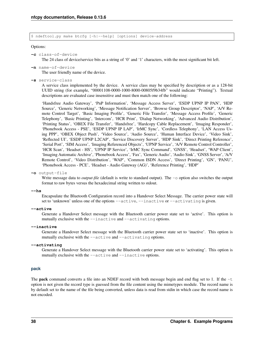\$ ndeftool.py make btcfg [-h|--help] [options] device-address

#### Options:

#### **-c** class-of-device

The 24 class of device/service bits as a string of '0' and '1' characters, with the most significant bit left.

**-n** name-of-device

The user friendly name of the device.

**-s** service-class

A service class implemented by the device. A service class may be specified by description or as a 128-bit UUID string (for example, "00001108-0000-1000-8000-00805f9b34fb" would indicate "Printing"). Textual descriptions are evaluated case insensitive and must then match one of the following:

'Handsfree Audio Gateway', 'PnP Information', 'Message Access Server', 'ESDP UPNP IP PAN', 'HDP Source', 'Generic Networking', 'Message Notification Server', 'Browse Group Descriptor', 'NAP', 'A/V Remote Control Target', 'Basic Imaging Profile', 'Generic File Transfer', 'Message Access Profile', 'Generic Telephony', 'Basic Printing', 'Intercom', 'HCR Print', 'Dialup Networking', 'Advanced Audio Distribution', 'Printing Status', 'OBEX File Transfer', 'Handsfree', 'Hardcopy Cable Replacement', 'Imaging Responder', 'Phonebook Access - PSE', 'ESDP UPNP IP LAP', 'IrMC Sync', 'Cordless Telephony', 'LAN Access Using PPP', 'OBEX Object Push', 'Video Source', 'Audio Source', 'Human Interface Device', 'Video Sink', 'Reflected UI', 'ESDP UPNP L2CAP', 'Service Discovery Server', 'HDP Sink', 'Direct Printing Reference', 'Serial Port', 'SIM Access', 'Imaging Referenced Objects', 'UPNP Service', 'A/V Remote Control Controller', 'HCR Scan', 'Headset - HS', 'UPNP IP Service', 'IrMC Sync Command', 'GNSS', 'Headset', 'WAP Client', 'Imaging Automatic Archive', 'Phonebook Access', 'Fax', 'Generic Audio', 'Audio Sink', 'GNSS Server', 'A/V Remote Control', 'Video Distribution', 'WAP', 'Common ISDN Access', 'Direct Printing', 'GN', 'PANU', 'Phonebook Access - PCE', 'Headset - Audio Gateway (AG)', 'Reference Printing', 'HDP'

**-o** output-file

Write message data to *output-file* (default is write to standard output). The  $-\infty$  option also switches the output format to raw bytes versus the hexadecimal string written to stdout.

**--hs**

Encapsulate the Bluetooth Configuration record into a Handover Select Message. The carrier power state will set to 'unknown' unless one of the options --active, --inactive or --activating is given.

#### **--active**

Generate a Handover Select message with the Bluetooth carrier power state set to 'active'. This option is mutually exclusive with the  $-\text{-inactive}$  and  $-\text{-artivating options}$ .

#### **--inactive**

Generate a Handover Select message with the Bluetooth carrier power state set to 'inactive'. This option is mutually exclusive with the  $-\text{active}$  and  $-\text{active}$  ivating options.

#### **--activating**

Generate a Handover Select message with the Bluetooth carrier power state set to 'activating'. This option is mutually exclusive with the --active and --inactive options.

#### <span id="page-41-0"></span>**pack**

The **pack** command converts a file into an NDEF record with both message begin and end flag set to 1. If the  $-t$ option is not given the record type is guessed from the file content using the mimetypes module. The record name is by default set to the name of the file being converted, unless data is read from stdin in which case the record name is not encoded.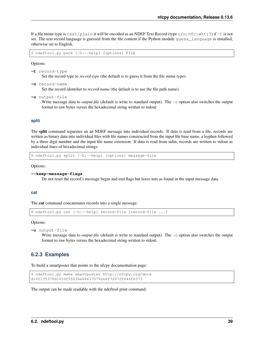If a file mime type is text/plain it will be encoded as an NDEF Text Record (type urn:nfc:wkt:T) if  $-t$  is not set. The text record language is guessed from the file content if the Python module guess\_language is installed, otherwise set to English.

\$ ndeftool.py pack [-h|--help] [options] FILE

Options:

```
-t record-type
      Set the record type to record-type (the default is to guess it from the file mime type).
```
**-n** record-name

Set the record identifier to *record-name* (the default is to use the file path name).

```
-o output-file
```
Write message data to *output-file* (default is write to standard output). The  $-\infty$  option also switches the output format to raw bytes versus the hexadecimal string written to stdout.

### <span id="page-42-0"></span>**split**

The split command separates an an NDEF message into individual records. If data is read from a file, records are written as binary data into individual files with file names constructed from the input file base name, a hyphen followed by a three digit number and the input file name extension. If data is read from stdin, records are written to stdout as individual lines of hexadecimal strings.

\$ ndeftool.py split [-h|--help] [options] message-file

Options:

```
--keep-message-flags
```
Do not reset the record's message begin and end flags but leave tem as found in the input message data.

#### <span id="page-42-1"></span>**cat**

The cat command concatenates records into a single message.

```
$ ndeftool.py cat [-h|--help] record-file [record-file ...]
```
Options:

```
-o output-file
```
Write message data to *output-file* (default is write to standard output). The  $-\infty$  option also switches the output format to raw bytes versus the hexadecimal string written to stdout.

# <span id="page-42-2"></span>**6.2.3 Examples**

To build a smartposter that points to the nfcpy documentation page:

```
$ ndeftool.py make smartposter http://nfcpy.org/docs
d102135370d1010f55036e666370792e6f72672f646f6373
```
The output can be made readable with the ndeftool print command: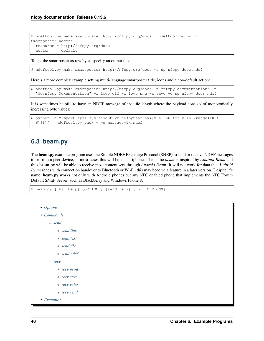```
$ ndeftool.py make smartposter http://nfcpy.org/docs | ndeftool.py print
Smartposter Record
 resource = http://nfcpy.org/docs
 action = default
```
To get the smartposter as raw bytes specify an output file:

```
$ ndeftool.py make smartposter http://nfcpy.org/docs -o sp_nfcpy_docs.ndef
```
Here's a more complex example setting multi-language smartposter title, icons and a non-default action:

```
$ ndeftool.py make smartposter http://nfcpy.org/docs -t "nfcpy documentation" -t
˓→"de:nfcpy Dokumentation" -i logo.gif -i logo.png -a save -o sp_nfcpy_docs.ndef
```
It is sometimes helpful to have an NDEF message of specific length where the payload consists of monotonically increasing byte values:

```
$ python -c "import sys; sys.stdout.write(bytearray([x % 256 for x in xrange(1024-
˓→6)]))" | ndeftool.py pack - -o message-1k.ndef
```
# **6.3 beam.py**

The beam.py example program uses the Simple NDEF Exchange Protocol (SNEP) to send or receive NDEF messages to or from a peer device, in most cases this will be a smartphone. The name *beam* is inspired by *Android Beam* and thus beam.py will be able to receive most content sent through *Android Beam*. It will not work for data that *Android Beam* sends with connection handover to Bluetooth or Wi-Fi, this may become a feature in a later version. Despite it's name, **beam.py** works not only with Android phones but any NFC enabled phone that implements the NFC Forum Default SNEP Server, such as Blackberry and Windows Phone 8.

\$ beam.py [-h|--help] [OPTIONS] {send|recv} [-h] [OPTIONS]

```
• Options
• Commands
    – send
         * send link
         * send text
         * send file
         * send ndef
    – recv
         * recv print
         * recv save
         * recv echo
         * recv send
• Examples
```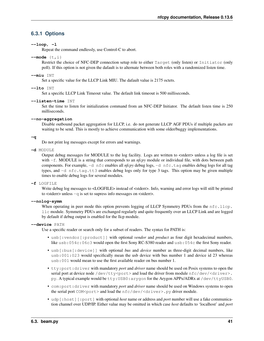# <span id="page-44-0"></span>**6.3.1 Options**

# **--loop**, **-l**

Repeat the command endlessly, use Control-C to abort.

# **--mode** {t,i}

Restrict the choice of NFC-DEP connection setup role to either Target (only listen) or Initiator (only poll). If this option is not given the dafault is to alternate between both roles with a randomized listen time.

### **--miu** INT

Set a specific value for the LLCP Link MIU. The dafault value is 2175 octets.

# **--lto** INT

Set a specific LLCP Link Timeout value. The default link timeout is 500 milliseconds.

# **--listen-time** INT

Set the time to listen for initialization command from an NFC-DEP Initiator. The default listen time is 250 milliseconds.

# **--no-aggregation**

Disable outbound packet aggregation for LLCP, i.e. do not generate LLCP AGF PDUs if multiple packets are waiting to be send. This is mostly to achieve communication with some older/buggy implementations.

# **-q**

Do not print log messages except for errors and warnings.

# **-d** MODULE

Output debug messages for MODULE to the log facility. Logs are written to <stderr> unless a log file is set with -f. MODULE is a string that corresponds to an *nfcpy* module or individual file, with dots between path components. For example, -d nfc enables all *nfcpy* debug logs, -d nfc.tag enables debug logs for all tag types, and -d nfc.tag.tt3 enables debug logs only for type 3 tags. This option may be given multiple times to enable debug logs for several modules.

#### **-f** LOGFILE

Write debug log messages to <LOGFILE> instead of <stderr>. Info, warning and error logs will still be printed to <stderr> unless -q is set to supress info messages on <stderr>.

#### **--nolog-symm**

When operating in peer mode this option prevents logging of LLCP Symmetry PDUs from the nfc.llcp. llc module. Symmetry PDUs are exchanged regularly and quite frequently over an LLCP Link and are logged by default if debug output is enabled for the llcp module.

#### **--device** PATH

Use a specific reader or search only for a subset of readers. The syntax for PATH is:

- usb[:vendor[:product]] with optional *vendor* and *product* as four digit hexadecimal numbers, like usb:054c:06c3 would open the first Sony RC-S380 reader and usb:054c the first Sony reader.
- usb[:bus[:device]] with optional *bus* and *device* number as three-digit decimal numbers, like usb:001:023 would specifically mean the usb device with bus number 1 and device id 23 whereas usb:001 would mean to use the first available reader on bus number 1.
- tty:port:driver with mandatory *port* and *driver* name should be used on Posix systems to open the serial port at device node /dev/tty<port> and load the driver from module  $nfc/dev/curiver$ . py. A typical example would be tty:USB0:arygon for the Arygon APPx/ADRx at /dev/ttyUSB0.
- com:port:driver with mandatory *port* and *driver* name should be used on Windows systems to open the serial port COM<port> and load the nfc/dev/<driver>.py driver module.
- udp[:host][:port] with optional *host* name or address and *port* number will use a fake communication channel over UDP/IP. Either value may be omitted in which case *host* defaults to 'localhost' and *port*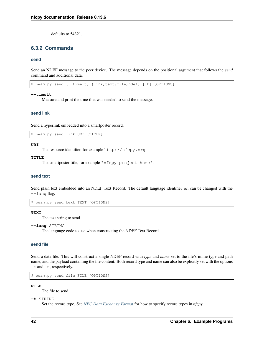defaults to 54321.

# <span id="page-45-0"></span>**6.3.2 Commands**

#### <span id="page-45-1"></span>**send**

Send an NDEF message to the peer device. The message depends on the positional argument that follows the *send* command and additional data.

\$ beam.py send [--timeit] {link,text,file,ndef} [-h] [OPTIONS]

#### **--timeit**

Measure and print the time that was needed to send the message.

#### <span id="page-45-2"></span>**send link**

Send a hyperlink embedded into a smartposter record.

\$ beam.py send link URI [TITLE]

### **URI**

The resource identifier, for example http://nfcpy.org.

#### **TITLE**

The smartposter title, for example "nfcpy project home".

#### <span id="page-45-3"></span>**send text**

Send plain text embedded into an NDEF Text Record. The default language identifier en can be changed with the  $-$ lang flag.

\$ beam.py send text TEXT [OPTIONS]

#### **TEXT**

The text string to send.

**--lang** STRING

The language code to use when constructing the NDEF Text Record.

#### <span id="page-45-4"></span>**send file**

Send a data file. This will construct a single NDEF record with *type* and *name* set to the file's mime type and path name, and the payload containing the file content. Both record type and name can also be explicitly set with the options -t and -n, respectively.

\$ beam.py send file FILE [OPTIONS]

#### **FILE**

The file to send.

**-t** STRING

Set the record type. See *[NFC Data Exchange Format](#page-18-0)* for how to specify record types in *nfcpy*.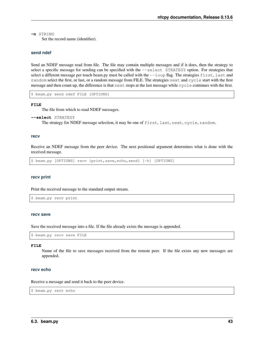**-n** STRING

Set the record name (identifier).

#### <span id="page-46-0"></span>**send ndef**

Send an NDEF message read from file. The file may contain multiple messages and if it does, then the strategy to select a specific message for sending can be specified with the  $--select$  STRATEGY option. For strategies that select a different message per touch beam.py must be called with the  $-\text{loop flag}$ . The strategies first, last and random select the first, or last, or a random message from FILE. The strategies next and cycle start with the first message and then count up, the difference is that next stops at the last message while cycle continues with the first.

\$ beam.py send ndef FILE [OPTIONS]

#### **FILE**

The file from which to read NDEF messages.

```
--select STRATEGY
```
The strategy for NDEF message selection, it may be one of first, last, next, cycle, random.

#### <span id="page-46-1"></span>**recv**

Receive an NDEF message from the peer device. The next positional argument determines what is done with the received message.

\$ beam.py [OPTIONS] recv {print,save,echo,send} [-h] [OPTIONS]

#### <span id="page-46-2"></span>**recv print**

Print the received message to the standard output stream.

```
$ beam.py recv print
```
#### <span id="page-46-3"></span>**recv save**

Save the received message into a file. If the file already exists the message is appended.

```
$ beam.py recv save FILE
```
#### **FILE**

Name of the file to save messages received from the remote peer. If the file exists any new messages are appended.

# <span id="page-46-4"></span>**recv echo**

Receive a message and send it back to the peer device.

\$ beam.py recv echo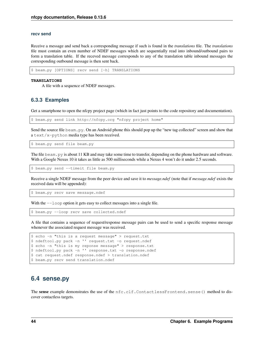#### <span id="page-47-0"></span>**recv send**

Receive a message and send back a corresponding message if such is found in the *translations* file. The *translations* file must contain an even number of NDEF messages which are sequentially read into inbound/outbound pairs to form a translation table. If the receved message corresponds to any of the translation table inbound messages the corresponding outbound message is then sent back.

\$ beam.py [OPTIONS] recv send [-h] TRANSLATIONS

#### **TRANSLATIONS**

A file with a sequence of NDEF messages.

# <span id="page-47-1"></span>**6.3.3 Examples**

Get a smartphone to open the nfcpy project page (which in fact just points to the code repository and documentation).

\$ beam.py send link http://nfcpy.org "nfcpy project home"

Send the source file beam.py. On an Android phone this should pop up the "new tag collected" screen and show that a text/x-python media type has been received.

\$ beam.py send file beam.py

The file beam. py is about 11 KB and may take some time to transfer, depending on the phone hardware and software. With a Google Nexus 10 it takes as little as 500 milliseconds while a Nexus 4 won't do it under 2.5 seconds.

\$ beam.py send --timeit file beam.py

Receive a single NDEF message from the peer device and save it to *message.ndef* (note that if *message.ndef* exists the received data will be appended):

\$ beam.py recv save message.ndef

With the  $-$ loop option it gets easy to collect messages into a single file.

\$ beam.py --loop recv save collected.ndef

A file that contains a sequence of request/response message pairs can be used to send a specific response message whenever the associated request message was received.

```
$ echo -n "this is a request message" > request.txt
$ ndeftool.py pack -n '' request.txt -o request.ndef
$ echo -n "this is my reponse message" > response.txt
$ ndeftool.py pack -n '' response.txt -o response.ndef
$ cat request.ndef response.ndef > translation.ndef
$ beam.py recv send translation.ndef
```
# **6.4 sense.py**

The sense example demonstrates the use of the nfc.clf.ContactlessFrontend.sense() method to discover contactless targets.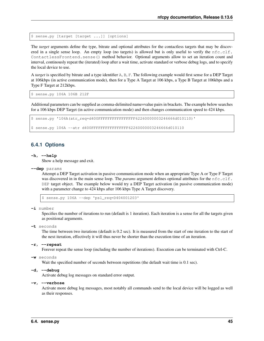\$ sense.py [target [target ...]] [options]

The *target* arguments define the type, bitrate and optional attributes for the contactless targets that may be discovered in a single sense loop. An empty loop (no targets) is allowed but is only useful to verify the nfc.clf. ContactlessFrontend.sense() method behavior. Optional arguments allow to set an iteration count and interval, continously repeat the (iterated) loop after a wait time, activate standard or verbose debug logs, and to specify the local device to use.

A *target* is specified by bitrate and a type identifier A, B, F. The following example would first sense for a DEP Target at 106kbps (in active communication mode), then for a Type A Target at 106 kbps, a Type B Target at 106kbps and a Type F Target at 212kbps.

\$ sense.py 106A 106B 212F

Additional parameters can be supplied as comma-delimited name=value pairs in brackets. The example below searches for a 106 kbps DEP Target (in active communication mode) and then changes communication speed to 424 kbps.

```
$ sense.py '106A(atr_req=d400FFFFFFFFFFFFFFFF62260000003246666d010110)'
$ sense.py 106A --atr d400FFFFFFFFFFFFFFFF62260000003246666d010110
```
# **6.4.1 Options**

#### **-h**, **--help**

Show a help message and exit.

**--dep** params

Attempt a DEP Target activation in passive communication mode when an appropriate Type A or Type F Target was discovered in in the main sense loop. The *params* argument defines optional attributes for the nfc.clf. DEP target object. The example below would try a DEP Target activation (in passive communication mode) with a parameter change to 424 kbps after 106 kbps Type A Target discovery.

\$ sense.py 106A --dep 'psl\_req=D404001203'

**-i** number

Specifies the number of iterations to run (default is 1 iteration). Each iteration is a sense for all the targets given as positional arguments.

**-t** seconds

The time between two iterations (default is 0.2 sec). It is measured from the start of one iteration to the start of the next iteration, effectively it will thus never be shorter than the execution time of an iteration.

#### **-r**, **--repeat**

Forever repeat the sense loop (including the number of iterations). Execution can be terminated with Ctrl-C.

#### **-w** seconds

Wait the specified number of seconds between repetitions (the default wait time is 0.1 sec).

#### **-d**, **--debug**

Activate debug log messages on standard error output.

#### **-v**, **--verbose**

Activate more debug log messages, most notably all commands send to the local device will be logged as well as their responses.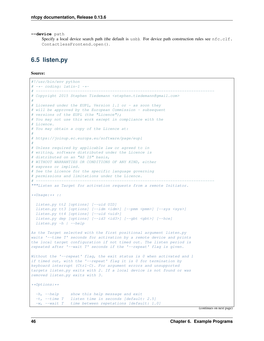**--device** path

Specify a local device search path (the default is usb). For device path construction rules see  $nfc.clf$ . ContactlessFrontend.open().

# **6.5 listen.py**

# Source:

```
#!/usr/bin/env python
# -*- coding: latin-1 -*-
# -----------------------------------------------------------------------------
# Copyright 2015 Stephen Tiedemann <stephen.tiedemann@gmail.com>
#
# Licensed under the EUPL, Version 1.1 or - as soon they
# will be approved by the European Commission - subsequent
# versions of the EUPL (the "Licence");
# You may not use this work except in compliance with the
# Licence.
# You may obtain a copy of the Licence at:
#
# https://joinup.ec.europa.eu/software/page/eupl
#
# Unless required by applicable law or agreed to in
# writing, software distributed under the Licence is
# distributed on an "AS IS" basis,
# WITHOUT WARRANTIES OR CONDITIONS OF ANY KIND, either
# express or implied.
# See the Licence for the specific language governing
# permissions and limitations under the Licence.
# -----------------------------------------------------------------------------
"""Listen as Target for activation requests from a remote Initiator.
**Usage:** ::
  listen.py tt2 [options] [--uid UID]
  listem.py tt3 [optims] [-idm  [-pmm <i>form</i>] [-sys <i>ssys</i>]listen.py tt4 [options] [--uid <uid>]
  listen.py dep [options] [--id3 <id3>] [--gbt <gbt>] [--hce]
 listen.py -h | --help
As the Target selected with the first positional argument listen.py
waits '--time T' seconds for activation by a remote device and prints
the local target configuration if not timed out. The listen period is
repeated after '--wait T' seconds if the '--repeat' flag is given.
Without the '-repeat' flag, the exit status is 0 when activated and 1if timed out, with the '--repeat' flag it is 0 for termination by
keyboard interrupt (Ctrl-C). For argument errors and unsupported
targets listen.py exits with 2. If a local device is not found or was
removed listen.py exits with 3.
**Options:**
 -h, --help show this help message and exit
  -t, --time T listen time in seconds [default: 2.5]
  -w, --wait T time between repetations [default: 1.0]
```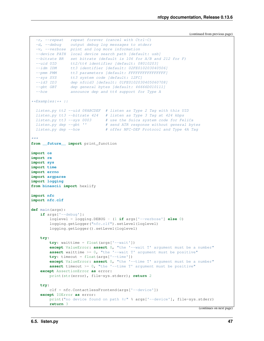```
-d, --debug output debug log messages to stderr
  -v, --verbose print and log more information
  --device PATH local device search path [default: usb]
  --bitrate BR set bitrate (default is 106 for A/B and 212 for F)
  --uid UID tt2/tt4 identifier [default: 08010203]<br>--idm IDM tt3 identifier [default: 02FE010203040
  --idm IDM tt3 identifier [default: 02FE010203040506]<br>--pmm PMM tt3 parameters [default: FFFFFFFFFFFFFFFF]
               tt3 parameters [default: FFFFFFFFFFFFFFFFFFF
  --sys SYS tt3 system code [default: 12FC]
  --id3 ID3 dep nfcid3 [default: 01FE0102030405060708]
  --gbt GBT dep general bytes [default: 46666D010111]
  --hce announce dep and tt4 support for Type A
**Examples:** ::
 listen.py tt2 --uid 08ABCDEF # listen as Type 2 Tag with this UID
 listen.py tt3 --bitrate 424 # listen as Type 3 Tag at 424 kbps
  listen.py tt3 --sys 0003 # use the Suica system code for FeliCa
  listen.py dep --gbt '' # send ATR response without general bytes
  listen.py dep --hce # offer NFC-DEP Protocol and Type 4A Tag
"''"''"from __future__ import print_function
import os
import re
import sys
import time
import errno
import argparse
import logging
from binascii import hexlify
import nfc
import nfc.clf
def main(args):
   if args['--debug']:
        loglevel = logging.DEBUG - (1 if args['--verbose'] else 0)
        logging.getLogger("nfc.clf").setLevel(loglevel)
        logging.getLogger().setLevel(loglevel)
    try:
        try: waittime = float(args['--wait'])
        except ValueError: assert 0, "the '--wait T' argument must be a number"
        assert waittime >= 0, "the '--wait T' argument must be positive"
        try: timeout = float(args['--time'])except ValueError: assert 0, "the '--time T' argument must be a number"
        assert timeout >= 0, "the '--time T' argument must be positive"
    except AssertionError as error:
        print(str(error), file=sys.stderr); return 2
   try:
        clf = nfc.ContactlessFrontend(args['--device'])
    except IOError as error:
        print("no device found on path \frac{9}{2}r" % args['--device'], file=sys.stderr)
        return 3
```
 $-r$ ,  $-r$ epeat repeat forever (cancel with  $Ctrl-C$ )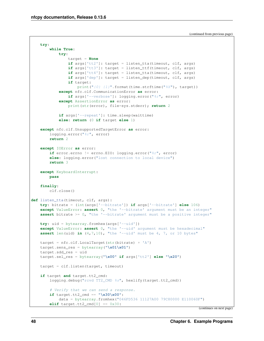```
try:
        while True:
            try:
                target = None
                if args['tt2']: target = listen_tta(timeout, clf, args)
                if args['tt3']: target = listen_ttf(timeout, clf, args)
                if args['tt4']: target = listen_tta(timeout, clf, args)
                if args['dep']: target = listen_dep(timeout, clf, args)
                if target:
                    print("{0} {1}".format(time.strftime("%X"), target))
            except nfc.clf.CommunicationError as error:
                if args['--verbose']: logging.error("%r", error)
            except AssertionError as error:
                print(str(error), file=sys.stderr); return 2
            if args['--repeat']: time.sleep(waittime)
            else: return (0 if target else 1)
   except nfc.clf.UnsupportedTargetError as error:
        logging.error("%r", error)
        return 2
   except IOError as error:
        if error.errno != errno.EIO: logging.error("%r", error)
        else: logging.error("lost connection to local device")
        return 3
    except KeyboardInterrupt:
       pass
    finally:
       clf.close()
def listen_tta(timeout, clf, args):
   try: bitrate = (int(args['--bitrate']) if args['--bitrate'] else 106)
   except ValueError: assert 0, "the '--bitrate' argument must be an integer"
   assert bitrate >= 0, "the '--bitrate' argument must be a positive integer"
   try: uid = bytearray.fromhex(args['--uid'])
   except ValueError: assert 0, "the '--uid' argument must be hexadecimal"
   assert len(uid) in (4, 7, 10), "the '--uid' must be 4, 7, or 10 bytes"
   target = nfc.clf.LocalTarget(str(bitrate) + 'A')
   target.sens_res = bytearray("\x01\x01")
    target.sdd_res = uid
    target.sel_res = bytearray("\x00" if args['tt2'] else "\x20")
   target = clf.listen(target, timeout)
   if target and target.tt2_cmd:
       logging.debug("rcvd TT2_CMD %s", hexlify(target.tt2_cmd))
        # Verify that we can send a response.
        if target.tt2_cmd == "\x30\x00":data = bytearray.fromhex("046FD536 11127A00 79C80000 E110060F")
        \text{elif target.tt2\_cmd}[0] == 0x30:
```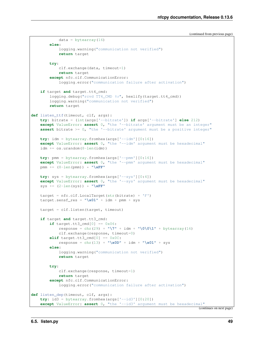```
else:
            logging.warning("communication not verified")
            return target
        try:
            clf.exchange(data, timeout=1)
            return target
        except nfc.clf.CommunicationError:
            logging.error("communication failure after activation")
    if target and target.tt4_cmd:
        logging.debug("rcvd TT4_CMD %s", hexlify(target.tt4_cmd))
        logging.warning("communication not verified")
        return target
def listen_ttf(timeout, clf, args):
    try: bitrate = (int(args['--bitrate']) if args['--bitrate'] else 212)
    except ValueError: assert 0, "the '--bitrate' argument must be an integer"
    assert bitrate >= 0, "the '--bitrate' argument must be a positive integer"
   try: idm = bytearray.fromhex(args['--idm'][0:16])
    except ValueError: assert 0, "the '--idm' argument must be hexadecimal"
    idm += os.urandom(8-len(idm))
   try: pmm = bytearray.fromhex(args['--pmm'][0:16])
    except ValueError: assert 0, "the '--pmm' argument must be hexadecimal"
    pmm += (8-\text{len}(pmm)) \times "\kappaFF"
    try: sys = bytearray.fromhex(args['--sys'][0:4])
    except ValueError: assert 0, "the '--sys' argument must be hexadecimal"
    sys += (2-len(sys)) * "\xFF"
    target = nfc.clf. LocalTarget(str (bitrate) + 'F')target.sensf\_res = "\x01" + idm + pmm + systarget = clf.listen(target, timeout)
    if target and target.tt3_cmd:
        if target.tt3_cmd[0] == 0 \times 06:
            response = chr(29) + "\U" + idm + "\O\01" + bytearray(16)clf.exchange(response, timeout=0)
        elif target.tt3_cmd[0] == 0x0C:
            response = chr(13) + "\x0D" + idm + "\x01" + sys
        else:
            logging.warning("communication not verified")
            return target
        try:
            clf.exchange(response, timeout=1)
            return target
        except nfc.clf.CommunicationError:
            logging.error("communication failure after activation")
def listen_dep(timeout, clf, args):
   try: id3 = bytearray.fromhex(args['--id3'][0:20])
    except ValueError: assert 0, "the '--id3' argument must be hexadecimal"
```
 $data = bytearray(16)$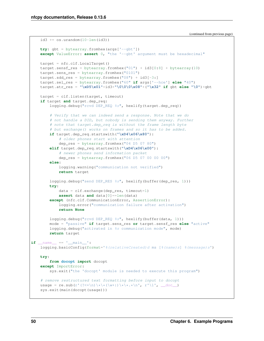```
id3 += os.urandom(10-len(id3))try: gbt = bytearray.fromhex(args['--gbt'])
    except ValueError: assert 0, "the '--gbt' argument must be hexadecimal"
    target = nfc.clf.LocalTarget()
    target.sensf_res = bytearray.fromhex("01") + id3[0:8] + bytearray(10)
    target.sens_res = bytearray.fromhex("0101")
    target.add\_res = bytearray.fromhex("08") + id3[-3:]target.sel_res = bytearray.fromhex("60" if args['--hce'] else "40")
    target.atr_res = "\xD5\x01"+id3+"\0\0\0\x08"+("\x32" if gbt else "\0")+gbt
    target = clf.listen(target, timeout)
    if target and target.dep_req:
        logging.debug("rcvd DEP REQ ss", hexlify(target.dep reg))
        # Verify that we can indeed send a response. Note that we do
        # not handle a DID, but nobody is sending them anyway. Further
        # note that target.dep_req is without the frame length byte
        # but exchange() works on frames and so it has to be added.
        if target.dep_req.startswith("\xD4\x06\x80"):
            # older phones start with attention
            dep_res = bytearray.fromhex("04 D5 07 80")
        elif target.dep_req.startswith("\xD4\x06\x00"):
            # newer phones send information packet
            dep_res = bytearray.fromhex("06 D5 07 00 00 00")
        else:
            logging.warning("communication not verified")
            return target
        logging.debug("send DEP_RES %s", hexlify(buffer(dep_res, 1)))
        try:
            data = c1f.exchange(dep_res, timeout=1)
            assert data and data[0]==len(data)
        except (nfc.clf.CommunicationError, AssertionError):
            logging.error("communication failure after activation")
            return None
        logging.debug("rcvd DEP_REQ %s", hexlify(buffer(data, 1)))
        mode = "passive" if target.sens_res or target.sensf_res else "active"
        logging.debug("activated in %s communication mode", mode)
        return target
if name = ' main ':
    logging.basicConfig(format='%(relativeCreated)d ms \lceil %(\text{name})s \rceil \rceil%(message)s')
   try:
        from docopt import docopt
    except ImportError:
        sys.exit("the 'docopt' module is needed to execute this program")
    # remove restructured text formatting before input to docopt
   usage = re \cdot sub(r'(\frac{?}{=}\n)x\x + (\sqrt{x+})\x + \cdots)x + x \cdot n', r'\i', \underline{\quad} doc\_\ )sys.exit(main(docopt(usage)))
```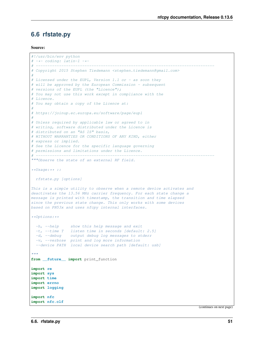# **6.6 rfstate.py**

#### Source:

```
#!/usr/bin/env python
# -*- coding: latin-1 -*-# -----------------------------------------------------------------------------
# Copyright 2015 Stephen Tiedemann <stephen.tiedemann@gmail.com>
#
# Licensed under the EUPL, Version 1.1 or - as soon they
# will be approved by the European Commission - subsequent
# versions of the EUPL (the "Licence");
# You may not use this work except in compliance with the
# Licence.
# You may obtain a copy of the Licence at:
#
# https://joinup.ec.europa.eu/software/page/eupl
#
# Unless required by applicable law or agreed to in
# writing, software distributed under the Licence is
# distributed on an "AS IS" basis,
# WITHOUT WARRANTIES OR CONDITIONS OF ANY KIND, either
# express or implied.
# See the Licence for the specific language governing
# permissions and limitations under the Licence.
# -----------------------------------------------------------------------------
"""Observe the state of an external RF field.
**Usage:** ::
rfstate.py [options]
This is a simple utility to observe when a remote device activates and
deactivates the 13.56 MHz carrier frequency. For each state change a
message is printed with timestamp, the transition and time elapsed
since the previous state change. This only works with some devices
based on PN53x and uses nfcpy internal interfaces.
**Options:**
  -h, -help show this help message and exit
  -t, --time T listen time in seconds [default: 2.5]
  -d, --debug output debug log messages to stderr
 -v, --verbose print and log more information
  --device PATH local device search path [default: usb]
"''"from __future__ import print_function
import re
import sys
import time
import errno
import logging
import nfc
import nfc.clf
```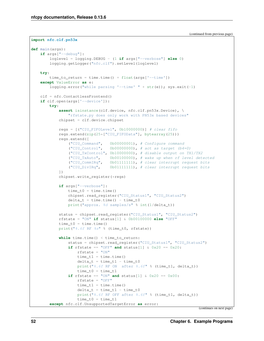**import nfc.clf.pn53x**

```
def main(args):
   if args["--debug"]:
        loglevel = logging.DEBUG - (1 if args["--verbose"] else 0)
        logging.getLogger("nfc.clf").setLevel(loglevel)
   try:
       time_to_return = time.time() + float(args['--time'])except ValueError as e:
       logging.error("while parsing '--time' " + str(e)); sys.exit(-1)
   clf = nfc.ContactlessFrontend()
   if clf.open(args['--device']):
       try:
            assert isinstance(clf.device, nfc.clf.pn53x.Device), \
                "rfstate.py does only work with PN53x based devices"
            chipset = clf.device.chipset
            regs = [("CIU_FIFOLevel", 0b10000000)] # clear fitoregs.extend(zip(25*["CIU_FIFOData"], bytearray(25)))
            regs.extend([
                ("CIU_Command", 0b00000001), # Configure command
                ('CIU_Control', 0b00000000), # act as target (b4=0)("CIU_TxControl", 0b10000000), # disable output on TX1/TX2
                ("CIU_TxAuto", 0b00100000), # wake up when rf level detected
                ("CIU_CommIRq", 0b01111111), # clear interrupt request bits
                ("CIU_DivIRq", 0b01111111), # clear interrupt request bits
            ])
            chipset.write_register(*regs)
            if args["--verbose"]:
                time t0 = time.time()chipset.read_register("CIU_Status1", "CIU_Status2")
                delta_t = time.time() - time_toprint("approx. %d samples/s" % int(1/delta_t))
            status = chipset.read_register("CIU_Status1", "CIU_Status2")
            rfstate = "ON" if status[1] & 0b00100000 else "OFF"
            time_t0 = time.time()print("%. 6f RF %s" % (time t0, rfstate))
           while time.time() < time_to_return:
                status = chipset.read_register("CIU_Status1", "CIU_Status2")
                if rfstate == "OFF" and status[1] \& 0x20 == 0x20:
                    rfstate = "ON"
                    time_t1 = time.time()delta_t = time_t1 - time_t0print("%.6f RF ON after %.6f" % (time_t1, delta_t))
                    time_t0 = time_t1if rfstate == "ON" and status[1] \& 0 \times 20 = 0 \times 00:
                    rfstate = "OFF"
                    time_t1 = time.time()delta t = time t1 - time t0print("%.6f RF OFF after %.6f" % (time_t1, delta_t))
                    time_t0 = time_t1except nfc.clf.UnsupportedTargetError as error:
```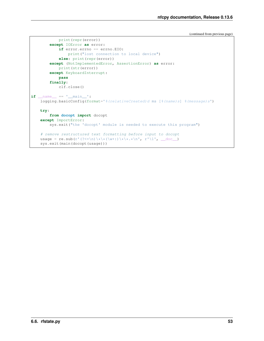```
print(repr(error))
        except IOError as error:
            if error.errno == errno.EIO:
                print("lost connection to local device")
            else: print(repr(error))
        except (NotImplementedError, AssertionError) as error:
            print(str(error))
        except KeyboardInterrupt:
            pass
        finally:
            clf.close()
if __name__ == '__main__':
   logging.basicConfig(format='%(relativeCreated)d ms [%(name)s] %(message)s')
   try:
        from docopt import docopt
    except ImportError:
        sys.exit("the 'docopt' module is needed to execute this program")
    # remove restructured text formatting before input to docopt
   usage = re.sub(r'(?<=\n)\*\*(\w+:)\*\*.*\n', r'\1', __doc__)
    sys.exit(main(docopt(usage)))
```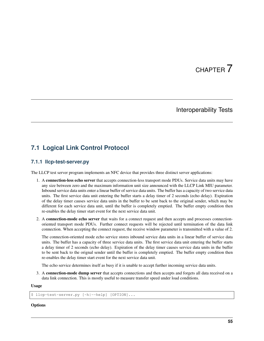# CHAPTER 7

# Interoperability Tests

# **7.1 Logical Link Control Protocol**

# **7.1.1 llcp-test-server.py**

The LLCP test server program implements an NFC device that provides three distinct server applications:

- 1. A connection-less echo server that accepts connection-less transport mode PDUs. Service data units may have any size between zero and the maximum information unit size announced with the LLCP Link MIU parameter. Inbound service data units enter a linear buffer of service data units. The buffer has a capacity of two service data units. The first service data unit entering the buffer starts a delay timer of 2 seconds (echo delay). Expiration of the delay timer causes service data units in the buffer to be sent back to the original sender, which may be different for each service data unit, until the buffer is completely emptied. The buffer empty condition then re-enables the delay timer start event for the next service data unit.
- 2. A connection-mode echo server that waits for a connect request and then accepts and processes connectionoriented transport mode PDUs. Further connect requests will be rejected until termination of the data link connection. When accepting the connect request, the receive window parameter is transmitted with a value of 2.

The connection-oriented mode echo service stores inbound service data units in a linear buffer of service data units. The buffer has a capacity of three service data units. The first service data unit entering the buffer starts a delay timer of 2 seconds (echo delay). Expiration of the delay timer causes service data units in the buffer to be sent back to the orignal sender until the buffer is completely emptied. The buffer empty condition then re-enables the delay timer start event for the next service data unit.

The echo service determines itself as busy if it is unable to accept further incoming service data units.

3. A connection-mode dump server that accepts connections and then accepts and forgets all data received on a data link connection. This is mostly useful to measure transfer speed under load conditions.

#### Usage

\$ llcp-test-server.py [-h|--help] [OPTION]...

# **Options**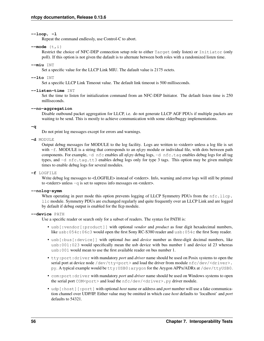# **--loop**, **-l**

Repeat the command endlessly, use Control-C to abort.

# **--mode** {t,i}

Restrict the choice of NFC-DEP connection setup role to either Target (only listen) or Initiator (only poll). If this option is not given the dafault is to alternate between both roles with a randomized listen time.

# **--miu** INT

Set a specific value for the LLCP Link MIU. The dafault value is 2175 octets.

# **--lto** INT

Set a specific LLCP Link Timeout value. The default link timeout is 500 milliseconds.

# **--listen-time** INT

Set the time to listen for initialization command from an NFC-DEP Initiator. The default listen time is 250 milliseconds.

## **--no-aggregation**

Disable outbound packet aggregation for LLCP, i.e. do not generate LLCP AGF PDUs if multiple packets are waiting to be send. This is mostly to achieve communication with some older/buggy implementations.

#### **-q**

Do not print log messages except for errors and warnings.

# **-d** MODULE

Output debug messages for MODULE to the log facility. Logs are written to <stderr> unless a log file is set with -f. MODULE is a string that corresponds to an *nfcpy* module or individual file, with dots between path components. For example, -d nfc enables all *nfcpy* debug logs, -d nfc.tag enables debug logs for all tag types, and -d nfc.tag.tt3 enables debug logs only for type 3 tags. This option may be given multiple times to enable debug logs for several modules.

#### **-f** LOGFILE

Write debug log messages to <LOGFILE> instead of <stderr>. Info, warning and error logs will still be printed to <stderr> unless -q is set to supress info messages on <stderr>.

#### **--nolog-symm**

When operating in peer mode this option prevents logging of LLCP Symmetry PDUs from the nfc.llcp. llc module. Symmetry PDUs are exchanged regularly and quite frequently over an LLCP Link and are logged by default if debug output is enabled for the llcp module.

#### **--device** PATH

Use a specific reader or search only for a subset of readers. The syntax for PATH is:

- usb[:vendor[:product]] with optional *vendor* and *product* as four digit hexadecimal numbers, like usb:054c:06c3 would open the first Sony RC-S380 reader and usb:054c the first Sony reader.
- usb[:bus[:device]] with optional *bus* and *device* number as three-digit decimal numbers, like usb:001:023 would specifically mean the usb device with bus number 1 and device id 23 whereas usb:001 would mean to use the first available reader on bus number 1.
- tty:port:driver with mandatory *port* and *driver* name should be used on Posix systems to open the serial port at device node /dev/tty<port> and load the driver from module  $nfc/dev/clriver$ . py. A typical example would be tty:USB0:arygon for the Arygon APPx/ADRx at /dev/ttyUSB0.
- com:port:driver with mandatory *port* and *driver* name should be used on Windows systems to open the serial port COM<port> and load the nfc/dev/<driver>.py driver module.
- udp[:host][:port] with optional *host* name or address and *port* number will use a fake communication channel over UDP/IP. Either value may be omitted in which case *host* defaults to 'localhost' and *port* defaults to 54321.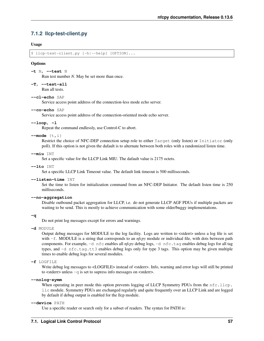# **7.1.2 llcp-test-client.py**

# Usage

\$ llcp-test-client.py [-h|--help] [OPTION]...

#### **Options**

```
-t N, --test N
```
Run test number *N*. May be set more than once.

**-T**, **--test-all**

Run all tests.

# **--cl-echo** SAP

Service access point address of the connection-less mode echo server.

#### **--co-echo** SAP

Service access point address of the connection-oriented mode echo server.

# **--loop**, **-l**

Repeat the command endlessly, use Control-C to abort.

#### **--mode** {t,i}

Restrict the choice of NFC-DEP connection setup role to either Target (only listen) or Initiator (only poll). If this option is not given the dafault is to alternate between both roles with a randomized listen time.

#### **--miu** INT

Set a specific value for the LLCP Link MIU. The dafault value is 2175 octets.

#### **--lto** INT

Set a specific LLCP Link Timeout value. The default link timeout is 500 milliseconds.

# **--listen-time** INT

Set the time to listen for initialization command from an NFC-DEP Initiator. The default listen time is 250 milliseconds.

#### **--no-aggregation**

Disable outbound packet aggregation for LLCP, i.e. do not generate LLCP AGF PDUs if multiple packets are waiting to be send. This is mostly to achieve communication with some older/buggy implementations.

#### **-q**

Do not print log messages except for errors and warnings.

#### **-d** MODULE

Output debug messages for MODULE to the log facility. Logs are written to <stderr> unless a log file is set with -f. MODULE is a string that corresponds to an *nfcpy* module or individual file, with dots between path components. For example, -d nfc enables all *nfcpy* debug logs, -d nfc.tag enables debug logs for all tag types, and -d nfc.tag.tt3 enables debug logs only for type 3 tags. This option may be given multiple times to enable debug logs for several modules.

#### **-f** LOGFILE

Write debug log messages to <LOGFILE> instead of <stderr>. Info, warning and error logs will still be printed to <stderr> unless -q is set to supress info messages on <stderr>.

#### **--nolog-symm**

When operating in peer mode this option prevents logging of LLCP Symmetry PDUs from the nfc.llcp. llc module. Symmetry PDUs are exchanged regularly and quite frequently over an LLCP Link and are logged by default if debug output is enabled for the llcp module.

### **--device** PATH

Use a specific reader or search only for a subset of readers. The syntax for PATH is: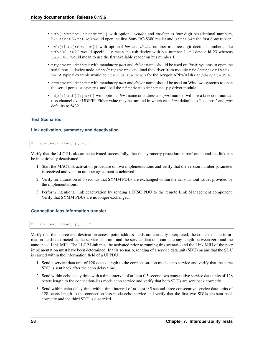- usb[:vendor[:product]] with optional *vendor* and *product* as four digit hexadecimal numbers, like usb:054c:06c3 would open the first Sony RC-S380 reader and usb:054c the first Sony reader.
- usb[:bus[:device]] with optional *bus* and *device* number as three-digit decimal numbers, like usb:001:023 would specifically mean the usb device with bus number 1 and device id 23 whereas usb:001 would mean to use the first available reader on bus number 1.
- tty:port:driver with mandatory *port* and *driver* name should be used on Posix systems to open the serial port at device node /dev/tty<port> and load the driver from module  $nfc/dev/clriver$ . py. A typical example would be tty:USB0:arygon for the Arygon APPx/ADRx at /dev/ttyUSB0.
- com:port:driver with mandatory *port* and *driver* name should be used on Windows systems to open the serial port COM<port> and load the  $nfc/dev/cdriver$ , py driver module.
- udp[:host][:port] with optional *host* name or address and *port* number will use a fake communication channel over UDP/IP. Either value may be omitted in which case *host* defaults to 'localhost' and *port* defaults to 54321.

# **Test Scenarios**

# **Link activation, symmetry and deactivation**

\$ llcp-test-client.py -t 1

Verify that the LLCP Link can be activated successfully, that the symmetry procedure is performed and the link can be intentionally deactivated.

- 1. Start the MAC link activation procedure on two implementations and verify that the version number parameter is received and version number agreement is achieved.
- 2. Verify for a duration of 5 seconds that SYMM PDUs are exchanged within the Link Timout values provided by the implementations.
- 3. Perform intentional link deactivation by sending a DISC PDU to the remote Link Management component. Verify that SYMM PDUs are no longer exchanged.

# **Connection-less information transfer**

\$ llcp-test-client.py -t 2

Verify that the source and destination access point address fields are correctly interpreted, the content of the information field is extracted as the service data unit and the service data unit can take any length between zero and the announced Link MIU. The LLCP Link must be activated prior to running this scenario and the Link MIU of the peer implementation must have been determined. In this scenario, sending of a service data unit (SDU) means that the SDU is carried within the information field of a UI PDU.

- 1. Send a service data unit of 128 octets length to the connection-less mode echo service and verify that the same SDU is sent back after the echo delay time.
- 2. Send within echo delay time with a time interval of at least 0.5 second two consecutive service data units of 128 octets length to the connection-less mode echo service and verify that both SDUs are sent back correctly.
- 3. Send within echo delay time with a time interval of at least 0.5 second three consecutive service data units of 128 octets length to the connection-less mode echo service and verify that the first two SDUs are sent back correctly and the third SDU is discarded.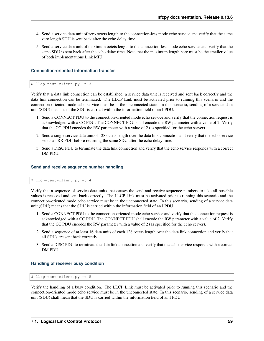- 4. Send a service data unit of zero octets length to the connection-less mode echo service and verify that the same zero length SDU is sent back after the echo delay time.
- 5. Send a service data unit of maximum octets length to the connection-less mode echo service and verify that the same SDU is sent back after the echo delay time. Note that the maximum length here must be the smaller value of both implementations Link MIU.

# **Connection-oriented information transfer**

```
$ llcp-test-client.py -t 3
```
Verify that a data link connection can be established, a service data unit is received and sent back correctly and the data link connection can be terminated. The LLCP Link must be activated prior to running this scenario and the connection-oriented mode echo service must be in the unconnected state. In this scenario, sending of a service data unit (SDU) means that the SDU is carried within the information field of an I PDU.

- 1. Send a CONNECT PDU to the connection-oriented mode echo service and verify that the connection request is acknowledged with a CC PDU. The CONNECT PDU shall encode the RW parameter with a value of 2. Verify that the CC PDU encodes the RW parameter with a value of 2 (as specified for the echo server).
- 2. Send a single service data unit of 128 octets length over the data link connection and verify that the echo service sends an RR PDU before returning the same SDU after the echo delay time.
- 3. Send a DISC PDU to terminate the data link connection and verify that the echo service responds with a correct DM PDU.

#### **Send and receive sequence number handling**

\$ llcp-test-client.py -t 4

Verify that a sequence of service data units that causes the send and receive sequence numbers to take all possible values is received and sent back correctly. The LLCP Link must be activated prior to running this scenario and the connection-oriented mode echo service must be in the unconnected state. In this scenario, sending of a service data unit (SDU) means that the SDU is carried within the information field of an I PDU.

- 1. Send a CONNECT PDU to the connection-oriented mode echo service and verify that the connection request is acknowledged with a CC PDU. The CONNECT PDU shall encode the RW parameter with a value of 2. Verify that the CC PDU encodes the RW parameter with a value of 2 (as specified for the echo server).
- 2. Send a sequence of at least 16 data units of each 128 octets length over the data link connection and verify that all SDUs are sent back correctly.
- 3. Send a DISC PDU to terminate the data link connection and verify that the echo service responds with a correct DM PDU.

#### **Handling of receiver busy condition**

\$ llcp-test-client.py -t 5

Verify the handling of a busy condition. The LLCP Link must be activated prior to running this scenario and the connection-oriented mode echo service must be in the unconnected state. In this scenario, sending of a service data unit (SDU) shall mean that the SDU is carried within the information field of an I PDU.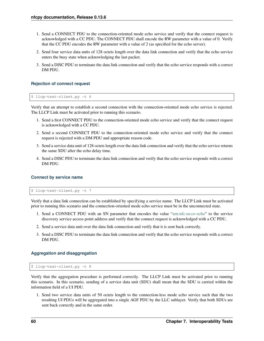- 1. Send a CONNECT PDU to the connection-oriented mode echo service and verify that the connect request is acknowledged with a CC PDU. The CONNECT PDU shall encode the RW parameter with a value of 0. Verify that the CC PDU encodes the RW parameter with a value of 2 (as specified for the echo server).
- 2. Send four service data units of 128 octets length over the data link connection and verify that the echo service enters the busy state when acknowledging the last packet.
- 3. Send a DISC PDU to terminate the data link connection and verify that the echo service responds with a correct DM PDU.

# **Rejection of connect request**

```
$ llcp-test-client.py -t 6
```
Verify that an attempt to establish a second connection with the connection-oriented mode echo service is rejected. The LLCP Link must be activated prior to running this scenario.

- 1. Send a first CONNECT PDU to the connection-oriented mode echo service and verify that the connect request is acknowledged with a CC PDU.
- 2. Send a second CONNECT PDU to the connection-oriented mode echo service and verify that the connect request is rejected with a DM PDU and appropriate reason code.
- 3. Send a service data unit of 128 octets length over the data link connection and verify that the echo service returns the same SDU after the echo delay time.
- 4. Send a DISC PDU to terminate the data link connection and verify that the echo service responds with a correct DM PDU.

#### **Connect by service name**

\$ llcp-test-client.py -t 7

Verify that a data link connection can be established by specifying a service name. The LLCP Link must be activated prior to running this scenario and the connection-oriented mode echo service must be in the unconnected state.

- 1. Send a CONNECT PDU with an SN parameter that encodes the value ["urn:nfc:sn:co-echo"](urn:nfc:sn:co-echo) to the service discovery service access point address and verify that the connect request is acknowledged with a CC PDU.
- 2. Send a service data unit over the data link connection and verify that it is sent back correctly.
- 3. Send a DISC PDU to terminate the data link connection and verify that the echo service responds with a correct DM PDU.

# **Aggregation and disaggregation**

\$ llcp-test-client.py -t 8

Verify that the aggregation procedure is performed correctly. The LLCP Link must be activated prior to running this scenario. In this scenario, sending of a service data unit (SDU) shall mean that the SDU is carried within the information field of a UI PDU.

1. Send two service data units of 50 octets length to the connection-less mode echo service such that the two resulting UI PDUs will be aggregated into a single AGF PDU by the LLC sublayer. Verify that both SDUs are sent back correctly and in the same order.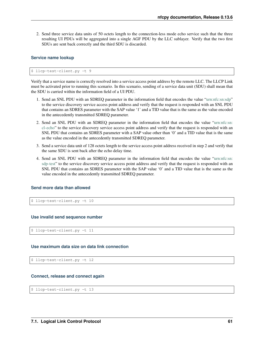2. Send three service data units of 50 octets length to the connection-less mode echo service such that the three resulting UI PDUs will be aggregated into a single AGF PDU by the LLC sublayer. Verify that the two first SDUs are sent back correctly and the third SDU is discarded.

# **Service name lookup**

\$ llcp-test-client.py -t 9

Verify that a service name is correctly resolved into a service access point address by the remote LLC. The LLCP Link must be activated prior to running this scenario. In this scenario, sending of a service data unit (SDU) shall mean that the SDU is carried within the information field of a UI PDU.

- 1. Send an SNL PDU with an SDREQ parameter in the information field that encodes the value ["urn:nfc:sn:sdp"](urn:nfc:sn:sdp) to the service discovery service access point address and verify that the request is responded with an SNL PDU that contains an SDRES parameter with the SAP value '1' and a TID value that is the same as the value encoded in the antecedently transmitted SDREQ parameter.
- 2. Send an SNL PDU with an SDREQ parameter in the information field that encodes the value ["urn:nfc:sn:](urn:nfc:sn:cl-echo) [cl-echo"](urn:nfc:sn:cl-echo) to the service discovery service access point address and verify that the request is responded with an SNL PDU that contains an SDRES parameter with a SAP value other than '0' and a TID value that is the same as the value encoded in the antecedently transmitted SDREQ parameter.
- 3. Send a service data unit of 128 octets length to the service access point address received in step 2 and verify that the same SDU is sent back after the echo delay time.
- 4. Send an SNL PDU with an SDREQ parameter in the information field that encodes the value ["urn:nfc:sn:](urn:nfc:sn:sdp-test) [sdp-test"](urn:nfc:sn:sdp-test) to the service discovery service access point address and verify that the request is responded with an SNL PDU that contains an SDRES parameter with the SAP value '0' and a TID value that is the same as the value encoded in the antecedently transmitted SDREQ parameter.

# **Send more data than allowed**

\$ llcp-test-client.py -t 10

#### **Use invalid send sequence number**

\$ llcp-test-client.py -t 11

#### **Use maximum data size on data link connection**

\$ llcp-test-client.py -t 12

#### **Connect, release and connect again**

\$ llcp-test-client.py -t 13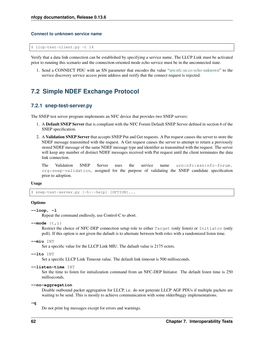#### **Connect to unknown service name**

\$ llcp-test-client.py -t 14

Verify that a data link connection can be established by specifying a service name. The LLCP Link must be activated prior to running this scenario and the connection-oriented mode echo service must be in the unconnected state.

1. Send a CONNECT PDU with an SN parameter that encodes the value ["urn:nfc:sn:co-echo-unknown"](urn:nfc:sn:co-echo-unknown) to the service discovery service access point address and verify that the connect request is rejected.

# **7.2 Simple NDEF Exchange Protocol**

# **7.2.1 snep-test-server.py**

The SNEP test server program implements an NFC device that provides two SNEP servers:

- 1. A Default SNEP Server that is compliant with the NFC Forum Default SNEP Server defined in section 6 of the SNEP specification.
- 2. A Validation SNEP Server that accepts SNEP Put and Get requests. A Put request causes the server to store the NDEF message transmitted with the request. A Get request causes the server to attempt to return a previously stored NDEF message of the same NDEF message type and identifier as transmitted with the request. The server will keep any number of distinct NDEF messages received with Put request until the client terminates the data link connection.

The Validation SNEP Server uses the service name urn:nfc:xsn:nfc-forum. org:snep-validation, assigned for the purpose of validating the SNEP candidate specification prior to adoption.

#### Usage

\$ snep-test-server.py [-h|--help] [OPTION]...

### **Options**

```
--loop, -l
```
Repeat the command endlessly, use Control-C to abort.

**--mode** {t,i}

Restrict the choice of NFC-DEP connection setup role to either Target (only listen) or Initiator (only poll). If this option is not given the dafault is to alternate between both roles with a randomized listen time.

```
--miu INT
```
Set a specific value for the LLCP Link MIU. The dafault value is 2175 octets.

```
--lto INT
```
Set a specific LLCP Link Timeout value. The default link timeout is 500 milliseconds.

```
--listen-time INT
```
Set the time to listen for initialization command from an NFC-DEP Initiator. The default listen time is 250 milliseconds.

**--no-aggregation**

Disable outbound packet aggregation for LLCP, i.e. do not generate LLCP AGF PDUs if multiple packets are waiting to be send. This is mostly to achieve communication with some older/buggy implementations.

**-q**

Do not print log messages except for errors and warnings.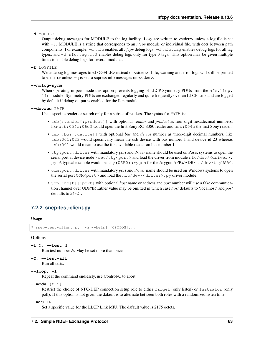**-d** MODULE

Output debug messages for MODULE to the log facility. Logs are written to <stderr> unless a log file is set with -f. MODULE is a string that corresponds to an *nfcpy* module or individual file, with dots between path components. For example, -d nfc enables all *nfcpy* debug logs, -d nfc.tag enables debug logs for all tag types, and -d nfc.tag.tt3 enables debug logs only for type 3 tags. This option may be given multiple times to enable debug logs for several modules.

**-f** LOGFILE

Write debug log messages to <LOGFILE> instead of <stderr>. Info, warning and error logs will still be printed to <stderr> unless -q is set to supress info messages on <stderr>.

**--nolog-symm**

When operating in peer mode this option prevents logging of LLCP Symmetry PDUs from the nfc.llcp. llc module. Symmetry PDUs are exchanged regularly and quite frequently over an LLCP Link and are logged by default if debug output is enabled for the llcp module.

**--device** PATH

Use a specific reader or search only for a subset of readers. The syntax for PATH is:

- usb [:vendor [:product]] with optional *vendor* and *product* as four digit hexadecimal numbers, like usb:054c:06c3 would open the first Sony RC-S380 reader and usb:054c the first Sony reader.
- usb[:bus[:device]] with optional *bus* and *device* number as three-digit decimal numbers, like usb:001:023 would specifically mean the usb device with bus number 1 and device id 23 whereas usb:001 would mean to use the first available reader on bus number 1.
- tty:port:driver with mandatory *port* and *driver* name should be used on Posix systems to open the serial port at device node /dev/tty<port> and load the driver from module  $nfc/dev/clriver$ . py. A typical example would be tty:USB0:arygon for the Arygon APPx/ADRx at /dev/ttyUSB0.
- com:port:driver with mandatory *port* and *driver* name should be used on Windows systems to open the serial port COM<port> and load the nfc/dev/<driver>.py driver module.
- udp[:host][:port] with optional *host* name or address and *port* number will use a fake communication channel over UDP/IP. Either value may be omitted in which case *host* defaults to 'localhost' and *port* defaults to 54321.

# **7.2.2 snep-test-client.py**

#### Usage

```
$ snep-test-client.py [-h|--help] [OPTION]...
```
#### **Options**

```
-t N, --test N
```
Run test number *N*. May be set more than once.

**-T**, **--test-all**

Run all tests.

**--loop**, **-l**

Repeat the command endlessly, use Control-C to abort.

--mode {t, i}

Restrict the choice of NFC-DEP connection setup role to either Target (only listen) or Initiator (only poll). If this option is not given the dafault is to alternate between both roles with a randomized listen time.

**--miu** INT

Set a specific value for the LLCP Link MIU. The dafault value is 2175 octets.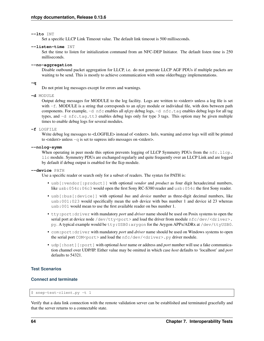#### **--lto** INT

Set a specific LLCP Link Timeout value. The default link timeout is 500 milliseconds.

### **--listen-time** INT

Set the time to listen for initialization command from an NFC-DEP Initiator. The default listen time is 250 milliseconds.

#### **--no-aggregation**

Disable outbound packet aggregation for LLCP, i.e. do not generate LLCP AGF PDUs if multiple packets are waiting to be send. This is mostly to achieve communication with some older/buggy implementations.

#### **-q**

Do not print log messages except for errors and warnings.

#### **-d** MODULE

Output debug messages for MODULE to the log facility. Logs are written to <stderr> unless a log file is set with -f. MODULE is a string that corresponds to an *nfcpy* module or individual file, with dots between path components. For example, -d nfc enables all *nfcpy* debug logs, -d nfc.tag enables debug logs for all tag types, and -d nfc.tag.tt3 enables debug logs only for type 3 tags. This option may be given multiple times to enable debug logs for several modules.

#### **-f** LOGFILE

Write debug log messages to <LOGFILE> instead of <stderr>. Info, warning and error logs will still be printed to <stderr> unless -q is set to supress info messages on <stderr>.

#### **--nolog-symm**

When operating in peer mode this option prevents logging of LLCP Symmetry PDUs from the nfc.llcp. llc module. Symmetry PDUs are exchanged regularly and quite frequently over an LLCP Link and are logged by default if debug output is enabled for the llcp module.

### **--device** PATH

Use a specific reader or search only for a subset of readers. The syntax for PATH is:

- usb[:vendor[:product]] with optional *vendor* and *product* as four digit hexadecimal numbers, like usb:054c:06c3 would open the first Sony RC-S380 reader and usb:054c the first Sony reader.
- usb[:bus[:device]] with optional *bus* and *device* number as three-digit decimal numbers, like usb:001:023 would specifically mean the usb device with bus number 1 and device id 23 whereas usb:001 would mean to use the first available reader on bus number 1.
- tty:port:driver with mandatory *port* and *driver* name should be used on Posix systems to open the serial port at device node /dev/tty<port> and load the driver from module  $nfc/dev/curiver$ . py. A typical example would be tty:USB0:arygon for the Arygon APPx/ADRx at /dev/ttyUSB0.
- com:port:driver with mandatory *port* and *driver* name should be used on Windows systems to open the serial port COM<port> and load the  $nfc/dev/driver$ , py driver module.
- udp[:host][:port] with optional *host* name or address and *port* number will use a fake communication channel over UDP/IP. Either value may be omitted in which case *host* defaults to 'localhost' and *port* defaults to 54321.

# **Test Scenarios**

# **Connect and terminate**

```
$ snep-test-client.py -t 1
```
Verify that a data link connection with the remote validation server can be established and terminated gracefully and that the server returns to a connectable state.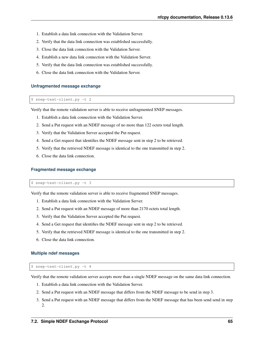- 1. Establish a data link connection with the Validation Server.
- 2. Verify that the data link connection was established successfully.
- 3. Close the data link connection with the Validation Server.
- 4. Establish a new data link connection with the Validation Server.
- 5. Verify that the data link connection was established successfully.
- 6. Close the data link connection with the Validation Server.

#### **Unfragmented message exchange**

\$ snep-test-client.py -t 2

Verify that the remote validation server is able to receive unfragmented SNEP messages.

- 1. Establish a data link connection with the Validation Server.
- 2. Send a Put request with an NDEF message of no more than 122 octets total length.
- 3. Verify that the Validation Server accepted the Put request.
- 4. Send a Get request that identifies the NDEF message sent in step 2 to be retrieved.
- 5. Verify that the retrieved NDEF message is identical to the one transmitted in step 2.
- 6. Close the data link connection.

#### **Fragmented message exchange**

\$ snep-test-client.py -t 3

Verify that the remote validation server is able to receive fragmented SNEP messages.

- 1. Establish a data link connection with the Validation Server.
- 2. Send a Put request with an NDEF message of more than 2170 octets total length.
- 3. Verify that the Validation Server accepted the Put request.
- 4. Send a Get request that identifies the NDEF message sent in step 2 to be retrieved.
- 5. Verify that the retrieved NDEF message is identical to the one transmitted in step 2.
- 6. Close the data link connection.

#### **Multiple ndef messages**

#### \$ snep-test-client.py -t 4

Verify that the remote validation server accepts more than a single NDEF message on the same data link connection.

- 1. Establish a data link connection with the Validation Server.
- 2. Send a Put request with an NDEF message that differs from the NDEF message to be send in step 3.
- 3. Send a Put request with an NDEF message that differs from the NDEF message that has been send send in step 2.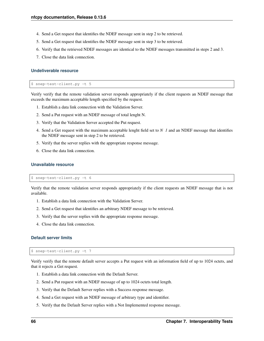- 4. Send a Get request that identifies the NDEF message sent in step 2 to be retrieved.
- 5. Send a Get request that identifies the NDEF message sent in step 3 to be retrieved.
- 6. Verify that the retrieved NDEF messages are identical to the NDEF messages transmitted in steps 2 and 3.
- 7. Close the data link connection.

# **Undeliverable resource**

\$ snep-test-client.py -t 5

Verify verify that the remote validation server responds appropriately if the client requests an NDEF message that exceeds the maximum acceptable length specified by the request.

- 1. Establish a data link connection with the Validation Server.
- 2. Send a Put request with an NDEF message of total lenght N.
- 3. Verify that the Validation Server accepted the Put request.
- 4. Send a Get request with the maximum acceptable lenght field set to *N 1* and an NDEF message that identifies the NDEF message sent in step 2 to be retrieved.
- 5. Verify that the server replies with the appropriate response message.
- 6. Close the data link connection.

## **Unavailable resource**

\$ snep-test-client.py -t 6

Verify that the remote validation server responds appropriately if the client requests an NDEF message that is not available.

- 1. Establish a data link connection with the Validation Server.
- 2. Send a Get request that identifies an arbitrary NDEF message to be retrieved.
- 3. Verify that the server replies with the appropriate response message.
- 4. Close the data link connection.

# **Default server limits**

\$ snep-test-client.py -t 7

Verify verify that the remote default server accepts a Put request with an information field of up to 1024 octets, and that it rejects a Get request.

- 1. Establish a data link connection with the Default Server.
- 2. Send a Put request with an NDEF message of up to 1024 octets total length.
- 3. Verify that the Default Server replies with a Success response message.
- 4. Send a Get request with an NDEF message of arbitrary type and identifier.
- 5. Verify that the Default Server replies with a Not Implemented response message.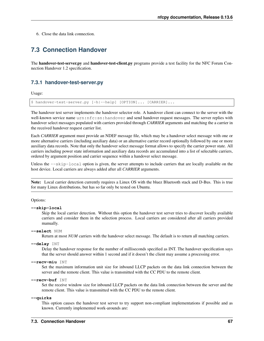6. Close the data link connection.

# **7.3 Connection Handover**

The handover-test-server.py and handover-test-client.py programs provide a test facility for the NFC Forum Connection Handover 1.2 specification.

# **7.3.1 handover-test-server.py**

Usage:

\$ handover-test-server.py [-h|--help] [OPTION]... [CARRIER]...

The handover test server implements the handover selector role. A handover client can connect to the server with the well-known service name urn:nfc:sn:handover and send handover request messages. The server replies with handover select messages populated with carriers provided through *CARRIER* arguments and matching the a carrier in the received handover request carrier list.

Each *CARRIER* argument must provide an NDEF message file, which may be a handover select message with one or more alternative carriers (including auxiliary data) or an alternative carrier record optionally followed by one or more auxiliary data records. Note that only the handover select message format allows to specify the carrier power state. All carriers including power state information and auxiliary data records are accumulated into a list of selectable carriers, ordered by argument position and carrier sequence within a handover select message.

Unless the  $-$ skip-local option is given, the server attempts to include carriers that are locally available on the host device. Local carriers are always added after all *CARRIER* arguments.

Note: Local carrier detection currently requires a Linux OS with the bluez Bluetooth stack and D-Bus. This is true for many Linux distributions, but has so far only be tested on Ubuntu.

#### Options:

#### **--skip-local**

Skip the local carrier detection. Without this option the handover test server tries to discover locally available carriers and consider them in the selection process. Local carriers are considered after all carriers provided manually.

#### **--select** NUM

Return at most *NUM* carriers with the handover select message. The default is to return all matching carriers.

```
--delay INT
```
Delay the handover response for the number of milliseconds specified as INT. The handover specification says that the server should answer within 1 second and if it doesn't the client may assume a processing error.

```
--recv-miu INT
```
Set the maximum information unit size for inbound LLCP packets on the data link connection between the server and the remote client. This value is transmitted with the CC PDU to the remote client.

#### **--recv-buf** INT

Set the receive window size for inbound LLCP packets on the data link connection between the server and the remote client. This value is transmitted with the CC PDU to the remote client.

**--quirks**

This option causes the handover test server to try support non-compliant implementations if possible and as known. Currently implemented work-arounds are: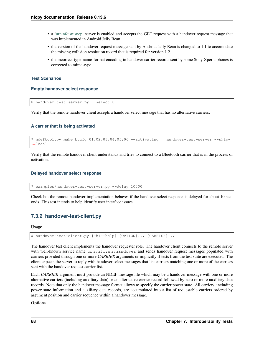- a ['urn:nfc:sn:snep'](urn:nfc:sn:snep) server is enabled and accepts the GET request with a handover request message that was implemented in Android Jelly Bean
- the version of the handover request message sent by Android Jelly Bean is changed to 1.1 to accomodate the missing collision resolution record that is required for version 1.2.
- the incorrect type-name-format encoding in handover carrier records sent by some Sony Xperia phones is corrected to mime-type.

# **Test Scenarios**

#### **Empty handover select response**

\$ handover-test-server.py --select 0

Verify that the remote handover client accepts a handover select message that has no alternative carriers.

# **A carrier that is being activated**

```
$ ndeftool.py make btcfg 01:02:03:04:05:06 --activating | handover-test-server --skip-
˓→local -
```
Verify that the remote handover client understands and tries to connect to a Bluetooth carrier that is in the process of activation.

# **Delayed handover select response**

\$ examples/handover-test-server.py --delay 10000

Check hot the remote handover implementation behaves if the handover select response is delayed for about 10 seconds. This test intends to help identify user interface issues.

# **7.3.2 handover-test-client.py**

#### Usage

```
$ handover-test-client.py [-h|--help] [OPTION]... [CARRIER]...
```
The handover test client implements the handover requester role. The handover client connects to the remote server with well-known service name urn:nfc:sn:handover and sends handover request messages populated with carriers provided through one or more *CARRIER* arguments or implicitly if tests from the test suite are executed. The client expects the server to reply with handover select messages that list carriers matching one or more of the carriers sent with the handover request carrier list.

Each *CARRIER* argument must provide an NDEF message file which may be a handover message with one or more alternative carriers (including auxiliary data) or an alternative carrier record followed by zero or more auxiliary data records. Note that only the handover message format allows to specify the carrier power state. All carriers, including power state information and auxiliary data records, are accumulated into a list of requestable carriers ordered by argument position and carrier sequence within a handover message.

# **Options**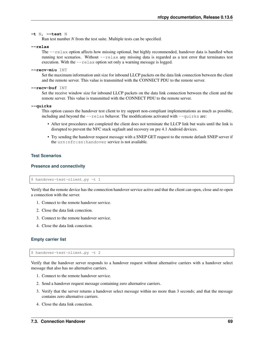#### <span id="page-72-0"></span>**-t** N, **--test** N

Run test number *N* from the test suite. Multiple tests can be specified.

#### **--relax**

The  $-\text{relax}$  option affects how missing optional, but highly recommended, handover data is handled when running test scenarios. Without  $-\text{relax}$  any missing data is regarded as a test error that terminates test execution. With the  $-\text{relax}$  option set only a warning message is logged.

#### **--recv-miu** INT

Set the maximum information unit size for inbound LLCP packets on the data link connection between the client and the remote server. This value is transmitted with the CONNECT PDU to the remote server.

#### **--recv-buf** INT

Set the receive window size for inbound LLCP packets on the data link connection between the client and the remote server. This value is transmitted with the CONNECT PDU to the remote server.

#### **--quirks**

This option causes the handover test client to try support non-compliant implementations as much as possible, including and beyond the  $-\text{relax}$  behavor. The modifications activated with  $-\text{quirks}$  are:

- After test procedures are completed the client does not terminate the LLCP link but waits until the link is disrupted to prevent the NFC stack segfault and recovery on pre 4.1 Android devices.
- Try sending the handover request message with a SNEP GET request to the remote default SNEP server if the urn:nfc:sn:handover service is not available.

#### **Test Scenarios**

#### **Presence and connectivity**

\$ handover-test-client.py -t 1

Verify that the remote device has the connection handover service active and that the client can open, close and re-open a connection with the server.

- 1. Connect to the remote handover service.
- 2. Close the data link conection.
- 3. Connect to the remote handover service.
- 4. Close the data link conection.

#### **Empty carrier list**

\$ handover-test-client.py -t 2

Verify that the handover server responds to a handover request without alternative carriers with a handover select message that also has no alternative carriers.

- 1. Connect to the remote handover service.
- 2. Send a handover request message containing zero alternative carriers.
- 3. Verify that the server returns a handover select message within no more than 3 seconds; and that the message contains zero alternative carriers.
- 4. Close the data link conection.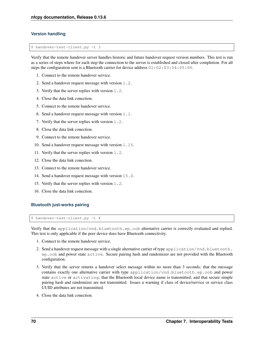#### **Version handling**

\$ handover-test-client.py -t 3

Verify that the remote handover server handles historic and future handover request version numbers. This test is run as a series of steps where for each step the connection to the server is established and closed after completion. For all steps the configuration sent is a Bluetooth carrier for device address 01:02:03:04:05:06.

- 1. Connect to the remote handover service.
- 2. Send a handover request message with version 1.2.
- 3. Verify that the server replies with version 1.2.
- 4. Close the data link conection.
- 5. Connect to the remote handover service.
- 6. Send a handover request message with version 1.1.
- 7. Verify that the server replies with version 1.2.
- 8. Close the data link conection.
- 9. Connect to the remote handover service.
- 10. Send a handover request message with version 1.15.
- 11. Verify that the server replies with version 1.2.
- 12. Close the data link conection.
- 13. Connect to the remote handover service.
- 14. Send a handover request message with version 15.0.
- 15. Verify that the server replies with version 1.2.
- 16. Close the data link conection.

#### **Bluetooth just-works pairing**

\$ handover-test-client.py -t 4

Verify that the application/vnd.bluetooth.ep.oob alternative carrier is correctly evaluated and replied. This test is only applicable if the peer device does have Bluetooth connectivity.

- 1. Connect to the remote handover service.
- 2. Send a handover request message with a single alternative carrier of type application/vnd.bluetooth. ep.oob and power state active. Secure pairing hash and randomizer are not provided with the Bluetooth configuration.
- 3. Verify that the server returns a handover select message within no more than 3 seconds; that the message contains exactly one alternative carrier with type application/vnd.bluetooth.ep.oob and power state active or activating; that the Bluetooth local device name is transmitted; and that secure simple pairing hash and randomizer are not transmitted. Issues a warning if class of device/service or service class UUID attributes are not transmitted.
- 4. Close the data link conection.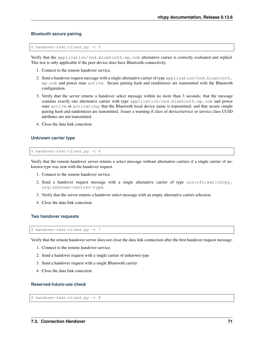#### **Bluetooth secure pairing**

\$ handover-test-client.py -t 5

Verify that the application/vnd.bluetooth.ep.oob alternative carrier is correctly evaluated and replied. This test is only applicable if the peer device does have Bluetooth connectivity.

- 1. Connect to the remote handover service.
- 2. Send a handover request message with a single alternative carrier of type application/vnd.bluetooth. ep.oob and power state active. Secure pairing hash and randomizer are transmitted with the Bluetooth configuration.
- 3. Verify that the server returns a handover select message within no more than 3 seconds; that the message contains exactly one alternative carrier with type application/vnd.bluetooth.ep.oob and power state active or activating; that the Bluetooth local device name is transmitted; and that secure simple pairing hash and randomizer are transmitted. Issues a warning if class of device/service or service class UUID attributes are not transmitted.
- 4. Close the data link conection.

#### **Unknown carrier type**

\$ handover-test-client.py -t 6

Verify that the remote handover server returns a select message without alternative carriers if a single carrier of unknown type was sent with the handover request.

- 1. Connect to the remote handover service.
- 2. Send a handover request message with a single alternative carrier of type urn:nfc:ext:nfcpy. org:unknown-carrier-type.
- 3. Verify that the server returns a handover select message with an empty alternative carrier selection.
- 4. Close the data link conection.

#### **Two handover requests**

```
$ handover-test-client.py -t 7
```
Verify that the remote handover server does not close the data link connection after the first handover request message.

- 1. Connect to the remote handover service.
- 2. Send a handover request with a single carrier of unknown type
- 3. Send a handover request with a single Bluetooth carrier
- 4. Close the data link conection.

#### **Reserved-future-use check**

\$ handover-test-client.py -t 8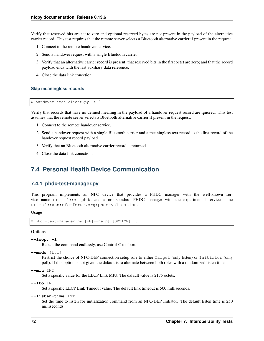<span id="page-75-0"></span>Verify that reserved bits are set to zero and optional reserved bytes are not present in the payload of the alternative carrier record. This test requires that the remote server selects a Bluetooth alternative carrier if present in the request.

- 1. Connect to the remote handover service.
- 2. Send a handover request with a single Bluetooth carrier
- 3. Verify that an alternative carrier record is present; that reserved bits in the first octet are zero; and that the record payload ends with the last auxiliary data reference.
- 4. Close the data link conection.

#### **Skip meaningless records**

```
$ handover-test-client.py -t 9
```
Verify that records that have no defined meaning in the payload of a handover request record are ignored. This test assumes that the remote server selects a Bluetooth alternative carrier if present in the request.

- 1. Connect to the remote handover service.
- 2. Send a handover request with a single Bluetooth carrier and a meaningless text record as the first record of the handover request record payload.
- 3. Verify that an Bluetooth alternative carrier record is returned.
- 4. Close the data link conection.

## **7.4 Personal Health Device Communication**

#### **7.4.1 phdc-test-manager.py**

This program implements an NFC device that provides a PHDC manager with the well-known service name urn:nfc:sn:phdc and a non-standard PHDC manager with the experimental service name urn:nfc:xsn:nfc-forum.org:phdc-validation.

Usage

```
$ phdc-test-manager.py [-h|--help] [OPTION]...
```
#### **Options**

```
--loop, -l
```
Repeat the command endlessly, use Control-C to abort.

```
--mode {t,i}
```
Restrict the choice of NFC-DEP connection setup role to either Target (only listen) or Initiator (only poll). If this option is not given the dafault is to alternate between both roles with a randomized listen time.

**--miu** INT

Set a specific value for the LLCP Link MIU. The dafault value is 2175 octets.

**--lto** INT

Set a specific LLCP Link Timeout value. The default link timeout is 500 milliseconds.

**--listen-time** INT

Set the time to listen for initialization command from an NFC-DEP Initiator. The default listen time is 250 milliseconds.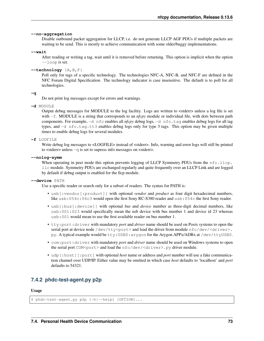#### <span id="page-76-0"></span>**--no-aggregation**

Disable outbound packet aggregation for LLCP, i.e. do not generate LLCP AGF PDUs if multiple packets are waiting to be send. This is mostly to achieve communication with some older/buggy implementations.

**--wait**

After reading or writing a tag, wait until it is removed before returning. This option is implicit when the option --loop is set.

#### **--technology** {A,B,F}

Poll only for tags of a specific technology. The technologies NFC-A, NFC-B, and NFC-F are defined in the NFC Forum Digital Specification. The technology indicator is case insensitive. The default is to poll for all technologies.

#### **-q**

Do not print log messages except for errors and warnings.

**-d** MODULE

Output debug messages for MODULE to the log facility. Logs are written to <stderr> unless a log file is set with -f. MODULE is a string that corresponds to an *nfcpy* module or individual file, with dots between path components. For example, -d nfc enables all *nfcpy* debug logs, -d nfc.tag enables debug logs for all tag types, and -d nfc.tag.tt3 enables debug logs only for type 3 tags. This option may be given multiple times to enable debug logs for several modules.

#### **-f** LOGFILE

Write debug log messages to <LOGFILE> instead of <stderr>. Info, warning and error logs will still be printed to  $\lt$  stderr $>$  unless  $-q$  is set to supress info messages on  $\lt$  stderr $>$ .

#### **--nolog-symm**

When operating in peer mode this option prevents logging of LLCP Symmetry PDUs from the nfc.llcp. llc module. Symmetry PDUs are exchanged regularly and quite frequently over an LLCP Link and are logged by default if debug output is enabled for the llcp module.

#### **--device** PATH

Use a specific reader or search only for a subset of readers. The syntax for PATH is:

- usb[:vendor[:product]] with optional *vendor* and *product* as four digit hexadecimal numbers, like usb:054c:06c3 would open the first Sony RC-S380 reader and usb:054c the first Sony reader.
- usb[:bus[:device]] with optional *bus* and *device* number as three-digit decimal numbers, like usb:001:023 would specifically mean the usb device with bus number 1 and device id 23 whereas usb:001 would mean to use the first available reader on bus number 1.
- tty:port:driver with mandatory *port* and *driver* name should be used on Posix systems to open the serial port at device node /dev/tty<port> and load the driver from module  $nfc/dev/clriver$ . py. A typical example would be tty:USB0:arygon for the Arygon APPx/ADRx at /dev/ttyUSB0.
- com:port:driver with mandatory *port* and *driver* name should be used on Windows systems to open the serial port  $COM<$  port > and load the nfc/dev/ $\langle$ driver>.py driver module.
- udp[:host][:port] with optional *host* name or address and *port* number will use a fake communication channel over UDP/IP. Either value may be omitted in which case *host* defaults to 'localhost' and *port* defaults to 54321.

### **7.4.2 phdc-test-agent.py p2p**

#### Usage

\$ phdc-test-agent.py p2p [-h|--help] [OPTION]...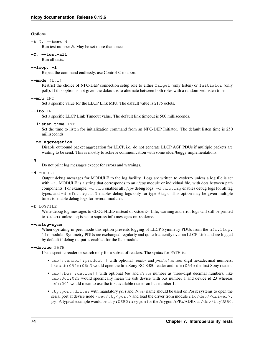#### <span id="page-77-0"></span>**Options**

#### **-t** N, **--test** N

Run test number *N*. May be set more than once.

#### **-T**, **--test-all**

Run all tests.

#### **--loop**, **-l**

Repeat the command endlessly, use Control-C to abort.

#### **--mode** {t,i}

Restrict the choice of NFC-DEP connection setup role to either Target (only listen) or Initiator (only poll). If this option is not given the dafault is to alternate between both roles with a randomized listen time.

#### **--miu** INT

Set a specific value for the LLCP Link MIU. The dafault value is 2175 octets.

#### **--lto** INT

Set a specific LLCP Link Timeout value. The default link timeout is 500 milliseconds.

#### **--listen-time** INT

Set the time to listen for initialization command from an NFC-DEP Initiator. The default listen time is 250 milliseconds.

#### **--no-aggregation**

Disable outbound packet aggregation for LLCP, i.e. do not generate LLCP AGF PDUs if multiple packets are waiting to be send. This is mostly to achieve communication with some older/buggy implementations.

#### **-q**

Do not print log messages except for errors and warnings.

#### **-d** MODULE

Output debug messages for MODULE to the log facility. Logs are written to <stderr> unless a log file is set with -f. MODULE is a string that corresponds to an *nfcpy* module or individual file, with dots between path components. For example, -d nfc enables all *nfcpy* debug logs, -d nfc.tag enables debug logs for all tag types, and -d nfc.tag.tt3 enables debug logs only for type 3 tags. This option may be given multiple times to enable debug logs for several modules.

#### **-f** LOGFILE

Write debug log messages to <LOGFILE> instead of <stderr>. Info, warning and error logs will still be printed to  $\lt$  stderr $>$  unless  $-q$  is set to supress info messages on  $\lt$  stderr $>$ .

#### **--nolog-symm**

When operating in peer mode this option prevents logging of LLCP Symmetry PDUs from the nfc.llcp. llc module. Symmetry PDUs are exchanged regularly and quite frequently over an LLCP Link and are logged by default if debug output is enabled for the llcp module.

#### **--device** PATH

Use a specific reader or search only for a subset of readers. The syntax for PATH is:

- usb[:vendor[:product]] with optional *vendor* and *product* as four digit hexadecimal numbers, like usb:054c:06c3 would open the first Sony RC-S380 reader and usb:054c the first Sony reader.
- usb[:bus[:device]] with optional *bus* and *device* number as three-digit decimal numbers, like usb:001:023 would specifically mean the usb device with bus number 1 and device id 23 whereas usb:001 would mean to use the first available reader on bus number 1.
- tty:port:driver with mandatory *port* and *driver* name should be used on Posix systems to open the serial port at device node /dev/tty<port> and load the driver from module  $nfc/dev/clriver$ . py. A typical example would be tty:USB0:arygon for the Arygon APPx/ADRx at /dev/ttyUSB0.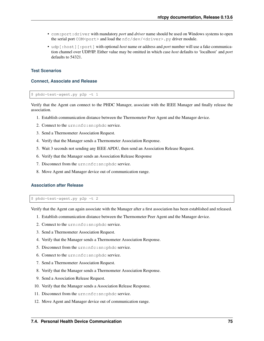- com:port:driver with mandatory *port* and *driver* name should be used on Windows systems to open the serial port COM<port> and load the nfc/dev/<driver>.py driver module.
- udp[:host][:port] with optional *host* name or address and *port* number will use a fake communication channel over UDP/IP. Either value may be omitted in which case *host* defaults to 'localhost' and *port* defaults to 54321.

#### **Test Scenarios**

#### **Connect, Associate and Release**

\$ phdc-test-agent.py p2p -t 1

Verify that the Agent can connect to the PHDC Manager, associate with the IEEE Manager and finally release the association.

- 1. Establish communication distance between the Thermometer Peer Agent and the Manager device.
- 2. Connect to the urn:nfc:sn:phdc service.
- 3. Send a Thermometer Association Request.
- 4. Verify that the Manager sends a Thermometer Association Response.
- 5. Wait 3 seconds not sending any IEEE APDU, then send an Association Release Request.
- 6. Verify that the Manager sends an Association Release Response
- 7. Disconnect from the urn:nfc:sn:phdc service.
- 8. Move Agent and Manager device out of communication range.

#### **Association after Release**

\$ phdc-test-agent.py p2p -t 2

Verify that the Agent can again associate with the Manager after a first association has been established and released.

- 1. Establish communication distance between the Thermometer Peer Agent and the Manager device.
- 2. Connect to the urn:nfc:sn:phdc service.
- 3. Send a Thermometer Association Request.
- 4. Verify that the Manager sends a Thermometer Association Response.
- 5. Disconnect from the urn:nfc:sn:phdc service.
- 6. Connect to the urn:nfc:sn:phdc service.
- 7. Send a Thermometer Association Request.
- 8. Verify that the Manager sends a Thermometer Association Response.
- 9. Send a Association Release Request.
- 10. Verify that the Manager sends a Association Release Response.
- 11. Disconnect from the urn:nfc:sn:phdc service.
- 12. Move Agent and Manager device out of communication range.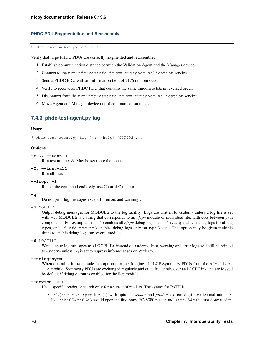#### <span id="page-79-0"></span>**PHDC PDU Fragmentation and Reassembly**

\$ phdc-test-agent.py p2p -t 3

Verify that large PHDC PDUs are correctly fragmented and reassembled.

- 1. Establish communication distance between the Validation Agent and the Manager device.
- 2. Connect to the urn:nfc:xsn:nfc-forum.org:phdc-validation service.
- 3. Send a PHDC PDU with an Information field of 2176 random octets.
- 4. Verify to receive an PHDC PDU that contains the same random octets in reversed order.
- 5. Disconnect from the urn:nfc:xsn:nfc-forum.org:phdc-validation service.
- 6. Move Agent and Manager device out of communication range.

### **7.4.3 phdc-test-agent.py tag**

#### Usage

\$ phdc-test-agent.py tag [-h|--help] [OPTION]...

#### **Options**

```
-t N, --test N
```
Run test number *N*. May be set more than once.

**-T**, **--test-all**

Run all tests.

#### **--loop**, **-l**

Repeat the command endlessly, use Control-C to abort.

#### **-q**

Do not print log messages except for errors and warnings.

#### **-d** MODULE

Output debug messages for MODULE to the log facility. Logs are written to <stderr> unless a log file is set with -f. MODULE is a string that corresponds to an *nfcpy* module or individual file, with dots between path components. For example, -d nfc enables all *nfcpy* debug logs, -d nfc.tag enables debug logs for all tag types, and -d nfc.tag.tt3 enables debug logs only for type 3 tags. This option may be given multiple times to enable debug logs for several modules.

**-f** LOGFILE

Write debug log messages to <LOGFILE> instead of <stderr>. Info, warning and error logs will still be printed to  $\lt$  stderr> unless  $-q$  is set to supress info messages on  $\lt$  stderr>.

#### **--nolog-symm**

When operating in peer mode this option prevents logging of LLCP Symmetry PDUs from the nfc.llcp. llc module. Symmetry PDUs are exchanged regularly and quite frequently over an LLCP Link and are logged by default if debug output is enabled for the llcp module.

#### **--device** PATH

Use a specific reader or search only for a subset of readers. The syntax for PATH is:

• usb[:vendor[:product]] with optional *vendor* and *product* as four digit hexadecimal numbers, like usb:054c:06c3 would open the first Sony RC-S380 reader and usb:054c the first Sony reader.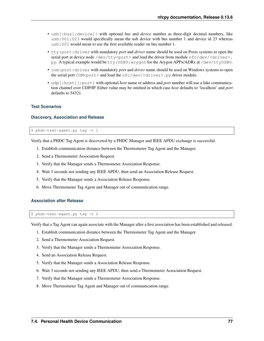- usb[:bus[:device]] with optional *bus* and *device* number as three-digit decimal numbers, like usb:001:023 would specifically mean the usb device with bus number 1 and device id 23 whereas usb:001 would mean to use the first available reader on bus number 1.
- tty:port:driver with mandatory *port* and *driver* name should be used on Posix systems to open the serial port at device node /dev/tty<port> and load the driver from module  $nfc/dev/clriver$ . py. A typical example would be tty:USB0:arygon for the Arygon APPx/ADRx at /dev/ttyUSB0.
- com:port:driver with mandatory *port* and *driver* name should be used on Windows systems to open the serial port COM<port> and load the nfc/dev/<driver>.py driver module.
- udp[:host][:port] with optional *host* name or address and *port* number will use a fake communication channel over UDP/IP. Either value may be omitted in which case *host* defaults to 'localhost' and *port* defaults to 54321.

#### **Test Scenarios**

#### **Discovery, Association and Release**

\$ phdc-test-agent.py tag -t 1

Verify that a PHDC Tag Agent is discovered by a PHDC Manager and IEEE APDU exchange is successful.

- 1. Establish communication distance between the Thermometer Tag Agent and the Manager.
- 2. Send a Thermometer Association Request.
- 3. Verify that the Manager sends a Thermometer Association Response.
- 4. Wait 3 seconds not sending any IEEE APDU, then send an Association Release Request.
- 5. Verify that the Manager sends a Association Release Response.
- 6. Move Thermometer Tag Agent and Manager out of communication range.

#### **Association after Release**

\$ phdc-test-agent.py tag -t 2

Verify that a Tag Agent can again associate with the Manager after a first association has been established and released.

- 1. Establish communication distance between the Thermometer Tag Agent and the Manager.
- 2. Send a Thermometer Association Request.
- 3. Verify that the Manager sends a Thermometer Association Response.
- 4. Send an Association Release Request.
- 5. Verify that the Manager sends a Association Release Response.
- 6. Wait 3 seconds not sending any IEEE APDU, then send a Thermometer Association Request.
- 7. Verify that the Manager sends a Thermometer Association Response.
- 8. Move Thermometer Tag Agent and Manager out of communication range.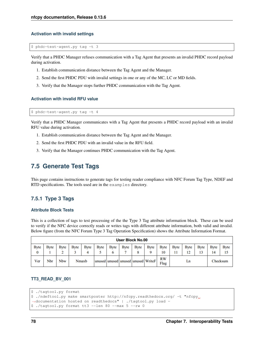#### **Activation with invalid settings**

\$ phdc-test-agent.py tag -t 3

Verify that a PHDC Manager refuses communication with a Tag Agent that presents an invalid PHDC record payload during activation.

- 1. Establish communication distance between the Tag Agent and the Manager.
- 2. Send the first PHDC PDU with invalid settings in one or any of the MC, LC or MD fields.
- 3. Verify that the Manager stops further PHDC communication with the Tag Agent.

#### **Activation with invalid RFU value**

\$ phdc-test-agent.py tag -t 4

Verify that a PHDC Manager communicates with a Tag Agent that presents a PHDC record payload with an invalid RFU value during activation.

- 1. Establish communication distance between the Tag Agent and the Manager.
- 2. Send the first PHDC PDU with an invalid value in the RFU field.
- 3. Verify that the Manager continues PHDC communication with the Tag Agent.

### **7.5 Generate Test Tags**

This page contains instructions to generate tags for testing reader compliance with NFC Forum Tag Type, NDEF and RTD specifications. The tools used are in the examples directory.

### **7.5.1 Type 3 Tags**

#### **Attribute Block Tests**

This is a collection of tags to test processing of the the Type 3 Tag attribute information block. These can be used to verify if the NFC device correctly reads or writes tags with different attribute information, both valid and invalid. Below figure (from the NFC Forum Type 3 Tag Operation Specification) shows the Attribute Information Format.

| <b>User Block No.00</b> |              |              |              |             |             |                  |             |                   |                                    |                   |             |                   |             |                    |                    |
|-------------------------|--------------|--------------|--------------|-------------|-------------|------------------|-------------|-------------------|------------------------------------|-------------------|-------------|-------------------|-------------|--------------------|--------------------|
| <b>Byte</b><br>0        | <b>B</b> vte | <b>B</b> vte | <b>Byte</b>  | <b>Byte</b> | <b>Byte</b> | <b>Byte</b><br>o | <b>Byte</b> | Byte <sup>1</sup> | <b>Byte</b><br>Q                   | <b>Byte</b><br>10 | <b>Byte</b> | <b>Byte</b><br>12 | <b>Byte</b> | <b>B</b> yte<br>14 | <b>B</b> vte<br>15 |
| Ver                     | Nbr          | <b>Nbw</b>   | <b>Nmaxb</b> |             |             |                  |             |                   | unused unused unused unused WriteF | <b>RW</b><br>Flag | Ln          |                   |             | Checksum           |                    |

#### **TT3\_READ\_BV\_001**

```
$ ./tagtool.py format
```

```
$ ./ndeftool.py make smartposter http://nfcpy.readthedocs.org/ -t "nfcpy
˓→documentation hosted on readthedocs" | ./tagtool.py load -
$ ./tagtool.py format tt3 --len 80 --max 5 --rw 0
```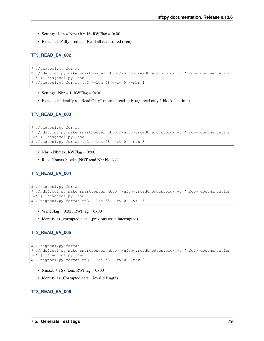- Settings: Len = Nmaxb  $*$  16, RWFlag = 0x00
- Expected: Fully used tag. Read all data stored (Len)

#### **TT3\_READ\_BV\_002**

```
$ ./tagtool.py format
$ ./ndeftool.py make smartposter http://nfcpy.readthedocs.org/ -t "nfcpy documentation
˓→" | ./tagtool.py load -
$ ./tagtool.py format tt3 --len 58 --rw 0 --nbr 1
```
- Settings: Nbr = 1, RWFlag =  $0x00$
- Expected: Identify as "Read Only" (normal read-only tag, read only 1 block at a time)

#### **TT3\_READ\_BV\_003**

```
$ ./tagtool.py format
$ ./ndeftool.py make smartposter http://nfcpy.readthedocs.org/ -t "nfcpy documentation
˓→" | ./tagtool.py load -
$ ./tagtool.py format tt3 --len 58 --rw 0 --max 3
```
- Nbr > Nbmax, RWFlag =  $0x00$
- Read Nbmax blocks (NOT read Nbr blocks)

#### **TT3\_READ\_BV\_004**

```
$ ./tagtool.py format
$ ./ndeftool.py make smartposter http://nfcpy.readthedocs.org/ -t "nfcpy documentation
˓→" | ./tagtool.py load -
$ ./tagtool.py format tt3 --len 58 --rw 0 --wf 15
```
- WriteFlag =  $0x0F$ , RWFlag =  $0x00$
- Identify as "corrupted data" (previous write interrupted)

#### **TT3\_READ\_BV\_005**

```
$ ./tagtool.py format
$ ./ndeftool.py make smartposter http://nfcpy.readthedocs.org/ -t "nfcpy documentation
˓→" | ./tagtool.py load -
$ ./tagtool.py format tt3 --len 58 --rw 0 --max 3
```
- Nmaxb  $*$  16 < Len, RWFlag = 0x00
- Identify as "Corrupted data" (invalid length)

#### **TT3\_READ\_BV\_006**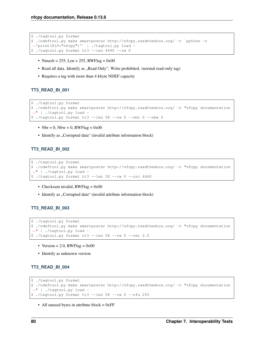```
$ ./tagtool.py format
$ ./ndeftool.py make smartposter http://nfcpy.readthedocs.org/ -t `python -c
˓→'print(810*"nfcpy")'` | ./tagtool.py load -
$ ./tagtool.py format tt3 --len 4495 --rw 0
```
- Nmaxb > 255, Len > 255, RWFlag =  $0x00$
- Read all data. Identify as "Read Only". Write prohibited. (normal read-only tag)
- Requires a tag with more than 4 kbyte NDEF capacity

#### **TT3\_READ\_BI\_001**

```
$ ./tagtool.py format
$ ./ndeftool.py make smartposter http://nfcpy.readthedocs.org/ -t "nfcpy documentation
˓→" | ./tagtool.py load -
$ ./tagtool.py format tt3 --len 58 --rw 0 --nbr 0 --nbw 0
```
- Nbr = 0, Nbw = 0, RWFlag =  $0x00$
- Identify as "Corrupted data" (invalid attribute information block)

#### **TT3\_READ\_BI\_002**

```
$ ./tagtool.py format
$ ./ndeftool.py make smartposter http://nfcpy.readthedocs.org/ -t "nfcpy documentation
˓→" | ./tagtool.py load -
$ ./tagtool.py format tt3 --len 58 --rw 0 --crc 4660
```
- Checksum invalid,  $RWFlag = 0x00$
- Identify as "Corrupted data" (invalid attribute information block)

#### **TT3\_READ\_BI\_003**

```
$ ./tagtool.py format
$ ./ndeftool.py make smartposter http://nfcpy.readthedocs.org/ -t "nfcpy documentation
˓→" | ./tagtool.py load -
$./tagtool.py format t13 --len 58 --rw 0 --ver 2.0
```
- Version = 2.0, RWFlag =  $0x00$
- Identify as unknown version

#### **TT3\_READ\_BI\_004**

```
$ ./tagtool.py format
$ ./ndeftool.py make smartposter http://nfcpy.readthedocs.org/ -t "nfcpy documentation
˓→" | ./tagtool.py load -
$ ./tagtool.py format tt3 --len 58 --rw 0 --rfu 255
```
• All unused bytes in attribute block  $= 0xFF$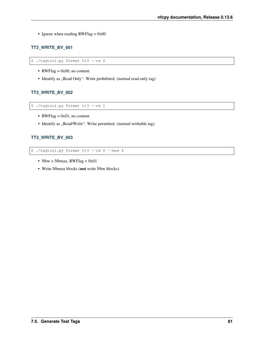• Ignore when reading  $RWFlag = 0x00$ 

### **TT3\_WRITE\_BV\_001**

\$ ./tagtool.py format tt3 --rw 0

- RWFlag =  $0x00$ , no content
- Identify as "Read Only". Write prohibited. (normal read-only tag)

#### **TT3\_WRITE\_BV\_002**

\$ ./tagtool.py format tt3 --rw 1

- RWFlag =  $0x01$ , no content
- Identify as "Read/Write". Write permitted. (normal writtable tag)

#### **TT3\_WRITE\_BV\_003**

\$ ./tagtool.py format tt3 --rw 0 --max 4

- Nbw > Nbmax,  $RWFlag = 0x01$
- Write Nbmax blocks (not write Nbw blocks)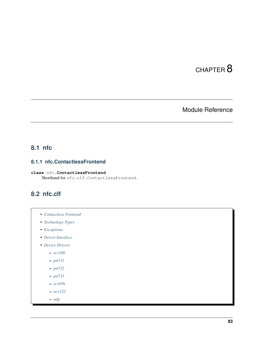# CHAPTER 8

# Module Reference

# <span id="page-86-1"></span>**8.1 nfc**

# **8.1.1 nfc.ContactlessFrontend**

<span id="page-86-0"></span>**class** nfc.**ContactlessFrontend** Shorthand for nfc.clf.ContactlessFrontend.

# **8.2 nfc.clf**

- *[Contactless Frontend](#page-87-0)*
- *[Technology Types](#page-87-1)*
- *[Exceptions](#page-87-2)*
- *[Driver Interface](#page-87-3)*
- *[Device Drivers](#page-87-4)*

– *[rcs380](#page-87-5)*

- *[pn531](#page-87-6)*
- *[pn532](#page-87-7)*
- *[pn533](#page-87-8)*
- *[rcs956](#page-87-9)*
- *[acr122](#page-87-10)*
- *[udp](#page-87-11)*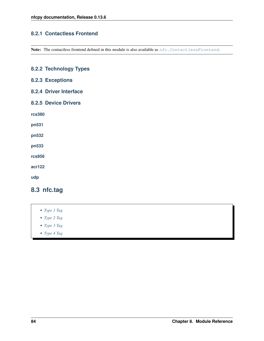### <span id="page-87-0"></span>**8.2.1 Contactless Frontend**

Note: The contactless frontend defined in this module is also available as nfc. ContactlessFrontend.

# <span id="page-87-7"></span><span id="page-87-6"></span><span id="page-87-5"></span><span id="page-87-4"></span><span id="page-87-3"></span><span id="page-87-2"></span><span id="page-87-1"></span>**8.2.2 Technology Types 8.2.3 Exceptions 8.2.4 Driver Interface 8.2.5 Device Drivers rcs380 pn531 pn532 pn533 rcs956 acr122 udp 8.3 nfc.tag**

- <span id="page-87-11"></span><span id="page-87-10"></span><span id="page-87-9"></span><span id="page-87-8"></span>• *[Type 1 Tag](#page-88-0)*
- *[Type 2 Tag](#page-88-1)*
- *[Type 3 Tag](#page-88-2)*
- *[Type 4 Tag](#page-88-3)*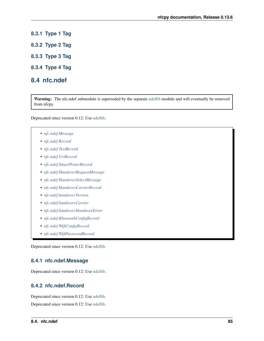- <span id="page-88-0"></span>**8.3.1 Type 1 Tag**
- <span id="page-88-1"></span>**8.3.2 Type 2 Tag**
- <span id="page-88-2"></span>**8.3.3 Type 3 Tag**
- <span id="page-88-3"></span>**8.3.4 Type 4 Tag**

### **8.4 nfc.ndef**

Warning: The nfc.ndef submodule is superseded by the separate [ndeflib](https://ndeflib.readthedocs.io) module and will eventually be removed from nfcpy.

Deprecated since version 0.12: Use [ndeflib.](https://ndeflib.readthedocs.io)

- *[nfc.ndef.Message](#page-88-4)*
- *[nfc.ndef.Record](#page-88-5)*
- *[nfc.ndef.TextRecord](#page-89-0)*
- *[nfc.ndef.UriRecord](#page-89-1)*
- *[nfc.ndef.SmartPosterRecord](#page-89-2)*
- *[nfc.ndef.HandoverRequestMessage](#page-89-3)*
- *[nfc.ndef.HandoverSelectMessage](#page-89-4)*
- *[nfc.ndef.HandoverCarrierRecord](#page-89-5)*
- *[nfc.ndef.handover.Version](#page-89-6)*
- *[nfc.ndef.handover.Carrier](#page-89-7)*
- *[nfc.ndef.handover.HandoverError](#page-89-8)*
- *[nfc.ndef.BluetoothConfigRecord](#page-89-9)*
- *[nfc.ndef.WifiConfigRecord](#page-89-10)*
- *[nfc.ndef.WifiPasswordRecord](#page-90-0)*

Deprecated since version 0.12: Use [ndeflib.](https://ndeflib.readthedocs.io)

#### <span id="page-88-4"></span>**8.4.1 nfc.ndef.Message**

Deprecated since version 0.12: Use [ndeflib.](https://ndeflib.readthedocs.io)

#### <span id="page-88-5"></span>**8.4.2 nfc.ndef.Record**

Deprecated since version 0.12: Use [ndeflib.](https://ndeflib.readthedocs.io) Deprecated since version 0.12: Use [ndeflib.](https://ndeflib.readthedocs.io)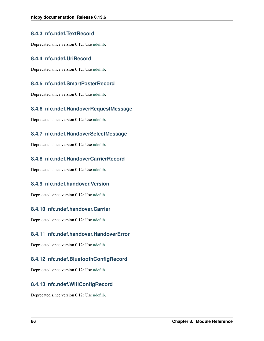### <span id="page-89-0"></span>**8.4.3 nfc.ndef.TextRecord**

Deprecated since version 0.12: Use [ndeflib.](https://ndeflib.readthedocs.io)

### <span id="page-89-1"></span>**8.4.4 nfc.ndef.UriRecord**

Deprecated since version 0.12: Use [ndeflib.](https://ndeflib.readthedocs.io)

### <span id="page-89-2"></span>**8.4.5 nfc.ndef.SmartPosterRecord**

Deprecated since version 0.12: Use [ndeflib.](https://ndeflib.readthedocs.io)

### <span id="page-89-3"></span>**8.4.6 nfc.ndef.HandoverRequestMessage**

Deprecated since version 0.12: Use [ndeflib.](https://ndeflib.readthedocs.io)

### <span id="page-89-4"></span>**8.4.7 nfc.ndef.HandoverSelectMessage**

Deprecated since version 0.12: Use [ndeflib.](https://ndeflib.readthedocs.io)

### <span id="page-89-5"></span>**8.4.8 nfc.ndef.HandoverCarrierRecord**

Deprecated since version 0.12: Use [ndeflib.](https://ndeflib.readthedocs.io)

### <span id="page-89-6"></span>**8.4.9 nfc.ndef.handover.Version**

Deprecated since version 0.12: Use [ndeflib.](https://ndeflib.readthedocs.io)

### <span id="page-89-7"></span>**8.4.10 nfc.ndef.handover.Carrier**

Deprecated since version 0.12: Use [ndeflib.](https://ndeflib.readthedocs.io)

### <span id="page-89-8"></span>**8.4.11 nfc.ndef.handover.HandoverError**

Deprecated since version 0.12: Use [ndeflib.](https://ndeflib.readthedocs.io)

### <span id="page-89-9"></span>**8.4.12 nfc.ndef.BluetoothConfigRecord**

Deprecated since version 0.12: Use [ndeflib.](https://ndeflib.readthedocs.io)

### <span id="page-89-10"></span>**8.4.13 nfc.ndef.WifiConfigRecord**

Deprecated since version 0.12: Use [ndeflib.](https://ndeflib.readthedocs.io)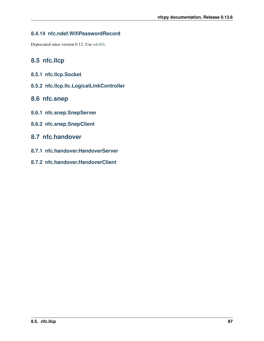# <span id="page-90-0"></span>**8.4.14 nfc.ndef.WifiPasswordRecord**

Deprecated since version 0.12: Use [ndeflib.](https://ndeflib.readthedocs.io)

# **8.5 nfc.llcp**

- **8.5.1 nfc.llcp.Socket**
- **8.5.2 nfc.llcp.llc.LogicalLinkController**

# **8.6 nfc.snep**

- **8.6.1 nfc.snep.SnepServer**
- **8.6.2 nfc.snep.SnepClient**

# **8.7 nfc.handover**

- **8.7.1 nfc.handover.HandoverServer**
- **8.7.2 nfc.handover.HandoverClient**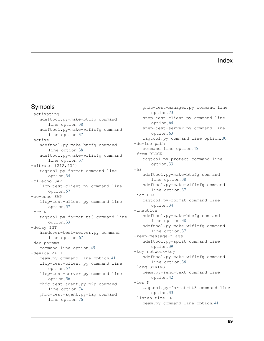# Index

# Symbols

-activating ndeftool.py-make-btcfg command line option, [38](#page-41-0) ndeftool.py-make-wificfg command line option, [37](#page-40-0) -active ndeftool.py-make-btcfg command line option, [38](#page-41-0) ndeftool.py-make-wificfg command line option, [37](#page-40-0) -bitrate {212,424} tagtool.py-format command line option, [34](#page-37-0) -cl-echo SAP llcp-test-client.py command line option, [57](#page-60-0) -co-echo SAP llcp-test-client.py command line option, [57](#page-60-0) -crc N tagtool.py-format-tt3 command line option, [33](#page-36-0) -delay INT handover-test-server.py command line option, [67](#page-70-0) -dep params command line option, [45](#page-48-0) -device PATH beam.py command line option, [41](#page-44-0) llcp-test-client.py command line option, [57](#page-60-0) llcp-test-server.py command line option, [56](#page-59-0) phdc-test-agent.py-p2p command line option, [74](#page-77-0) phdc-test-agent.py-tag command line option, [76](#page-79-0)

phdc-test-manager.py command line option, [73](#page-76-0) snep-test-client.py command line option, [64](#page-67-0) snep-test-server.py command line option, [63](#page-66-0) tagtool.py command line option, [30](#page-33-0) -device path command line option, [45](#page-48-0) -from BLOCK tagtool.py-protect command line option, [33](#page-36-0) -hs ndeftool.py-make-btcfg command line option, [38](#page-41-0) ndeftool.py-make-wificfg command line option, [37](#page-40-0) -idm HEX tagtool.py-format command line option, [34](#page-37-0) -inactive ndeftool.py-make-btcfg command line option, [38](#page-41-0) ndeftool.py-make-wificfg command line option, [37](#page-40-0) -keep-message-flags ndeftool.py-split command line option, [39](#page-42-0) -key network-key ndeftool.py-make-wificfg command line option, [36](#page-39-0) -lang STRING beam.py-send-text command line option, [42](#page-45-0) -len N tagtool.py-format-tt3 command line option, [33](#page-36-0) -listen-time INT beam.py command line option, [41](#page-44-0)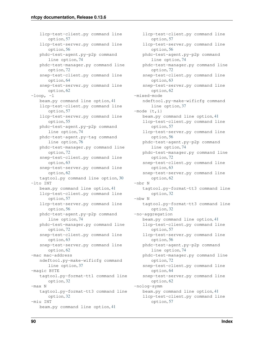llcp-test-client.py command line option, [57](#page-60-0) llcp-test-server.py command line option, [56](#page-59-0) phdc-test-agent.py-p2p command line option, [74](#page-77-0) phdc-test-manager.py command line option, [72](#page-75-0) snep-test-client.py command line option, [64](#page-67-0) snep-test-server.py command line option, [62](#page-65-0)  $-loop, -1$ beam.py command line option, [41](#page-44-0) llcp-test-client.py command line option, [57](#page-60-0) llcp-test-server.py command line option, [55](#page-58-0) phdc-test-agent.py-p2p command line option, [74](#page-77-0) phdc-test-agent.py-tag command line option, [76](#page-79-0) phdc-test-manager.py command line option, [72](#page-75-0) snep-test-client.py command line option, [63](#page-66-0) snep-test-server.py command line option, [62](#page-65-0) tagtool.py command line option, [30](#page-33-0) -lto INT beam.py command line option, [41](#page-44-0) llcp-test-client.py command line option, [57](#page-60-0) llcp-test-server.py command line option, [56](#page-59-0) phdc-test-agent.py-p2p command line option, [74](#page-77-0) phdc-test-manager.py command line option, [72](#page-75-0) snep-test-client.py command line option, [63](#page-66-0) snep-test-server.py command line option, [62](#page-65-0) -mac mac-address ndeftool.py-make-wificfg command line option, [37](#page-40-0) -magic BYTE tagtool.py-format-tt1 command line option, [32](#page-35-0) -max N tagtool.py-format-tt3 command line option, [32](#page-35-0) -miu INT beam.py command line option, [41](#page-44-0)

llcp-test-client.py command line option, [57](#page-60-0) llcp-test-server.py command line option, [56](#page-59-0) phdc-test-agent.py-p2p command line option, [74](#page-77-0) phdc-test-manager.py command line option, [72](#page-75-0) snep-test-client.py command line option, [63](#page-66-0) snep-test-server.py command line option, [62](#page-65-0) -mixed-mode ndeftool.py-make-wificfg command line option, [37](#page-40-0)  $-mode {t, i}$ beam.py command line option, [41](#page-44-0) llcp-test-client.py command line option, [57](#page-60-0) llcp-test-server.py command line option, [56](#page-59-0) phdc-test-agent.py-p2p command line option, [74](#page-77-0) phdc-test-manager.py command line option, [72](#page-75-0) snep-test-client.py command line option, [63](#page-66-0) snep-test-server.py command line option, [62](#page-65-0) -nbr N tagtool.py-format-tt3 command line option, [32](#page-35-0) -nbw N tagtool.py-format-tt3 command line option, [32](#page-35-0) -no-aggregation beam.py command line option, [41](#page-44-0) llcp-test-client.py command line option, [57](#page-60-0) llcp-test-server.py command line option, [56](#page-59-0) phdc-test-agent.py-p2p command line option, [74](#page-77-0) phdc-test-manager.py command line option, [72](#page-75-0) snep-test-client.py command line option, [64](#page-67-0) snep-test-server.py command line option, [62](#page-65-0) -nolog-symm beam.py command line option, [41](#page-44-0) llcp-test-client.py command line option, [57](#page-60-0)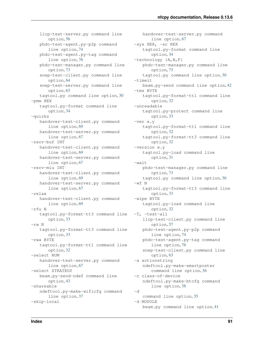llcp-test-server.py command line option, [56](#page-59-0) phdc-test-agent.py-p2p command line option, [74](#page-77-0) phdc-test-agent.py-tag command line option, [76](#page-79-0) phdc-test-manager.py command line option, [73](#page-76-0) snep-test-client.py command line option, [64](#page-67-0) snep-test-server.py command line option, [63](#page-66-0) tagtool.py command line option, [30](#page-33-0) -pmm HEX tagtool.py-format command line option, [34](#page-37-0) -quirks handover-test-client.py command line option, [69](#page-72-0) handover-test-server.py command line option, [67](#page-70-0) -recv-buf INT handover-test-client.py command line option, [69](#page-72-0) handover-test-server.py command line option, [67](#page-70-0) -recv-miu INT handover-test-client.py command line option, [69](#page-72-0) handover-test-server.py command line option, [67](#page-70-0) -relax handover-test-client.py command line option, [69](#page-72-0) -rfu N tagtool.py-format-tt3 command line option, [33](#page-36-0) -rw N tagtool.py-format-tt3 command line option, [33](#page-36-0) -rwa BYTE tagtool.py-format-tt1 command line option, [32](#page-35-0) -select NUM handover-test-server.py command line option, [67](#page-70-0) -select STRATEGY beam.py-send-ndef command line option, [43](#page-46-0) -shareable ndeftool.py-make-wificfg command line option, [37](#page-40-0) -skip-local

handover-test-server.py command line option, [67](#page-70-0) -sys HEX, -sc HEX tagtool.py-format command line option, [34](#page-37-0) -technology {A,B,F} phdc-test-manager.py command line option, [73](#page-76-0) tagtool.py command line option, [30](#page-33-0) -timeit beam.py-send command line option, [42](#page-45-0) -tms BYTE tagtool.py-format-tt1 command line option, [32](#page-35-0) -unreadable tagtool.py-protect command line option, [33](#page-36-0) -ver x.y tagtool.py-format-tt1 command line option, [32](#page-35-0) tagtool.py-format-tt3 command line option, [32](#page-35-0) -version x.y tagtool.py-load command line option, [31](#page-34-0) -wait phdc-test-manager.py command line option, [73](#page-76-0) tagtool.py command line option, [30](#page-33-0) -wf N tagtool.py-format-tt3 command line option, [33](#page-36-0) -wipe BYTE tagtool.py-load command line option, [32](#page-35-0) -T, -test-all llcp-test-client.py command line option, [57](#page-60-0) phdc-test-agent.py-p2p command line option, [74](#page-77-0) phdc-test-agent.py-tag command line option, [76](#page-79-0) snep-test-client.py command line option, [63](#page-66-0) -a actionstring ndeftool.py-make-smartposter command line option, [36](#page-39-0) -c class-of-device ndeftool.py-make-btcfg command line option, [38](#page-41-0)  $-d$ command line option, [35](#page-38-0) -d MODULE beam.py command line option, [41](#page-44-0)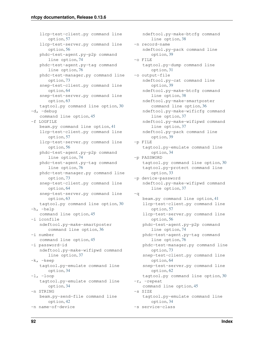llcp-test-client.py command line option, [57](#page-60-0) llcp-test-server.py command line option, [56](#page-59-0) phdc-test-agent.py-p2p command line option, [74](#page-77-0) phdc-test-agent.py-tag command line option, [76](#page-79-0) phdc-test-manager.py command line option, [73](#page-76-0) snep-test-client.py command line option, [64](#page-67-0) snep-test-server.py command line option, [63](#page-66-0) tagtool.py command line option, [30](#page-33-0) -d, -debug command line option, [45](#page-48-0) -f LOGFILE beam.py command line option, [41](#page-44-0) llcp-test-client.py command line option, [57](#page-60-0) llcp-test-server.py command line option, [56](#page-59-0) phdc-test-agent.py-p2p command line option, [74](#page-77-0) phdc-test-agent.py-tag command line option, [76](#page-79-0) phdc-test-manager.py command line option, [73](#page-76-0) snep-test-client.py command line option, [64](#page-67-0) snep-test-server.py command line option, [63](#page-66-0) tagtool.py command line option, [30](#page-33-0) -h, -help command line option, [45](#page-48-0) -i iconfile ndeftool.py-make-smartposter command line option, [36](#page-39-0) -i number command line option, [45](#page-48-0) -i password-id ndeftool.py-make-wifipwd command line option, [37](#page-40-0) -k, -keep tagtool.py-emulate command line option, [34](#page-37-0)  $-1$ ,  $-$ loop tagtool.py-emulate command line option, [34](#page-37-0) -n STRING beam.py-send-file command line option, [42](#page-45-0) -n name-of-device

ndeftool.py-make-btcfg command line option, [38](#page-41-0) -n record-name ndeftool.py-pack command line option, [39](#page-42-0) -o FILE tagtool.py-dump command line option, [31](#page-34-0) -o output-file ndeftool.py-cat command line option, [39](#page-42-0) ndeftool.py-make-btcfg command line option, [38](#page-41-0) ndeftool.py-make-smartposter command line option, [36](#page-39-0) ndeftool.py-make-wificfg command line option, [37](#page-40-0) ndeftool.py-make-wifipwd command line option, [37](#page-40-0) ndeftool.py-pack command line option, [39](#page-42-0) -p FILE tagtool.py-emulate command line option, [34](#page-37-0) -p PASSWORD tagtool.py command line option, [30](#page-33-0) tagtool.py-protect command line option, [33](#page-36-0) -p device-password ndeftool.py-make-wifipwd command line option, [37](#page-40-0) -q beam.py command line option, [41](#page-44-0) llcp-test-client.py command line option, [57](#page-60-0) llcp-test-server.py command line option, [56](#page-59-0) phdc-test-agent.py-p2p command line option, [74](#page-77-0) phdc-test-agent.py-tag command line option, [76](#page-79-0) phdc-test-manager.py command line option, [73](#page-76-0) snep-test-client.py command line option, [64](#page-67-0) snep-test-server.py command line option, [62](#page-65-0) tagtool.py command line option, [30](#page-33-0) -r, -repeat command line option, [45](#page-48-0) -s SIZE tagtool.py-emulate command line option, [34](#page-37-0) -s service-class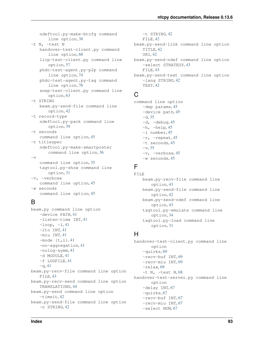ndeftool.py-make-btcfg command line option, [38](#page-41-0) -t N, -test N handover-test-client.py command line option, [68](#page-71-0) llcp-test-client.py command line option, [57](#page-60-0) phdc-test-agent.py-p2p command line option, [74](#page-77-0) phdc-test-agent.py-tag command line option, [76](#page-79-0) snep-test-client.py command line option, [63](#page-66-0) -t STRING beam.py-send-file command line option, [42](#page-45-0) -t record-type ndeftool.py-pack command line option, [39](#page-42-0) -t seconds command line option, [45](#page-48-0) -t titlespec ndeftool.py-make-smartposter command line option, [36](#page-39-0)  $-\nabla$ command line option, [35](#page-38-0) tagtool.py-show command line option, [31](#page-34-0) -v, -verbose command line option, [45](#page-48-0) -w seconds command line option, [45](#page-48-0)

# B

```
beam.py command line option
   -device PATH, 41
   -listen-time INT, 41
   -loop, 41-lto INT, 41
   -miu INT, 41
   41-no-aggregation, 41
   -nolog-symm, 41
   -d MODULE, 41
   -f LOGFILE, 41
   -q41
beam.py-recv-file command line option
   FILE, 43
beam.py-recv-send command line option
   TRANSLATIONS, 44
beam.py-send command line option
   -timeit, 42
beam.py-send-file command line option
   -n STRING, 42
```
-t STRING, [42](#page-45-0) FILE, [42](#page-45-0) beam.py-send-link command line option TITLE, [42](#page-45-0) URI, [42](#page-45-0) beam.py-send-ndef command line option -select STRATEGY, [43](#page-46-0) FILE, [43](#page-46-0) beam.py-send-text command line option -lang STRING, [42](#page-45-0) TEXT, [42](#page-45-0)

# $\cap$

```
command line option
   -dep params, 45
   -device path, 45
   35-d, -45
  -h, -h45
  -i number, 45
  -r45
  -t seconds, 45
  35-v, -verbose, 45
  -w seconds, 45
```
# F

```
FILE
   beam.py-recv-file command line
       option, 43
   beam.py-send-file command line
       option, 42
   beam.py-send-ndef command line
       option, 43
   tagtool.py-emulate command line
       option, 34
   tagtool.py-load command line
       option, 31
```
## H

handover-test-client.py command line option -quirks, [69](#page-72-0) -recv-buf INT, [69](#page-72-0) -recv-miu INT, [69](#page-72-0) -relax, [69](#page-72-0)  $-t$  N,  $-test$  N, [68](#page-71-0) handover-test-server.py command line option -delay INT, [67](#page-70-0) -quirks, [67](#page-70-0) -recv-buf INT, [67](#page-70-0) -recv-miu INT, [67](#page-70-0) -select NUM, [67](#page-70-0)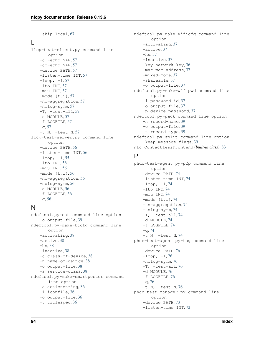```
-skip-local, 67
L
llcp-test-client.py command line
      option
   -cl-echo SAP, 57
   -co-echo SAP, 57
   -device PATH, 57
   -listen-time INT, 57
   -loop, 57-lto INT, 57
   -miu INT, 57
   -mode 57-no-aggregation, 57
   -nolog-symm, 57
   -T, -test-all, 57
   -d MODULE, 57
   -f LOGFILE, 57
   57-t N, -test57
llcp-test-server.py command line
      option
   -device PATH, 56
   -listen-time INT, 56
   -loop, 55-lto INT, 56
   -miu INT, 56
   56-no-aggregation, 56
   -nolog-symm, 56
   -d MODULE, 56
   -f LOGFILE, 56
   56
```
# N

```
ndeftool.py-cat command line option
   -o output-file, 39
ndeftool.py-make-btcfg command line
       option
   -activating, 38
   -active, 38
   -hs, 38
   -inactive, 38
   -c class-of-device, 38
   -n name-of-device, 38
   -o output-file, 38
   -s service-class, 38
ndeftool.py-make-smartposter command
      line option
   -a actionstring, 36
   -i iconfile, 36
   -o output-file, 36
   -t titlespec, 36
```

```
ndeftool.py-make-wificfg command line
       option
   -activating, 37
   -active, 37
   -hs, 37
   -inactive, 37
   -key network-key, 36
   -mac mac-address, 37
   -mixed-mode, 37
   -shareable, 37
   -o output-file, 37
ndeftool.py-make-wifipwd command line
       option
   -i password-id, 37
   -o output-file, 37
   -p device-password, 37
ndeftool.py-pack command line option
   -n record-name, 39
   -o output-file, 39
   -t record-type, 39
ndeftool.py-split command line option
   -keep-message-flags, 39
nfc.ContactlessFrontend (built-in class), 83
```
# P

```
phdc-test-agent.py-p2p command line
      option
   -device PATH, 74
   -listen-time INT, 74
   -loop, 74-lto INT, 74
   -miu INT, 74
   74-no-aggregation, 74
   -nolog-symm, 74
   -T, -test-all, 74
   -d MODULE, 74
   -f LOGFILE, 74
   -q74
   -t N, -test N, 74phdc-test-agent.py-tag command line
      option
   -device PATH, 76
   -loop, 76-nolog-symm, 76
   -T, -test-all76
   -d MODULE, 76
   -f LOGFILE, 76
   -q76
   -t N, -test N, 76phdc-test-manager.py command line
       option
   -device PATH, 73
   -listen-time INT, 72
```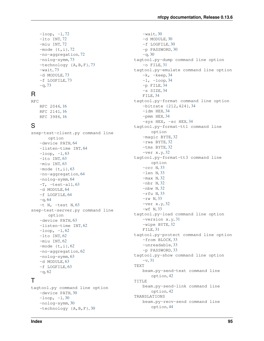$-$ loop,  $-1, 72$  $-1, 72$ -lto INT, [72](#page-75-0) -miu INT, [72](#page-75-0)  $-mode {t,i}, 72$  $-mode {t,i}, 72$ -no-aggregation, [72](#page-75-0) -nolog-symm, [73](#page-76-0) -technology {A,B,F}, [73](#page-76-0)  $-wait, 73$  $-wait, 73$ -d MODULE, [73](#page-76-0) -f LOGFILE, [73](#page-76-0)  $-q$ , [73](#page-76-0)

# R

RFC RFC 2046, [16](#page-19-0) RFC 2141, [16](#page-19-0) RFC 3986, [16](#page-19-0)

# S

snep-test-client.py command line option -device PATH, [64](#page-67-0) -listen-time INT, [64](#page-67-0)  $-$ loop,  $-1, 63$  $-1, 63$ -lto INT, [63](#page-66-0) -miu INT, [63](#page-66-0)  $-mode (t,i), 63$  $-mode (t,i), 63$ -no-aggregation, [64](#page-67-0) -nolog-symm, [64](#page-67-0)  $-T$ ,  $-test-all$ , [63](#page-66-0) -d MODULE, [64](#page-67-0) -f LOGFILE, [64](#page-67-0)  $-q, 64$  $-q, 64$  $-t$  N,  $-test$  N, [63](#page-66-0) snep-test-server.py command line option -device PATH, [63](#page-66-0) -listen-time INT, [62](#page-65-0)  $-$ loop,  $-1, 62$  $-1, 62$ -lto INT, [62](#page-65-0) -miu INT, [62](#page-65-0)  $-mode$   $\{t, i\}$ , [62](#page-65-0) -no-aggregation, [62](#page-65-0) -nolog-symm, [63](#page-66-0) -d MODULE, [63](#page-66-0) -f LOGFILE, [63](#page-66-0)  $-q$ , [62](#page-65-0)

# T

tagtool.py command line option -device PATH, [30](#page-33-0)  $-$ loop,  $-1, 30$  $-1, 30$ -nolog-symm, [30](#page-33-0) -technology {A,B,F}, [30](#page-33-0)

 $-wait, 30$  $-wait, 30$ -d MODULE, [30](#page-33-0) -f LOGFILE, [30](#page-33-0) -p PASSWORD, [30](#page-33-0)  $-q$ , [30](#page-33-0) tagtool.py-dump command line option  $-$ o FILE, [31](#page-34-0) tagtool.py-emulate command line option -k, -keep, [34](#page-37-0)  $-1, -loop, 34$  $-1, -loop, 34$ -p FILE, [34](#page-37-0)  $-s$  SIZE, [34](#page-37-0) FILE, [34](#page-37-0) tagtool.py-format command line option -bitrate {212,424}, [34](#page-37-0)  $-$ idm HEX, [34](#page-37-0) -pmm HEX, [34](#page-37-0)  $-$ sys HEX,  $-$ sc HEX, [34](#page-37-0) tagtool.py-format-tt1 command line option -magic BYTE, [32](#page-35-0) -rwa BYTE, [32](#page-35-0) -tms BYTE, [32](#page-35-0)  $-*ver* x.y, 32$  $-*ver* x.y, 32$ tagtool.py-format-tt3 command line option -crc N, [33](#page-36-0) -len N, [33](#page-36-0) -max N, [32](#page-35-0) -nbr N, [32](#page-35-0) -nbw N, [32](#page-35-0) -rfu N, [33](#page-36-0)  $-rw$  N, [33](#page-36-0)  $-*ver* x.y, 32$  $-*ver* x.y, 32$  $-wf$  N, [33](#page-36-0) tagtool.py-load command line option -version x.y, [31](#page-34-0) -wipe BYTE, [32](#page-35-0) FILE, [31](#page-34-0) tagtool.py-protect command line option -from BLOCK, [33](#page-36-0) -unreadable, [33](#page-36-0) -p PASSWORD, [33](#page-36-0) tagtool.py-show command line option -v, [31](#page-34-0) TEXT beam.py-send-text command line option, [42](#page-45-0) TITLE beam.py-send-link command line option, [42](#page-45-0) TRANSLATIONS beam.py-recv-send command line option, [44](#page-47-0)